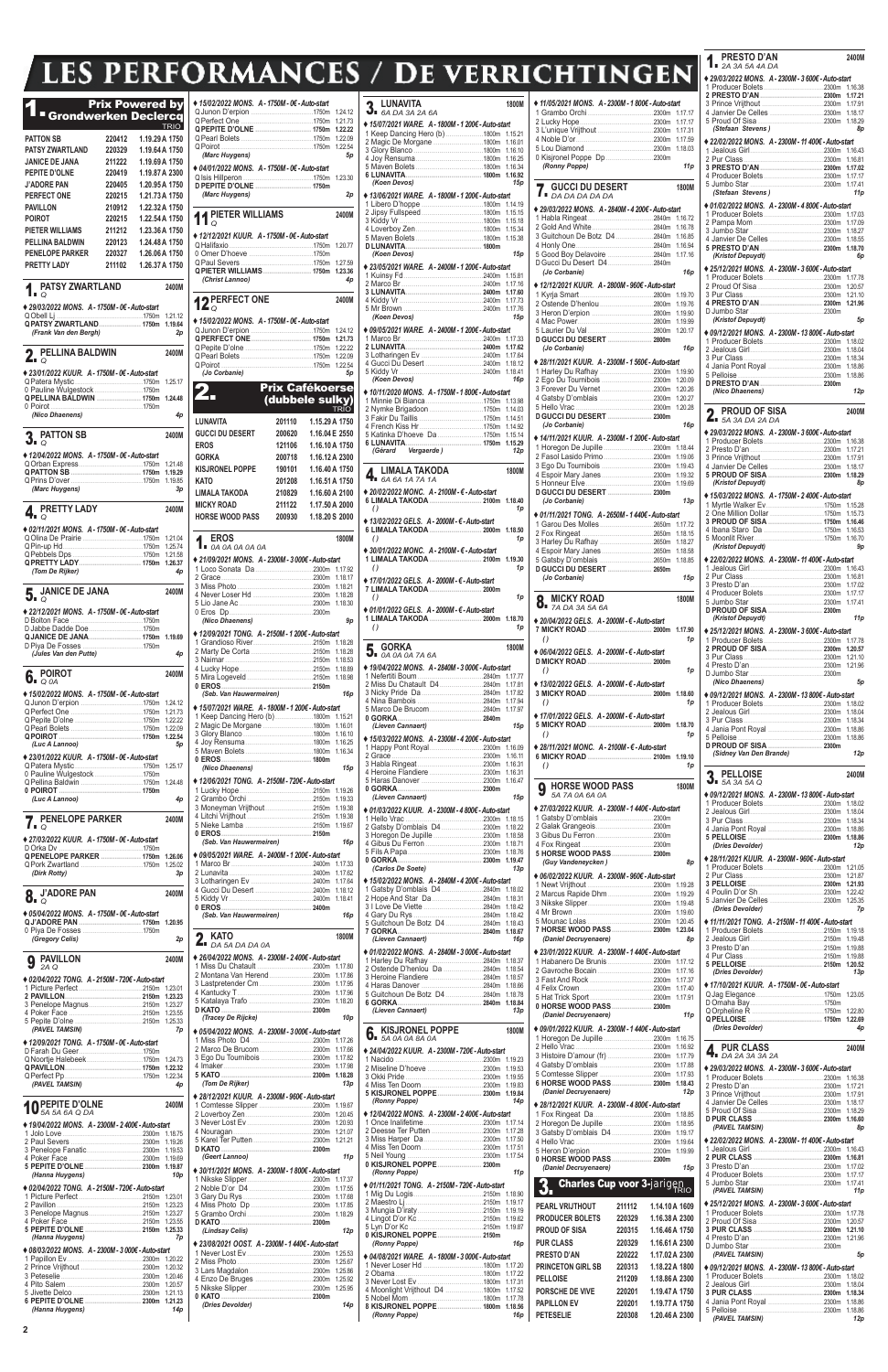**2**

## **LES PERFORMANCES / DE VERRI**

## 1. Prix Powered by Grondwerken Declercq TRIO **PATTON SB 220412 1.19.29A 1750 PATSY ZWARTLAND 220329 1.19.64A 1750 JANICE DE JANA 211222 1.19.69A 1750 PEPITE D'OLNE 220419 1.19.87A 2300 J'ADORE PAN 220405 1.20.95A 1750 PERFECT ONE 220215 1.21.73A 1750 PAVILLON 210912 1.22.32A 1750 POIROT 220215 1.22.54A 1750 PIETER WILLIAMS 211212 1.23.36A 1750 PELLINA BALDWIN 220123 1.24.48A 1750 PENELOPE PARKER 220327 1.26.06A 1750 PRETTY LADY 211102 1.26.37A 1750** 1. **PATSY ZWARTLAND 2400M** *Q* **♦** *29/03/2022 MONS. A - 1750M - 0€ - Auto-start*  QObell Lj ...........................................1750m 1.21.12 **QPATSY ZWARTLAND..................... 1750m 1.19.64** *(Frank Van den Bergh) 2p* 2. **PELLINA BALDWIN 2400M** *Q* **♦** *23/01/2022 KUUR. A - 1750M - 0€ - Auto-start*  QPatera Mystic..................................1750m 1.25.17 0 Pauline Wulgestock ........................1750m **QPELLINA BALDWIN ...................... 1750m 1.24.48** 0 Poirot ..............................................1750m *(Nico Dhaenens) 4p* 3. **PATTON SB 2400M** *Q* **♦** *12/04/2022 MONS. A - 1750M - 0€ - Auto-start*  QOrban Express................................1750m 1.21.48 **QPATTON SB ................................... 1750m 1.19.29** QPrins D'over....................................1750m 1.19.85 *(Marc Huygens) 3p* 4. **PRETTY LADY 2400M** *Q* **♦** *02/11/2021 MONS. A - 1750M - 0€ - Auto-start*  QOlina De Prairie ..............................1750m 1.21.04 QPin-up Hd........................................1750m 1.25.74 QPebbels Dps ...................................1750m 1.21.58 **QPRETTY LADY............................... 1750m 1.26.37** *(Tom De Rijker) 4p* 5. **JANICE DE JANA 2400M** *Q* **♦** *22/12/2021 MONS. A - 1750M - 0€ - Auto-start*  D Bolton Face ....................................1750m D Jabbe Dadde Doe...........................1750m **QJANICE DE JANA.......................... 1750m 1.19.69** D Piya De Fosses ..............................1750m *(Jules Van den Putte) 4p* 6. **POIROT 2400M** *Q 0A* **♦** *15/02/2022 MONS. A - 1750M - 0€ - Auto-start*  QJunon D'erpion ...............................1750m 1.24.12 QPerfect One ....................................1750m 1.21.73 Q Pepite D'olne ....<br>O Pearl Bolets ...... QPearl Bolets ....................................1750m 1.22.09 **QPOIROT ......................................... 1750m 1.22.54** *(Luc A Lannoo) 5p* **♦** *23/01/2022 KUUR. A - 1750M - 0€ - Auto-start*  QPatera Mystic..................................1750m 1.25.17 0 Pauline Wulgestock ........................1750m QPellina Baldwin ...............................1750m 1.24.48 **0 POIROT ......................................... 1750m** *(Luc A Lannoo) 4p* 7. **PENELOPE PARKER 2400M** *Q* **♦** *27/03/2022 KUUR. A - 1750M - 0€ - Auto-start*  D Orka Dv ..........................................1750m **QPENELOPE PARKER .................... 1750m 1.26.06** QPork Zwartland ...............................1750m 1.25.02 *(Dirk Rotty) 3p* 8. **J'ADORE PAN 2400M** *Q* **♦** *05/04/2022 MONS. A - 1750M - 0€ - Auto-start*  **QJ'ADORE PAN ............................... 1750m 1.20.95** 0 Piya De Fosses ..............................1750m *(Gregory Celis) 2p* 9 **PAVILLON 2400M** *2A Q* **♦** *02/04/2022 TONG. A - 2150M - 720€ - Auto-start*  1 Picture Perfect ................................2150m 1.23.01 **2 PAVILLON...................................... 2150m 1.23.23**

| ♦ 15/02/2022 MONS. A - 1750M - 0€ - Auto-start                                             |                                                                                                                                                                                                                                                                                                                                                                                                                |                |                    |
|--------------------------------------------------------------------------------------------|----------------------------------------------------------------------------------------------------------------------------------------------------------------------------------------------------------------------------------------------------------------------------------------------------------------------------------------------------------------------------------------------------------------|----------------|--------------------|
|                                                                                            |                                                                                                                                                                                                                                                                                                                                                                                                                |                | 1.24.12<br>1.21.73 |
| QPEPITE D'OLNE  1750m                                                                      |                                                                                                                                                                                                                                                                                                                                                                                                                |                | 1.22.22            |
|                                                                                            |                                                                                                                                                                                                                                                                                                                                                                                                                |                | 1.22.09            |
|                                                                                            |                                                                                                                                                                                                                                                                                                                                                                                                                |                | 1.22.54            |
| (Marc Huygens)                                                                             |                                                                                                                                                                                                                                                                                                                                                                                                                |                | 5p                 |
| ◆ 04/01/2022 MONS. A - 1750M - 0€ - Auto-start                                             |                                                                                                                                                                                                                                                                                                                                                                                                                |                |                    |
|                                                                                            |                                                                                                                                                                                                                                                                                                                                                                                                                |                | 1.23.30            |
| (Marc Huygens)                                                                             |                                                                                                                                                                                                                                                                                                                                                                                                                |                | 2p                 |
|                                                                                            |                                                                                                                                                                                                                                                                                                                                                                                                                |                |                    |
| 11 PIETER WILLIAMS                                                                         |                                                                                                                                                                                                                                                                                                                                                                                                                |                | 2400M              |
|                                                                                            |                                                                                                                                                                                                                                                                                                                                                                                                                |                |                    |
| ◆ 12/12/2021 KUUR. A - 1750M - 0€ - Auto-start                                             |                                                                                                                                                                                                                                                                                                                                                                                                                |                | 1.20.77            |
|                                                                                            |                                                                                                                                                                                                                                                                                                                                                                                                                |                |                    |
|                                                                                            |                                                                                                                                                                                                                                                                                                                                                                                                                |                | 1.27.59            |
| <b>QPIETER WILLIAMS 1750m</b><br>(Christ Lannoo)                                           |                                                                                                                                                                                                                                                                                                                                                                                                                |                | 1.23.36<br>4p      |
|                                                                                            |                                                                                                                                                                                                                                                                                                                                                                                                                |                |                    |
| <b>D</b> PERFECT ONE                                                                       |                                                                                                                                                                                                                                                                                                                                                                                                                |                | 2400M              |
| $L_{\mathcal{Q}}$                                                                          |                                                                                                                                                                                                                                                                                                                                                                                                                |                |                    |
| ♦ 15/02/2022 MONS. A-1750M-0€-Auto-start                                                   |                                                                                                                                                                                                                                                                                                                                                                                                                |                |                    |
|                                                                                            |                                                                                                                                                                                                                                                                                                                                                                                                                |                | 1.24.12            |
|                                                                                            |                                                                                                                                                                                                                                                                                                                                                                                                                |                | 1.21.73<br>1.22.22 |
|                                                                                            |                                                                                                                                                                                                                                                                                                                                                                                                                |                | 1.22.09            |
| O Poirot                                                                                   |                                                                                                                                                                                                                                                                                                                                                                                                                |                | 1.22.54            |
| (Jo Corbanie)                                                                              |                                                                                                                                                                                                                                                                                                                                                                                                                |                | 5p                 |
|                                                                                            | <b>Prix Cafékoerse</b>                                                                                                                                                                                                                                                                                                                                                                                         |                |                    |
|                                                                                            | (dubbele sulky)                                                                                                                                                                                                                                                                                                                                                                                                |                |                    |
|                                                                                            |                                                                                                                                                                                                                                                                                                                                                                                                                |                | <b>TRIO</b>        |
| LUNAVITA                                                                                   | 201110                                                                                                                                                                                                                                                                                                                                                                                                         | 1.15.29 A 1750 |                    |
| <b>GUCCI DU DESERT</b>                                                                     | 200620                                                                                                                                                                                                                                                                                                                                                                                                         | 1.16.04 E 2550 |                    |
| <b>EROS</b>                                                                                | 121106                                                                                                                                                                                                                                                                                                                                                                                                         | 1.16.10 A 1750 |                    |
| GORKA                                                                                      | 200718                                                                                                                                                                                                                                                                                                                                                                                                         | 1.16.12 A 2300 |                    |
| <b>KISJRONEL POPPE</b>                                                                     | 190101                                                                                                                                                                                                                                                                                                                                                                                                         | 1.16.40 A 1750 |                    |
| KATO                                                                                       | 201208                                                                                                                                                                                                                                                                                                                                                                                                         | 1.16.51 A 1750 |                    |
| LIMALA TAKODA                                                                              | 210829                                                                                                                                                                                                                                                                                                                                                                                                         | 1.16.60 A 2100 |                    |
| <b>MICKY ROAD</b>                                                                          | 211122                                                                                                                                                                                                                                                                                                                                                                                                         | 1.17.50 A 2000 |                    |
| <b>HORSE WOOD PASS</b>                                                                     | 200930                                                                                                                                                                                                                                                                                                                                                                                                         | 1.18.20 S 2000 |                    |
|                                                                                            |                                                                                                                                                                                                                                                                                                                                                                                                                |                |                    |
| <b>EROS</b>                                                                                |                                                                                                                                                                                                                                                                                                                                                                                                                |                | 1800M              |
| OA 0A 0A 0A 0A 0A                                                                          |                                                                                                                                                                                                                                                                                                                                                                                                                |                |                    |
| Dender 21/09/2021 MONS. A - 2300M - 3 000€ - Auto-start                                    |                                                                                                                                                                                                                                                                                                                                                                                                                |                |                    |
| 2 Grace.<br>.                                                                              | $\begin{array}{l} \rule{2mm}{2mm} \rule{2mm}{2mm} \rule{2mm}{2mm} \rule{2mm}{2mm} \rule{2mm}{2mm} \rule{2mm}{2mm} \rule{2mm}{2mm} \rule{2mm}{2mm} \rule{2mm}{2mm} \rule{2mm}{2mm} \rule{2mm}{2mm} \rule{2mm}{2mm} \rule{2mm}{2mm} \rule{2mm}{2mm} \rule{2mm}{2mm} \rule{2mm}{2mm} \rule{2mm}{2mm} \rule{2mm}{2mm} \rule{2mm}{2mm} \rule{2mm}{2mm} \rule{2mm}{2mm} \rule{2mm}{2mm} \rule{2mm}{2mm} \rule{2mm}{$ |                | 1.18.17            |
|                                                                                            |                                                                                                                                                                                                                                                                                                                                                                                                                |                | 1.18.21            |
|                                                                                            |                                                                                                                                                                                                                                                                                                                                                                                                                |                | 1.18.28            |
|                                                                                            |                                                                                                                                                                                                                                                                                                                                                                                                                |                | 1.18.30            |
| (Nico Dhaenens)                                                                            |                                                                                                                                                                                                                                                                                                                                                                                                                |                | 9p                 |
| ◆ 12/09/2021 TONG. A - 2150M - 1 200€ - Auto-start                                         |                                                                                                                                                                                                                                                                                                                                                                                                                |                |                    |
|                                                                                            |                                                                                                                                                                                                                                                                                                                                                                                                                |                | 1.18.28            |
|                                                                                            |                                                                                                                                                                                                                                                                                                                                                                                                                |                | 1.18.28            |
|                                                                                            |                                                                                                                                                                                                                                                                                                                                                                                                                |                | 1.18.53<br>1.18.89 |
|                                                                                            |                                                                                                                                                                                                                                                                                                                                                                                                                |                | 1.18.98            |
|                                                                                            |                                                                                                                                                                                                                                                                                                                                                                                                                |                |                    |
| (Seb. Van Hauwermeiren)                                                                    |                                                                                                                                                                                                                                                                                                                                                                                                                |                | 16p                |
| ◆ 15/07/2021 WARE. A - 1800M - 1 200€ - Auto-start<br>1 Keep Dancing Hero (b)1800m 1.15.21 |                                                                                                                                                                                                                                                                                                                                                                                                                |                |                    |
|                                                                                            |                                                                                                                                                                                                                                                                                                                                                                                                                |                | 1.16.01            |
|                                                                                            |                                                                                                                                                                                                                                                                                                                                                                                                                |                | 1.16.10            |
|                                                                                            |                                                                                                                                                                                                                                                                                                                                                                                                                |                | 1.16.25<br>1.16.34 |
|                                                                                            |                                                                                                                                                                                                                                                                                                                                                                                                                |                |                    |
| (Nico Dhaenens)                                                                            |                                                                                                                                                                                                                                                                                                                                                                                                                |                | 15p                |
| ◆ 12/06/2021 TONG. A - 2150M - 720€ - Auto-start                                           |                                                                                                                                                                                                                                                                                                                                                                                                                |                |                    |
|                                                                                            |                                                                                                                                                                                                                                                                                                                                                                                                                |                | 1.19.26            |
| 3 Moneyman Vrijthout 2150m                                                                 |                                                                                                                                                                                                                                                                                                                                                                                                                |                | 1.19.33<br>1.19.38 |
|                                                                                            |                                                                                                                                                                                                                                                                                                                                                                                                                |                | 1.19.38            |
|                                                                                            |                                                                                                                                                                                                                                                                                                                                                                                                                |                | 1.19.67            |
| (Seb. Van Hauwermeiren)                                                                    |                                                                                                                                                                                                                                                                                                                                                                                                                |                | 16p                |
| ♦ 09/05/2021 WARE. A - 2400M - 1 200€ - Auto-start                                         |                                                                                                                                                                                                                                                                                                                                                                                                                |                |                    |
|                                                                                            |                                                                                                                                                                                                                                                                                                                                                                                                                |                | 1.17.33            |
|                                                                                            |                                                                                                                                                                                                                                                                                                                                                                                                                |                | 1.17.62            |
|                                                                                            |                                                                                                                                                                                                                                                                                                                                                                                                                |                | 1.17.64<br>1.18.12 |
|                                                                                            |                                                                                                                                                                                                                                                                                                                                                                                                                |                | 1.18.41            |
|                                                                                            |                                                                                                                                                                                                                                                                                                                                                                                                                |                |                    |
| (Seb. Van Hauwermeiren)                                                                    |                                                                                                                                                                                                                                                                                                                                                                                                                |                | 16p                |
|                                                                                            |                                                                                                                                                                                                                                                                                                                                                                                                                |                |                    |
| KATO<br>$\sum$ DA 5A DA DA 0A                                                              |                                                                                                                                                                                                                                                                                                                                                                                                                |                | 1800M              |
| ◆ 26/04/2022 MONS. A - 2300M - 2 400€ - Auto-start                                         |                                                                                                                                                                                                                                                                                                                                                                                                                |                |                    |
|                                                                                            |                                                                                                                                                                                                                                                                                                                                                                                                                |                |                    |
| 2 Montana Van Herend2300m 1.17.86                                                          |                                                                                                                                                                                                                                                                                                                                                                                                                |                |                    |
|                                                                                            |                                                                                                                                                                                                                                                                                                                                                                                                                |                |                    |
|                                                                                            |                                                                                                                                                                                                                                                                                                                                                                                                                |                |                    |
| <b>DIKATO</b>                                                                              |                                                                                                                                                                                                                                                                                                                                                                                                                | 2300m          |                    |

| LUNAVITA<br>$\overline{3}$ 6A DA 3A 2A 6A                                      | 1800M              |  |
|--------------------------------------------------------------------------------|--------------------|--|
| ◆ 15/07/2021 WARE. A - 1800M - 1 200€ - Auto-start                             |                    |  |
|                                                                                | 1.15.21<br>1.16.01 |  |
|                                                                                | 1.16.10            |  |
|                                                                                | 1.16.25            |  |
|                                                                                | 1.16.34<br>1.16.92 |  |
| (Koen Devos)<br>◆ 13/06/2021 WARE. A - 1800M - 1 200€ - Auto-start             | 15p                |  |
|                                                                                | 1.14.19            |  |
|                                                                                | 1.15.15            |  |
|                                                                                | 1.15.18<br>1.15.34 |  |
|                                                                                | 1.15.38            |  |
| (Koen Devos)                                                                   | 15p                |  |
| ◆ 23/05/2021 WARE. A-2400M-1 200€-Auto-start                                   | 1.15.81            |  |
|                                                                                | 1.17.16            |  |
|                                                                                | 1.17.60            |  |
|                                                                                | 1.17.73<br>1.17.76 |  |
| (Koen Devos)                                                                   | 15p                |  |
| ◆ 09/05/2021 WARE. A-2400M-1 200€-Auto-start                                   |                    |  |
|                                                                                | 1.17.33            |  |
|                                                                                | 1.17.62<br>1.17.64 |  |
|                                                                                | 1.18.12            |  |
|                                                                                | 1.18.41            |  |
| (Koen Devos)                                                                   | 16p                |  |
| ♦ 10/11/2020 MONS. A - 1750M - 1 800€ - Auto-start                             | 1.13.98            |  |
|                                                                                | 1.14.03            |  |
|                                                                                | 1.14.51            |  |
| 5 Katinka D'hoeve Da 1750m                                                     | 1.14.92<br>1.15.14 |  |
|                                                                                | 1.15.29            |  |
| (Gérard Vergaerde)                                                             | 12p                |  |
| <b>LIMALA TAKODA</b><br><b>B</b> 6A 6A 1A 7A 1A                                | 1800M              |  |
| ◆ 20/02/2022 MONC. A-2100M- €-Auto-start<br>6 LIMALA TAKODA  2100m<br>$\theta$ | 1.18.40<br>1p      |  |
| ♦ 13/02/2022 GELS. A - 2000M - € - Auto-start<br>$\theta$                      | 1.18.50<br>1p      |  |
| ♦ 30/01/2022 MONC. A - 2100M - € - Auto-start<br>$\theta$                      | 1.19.30<br>1p      |  |
| ♦ 17/01/2022 GELS. A-2000M- €-Auto-start<br>LIMALA IANUDA<br>2000m<br>$\theta$ | 1p                 |  |
| ◆ 01/01/2022 GELS. A-2000M- €-Auto-start<br>$\theta$                           | 1.18.70<br>1p      |  |
|                                                                                |                    |  |
| <b>GORKA</b><br>0A 0A 0A 7A 6A                                                 | 1800M              |  |
| ♦ 19/04/2022 MONS. A - 2840M - 3 000€ - Auto-start                             |                    |  |
|                                                                                | 1.17.81            |  |
|                                                                                | 1.17.82            |  |
| 5 Marco De Brucom2840m                                                         | 1.17.94<br>1.17.97 |  |
|                                                                                |                    |  |
| (Lieven Cannaert)                                                              | 15p                |  |
| ◆ 15/03/2022 MONS. A - 2300M - 4 200€ - Auto-start<br>1 Happy Pont Royal2300m  |                    |  |
|                                                                                | 1.16.09<br>1.16.11 |  |
|                                                                                | 1.16.31            |  |
|                                                                                | 1.16.31<br>1.16.47 |  |
|                                                                                |                    |  |
| (Lieven Cannaert)                                                              | 15p                |  |
| ◆ 01/03/2022 KUUR. A - 2300M - 4 800€ - Auto-start                             |                    |  |
|                                                                                | 1.18.15<br>1.18.22 |  |
|                                                                                | 1.18.58            |  |
|                                                                                | 1.18.71            |  |
|                                                                                | 1.18.76<br>1.19.47 |  |
| (Carlos De Soete)                                                              | 13p                |  |
| ◆ 15/02/2022 MONS. A - 2840M - 4 200€ - Auto-start                             |                    |  |
| 1 Gatsby D'omblais D4 2840m<br>2 Hope And Star Da2840m                         | 1.18.02<br>1.18.31 |  |
|                                                                                | 1.18.42            |  |
|                                                                                | 1.18.42            |  |
| 5 Guitchoun De Botz D4 2840m                                                   | 1.18.43<br>1.18.67 |  |
| (Lieven Cannaert)<br>◆ 01/02/2022 MONS. A - 2840M - 3 000€ - Auto-start        | 16p                |  |
|                                                                                | 1.18.37            |  |
| 2 Ostende D'henlou Da 2840m                                                    | 1.18.54            |  |
|                                                                                | 1.18.57<br>1.18.66 |  |
| 5 Guitchoun De Botz D42840m                                                    | 1.18.78            |  |
| (Lieven Cannaert)                                                              | 1.18.84<br>13p     |  |

| 4 Poker Face 2010 2150m 1.23.55                                  | (Tracey De Rijcke)<br>10 <sub>D</sub>                                                    | (Lieven Cannaert)<br>13p                                    | <u>U HUL HIUR OPOIL</u><br>0 HORSE WOOD PASS 2300m<br>(Daniel Decruyenaere)<br>11p                  | 1750m 1.22.80                                                       |
|------------------------------------------------------------------|------------------------------------------------------------------------------------------|-------------------------------------------------------------|-----------------------------------------------------------------------------------------------------|---------------------------------------------------------------------|
| (PAVEL TAMSIN)<br>7p<br>♦ 12/09/2021 TONG, A-1750M-0€-Auto-start | ♦ 05/04/2022 MONS. A - 2300M - 3 000€ - Auto-start                                       | <b>6.</b> KISJRONEL POPPE<br>1800M                          | ♦ 09/01/2022 KUUR. A - 2300M - 1 440€ - Auto-start                                                  | (Dries Devolder)<br>4p                                              |
|                                                                  | 3 Ego Du Tournibois 2300m 1.17.82                                                        | ♦ 24/04/2022 KUUR. A - 2300M - 720€ - Auto-start            |                                                                                                     | <b>A</b> PUR CLASS<br>2400M<br><b>T</b> <sub>I</sub> DA 2A 3A 3A 2A |
|                                                                  |                                                                                          |                                                             |                                                                                                     | ♦ 29/03/2022 MONS. A - 2300M - 3 600€ - Auto-start                  |
| (PAVEL TAMSIN)<br>4 <sub>D</sub>                                 | (Tom De Rijker)<br>13p                                                                   | 5 KISJRONEL POPPE  2300m 1.19.84                            | 6 HORSE WOOD PASS  2300m 1.18.43<br>12p<br>(Daniel Decruyenaere)                                    |                                                                     |
| <b>10 PEPITE D'OLNE</b><br>2400M                                 | ♦ 28/12/2021 KUUR. A - 2300M - 960€ - Auto-start                                         | (Ronny Poppe)<br>14 <sub>p</sub>                            | ♦ 28/12/2021 KUUR. A - 2300M - 4 800€ - Auto-start                                                  |                                                                     |
| ♦ 19/04/2022 MONS. A - 2300M - 2400€ - Auto-start                |                                                                                          | ♦ 12/04/2022 MONS. A - 2300M - 2400€ - Auto-start           | 2300m 1.18.85                                                                                       | (PAVEL TAMSIN)                                                      |
|                                                                  |                                                                                          |                                                             | 3 Gatsby D'omblais D4 2300m 1.19.17                                                                 | 8p<br>♦ 22/02/2022 MONS. A - 2300M - 11 400€ - Auto-start           |
| $2300m$ 1.19.69<br>4 Poker Face                                  | (Geert Lannoo)<br>11 <sub>D</sub>                                                        |                                                             | 0 HORSE WOOD PASS 2300m                                                                             | 1 Jealous Girl<br>.2300m 1.16.43                                    |
| 5 PEPITE D'OLNE  2300m 1.19.87<br>10p<br>(Hanna Huygens)         | ♦ 30/11/2021 MONS. A - 2300M - 1 800€ - Auto-start                                       | 0 KISJRONEL POPPE 2300m<br>(Ronny Poppe)<br>11 p            | (Daniel Decruvenaere)<br>15p                                                                        |                                                                     |
| ♦ 02/04/2022 TONG, A-2150M-720€-Auto-start                       |                                                                                          | ♦ 01/11/2021 TONG. A-2150M-720€-Auto-start                  | <b>Charles Cup voor 3-jarigence</b><br>3 <sub>1</sub>                                               | (PAVEL TAMSIN)<br>11 p                                              |
|                                                                  |                                                                                          |                                                             | <b>PEARL VRIJTHOUT</b><br>211112<br>1.14.10 A 1609                                                  | ♦ 25/12/2021 MONS. A - 2300M - 3 600€ - Auto-start                  |
| 5 PEPITE D'OLNE  2150m 1.25.33                                   |                                                                                          |                                                             | <b>PRODUCER BOLETS</b><br>1.16.38 A 2300<br>220329                                                  |                                                                     |
| (Hanna Huygens)<br>7p                                            | (Lindsay Celis)<br>12 <sub>D</sub><br>♦ 23/08/2021 OOST. A - 2300M - 1 440€ - Auto-start | (Ronny Poppe)<br>16 <sub>p</sub>                            | <b>PROUD OF SISA</b><br>220315<br>1.16.46 A 1750<br><b>PUR CLASS</b><br>220329<br>1.16.61 A 2300    |                                                                     |
| ♦ 08/03/2022 MONS. A - 2300M - 3 000€ - Auto-start               |                                                                                          | ♦ 04/08/2021 WARE. A - 1800M - 3 000€ - Auto-start          | <b>PRESTO D'AN</b><br>220222<br>1.17.02 A 2300                                                      | (PAVEL TAMSIN)<br>5p                                                |
|                                                                  |                                                                                          |                                                             | <b>PRINCETON GIRL SB</b><br>1.18.22 A 1800<br>220313<br><b>PELLOISE</b><br>1.18.86 A 2300<br>211209 | ♦ 09/12/2021 MONS. A - 2300M - 13 800€ - Auto-start                 |
|                                                                  |                                                                                          |                                                             | PORSCHE DE VIVE<br>220201<br>1.19.47 A 1750                                                         | 2300m 1.18.04                                                       |
| 6 PEPITE D'OLNE  2300m 1.21.23<br>(Hanna Huygens)<br>14p         | (Dries Devolder)<br>14 <sub>p</sub>                                                      | 1.17.78<br>5 Nobel Mom.<br>8 KISJRONEL POPPE  1800m 1.18.56 | <b>PAPILLON EV</b><br>220201<br>1.19.77 A 1750                                                      |                                                                     |
|                                                                  |                                                                                          | (Ronny Poppe)<br>16p                                        | <b>PETESELIE</b><br>1.20.46 A 2300<br>220308                                                        | (PAVEL TAMSIN)<br>12p                                               |

| <b>CHTINGEN</b>                                                                                                                                              |                    |
|--------------------------------------------------------------------------------------------------------------------------------------------------------------|--------------------|
| ♦ 11/05/2021 MONS. A - 2300M - 1 800€ - Auto-start                                                                                                           |                    |
|                                                                                                                                                              | 1.17.17<br>1.17.17 |
|                                                                                                                                                              | 1.17.31            |
|                                                                                                                                                              | 1.17.59<br>1.18.03 |
| (Ronny Poppe)                                                                                                                                                | 11 <sub>p</sub>    |
| <b>GUCCI DU DESERT</b><br>$\sum_{\text{DA }DA}$ DA DA DA DA                                                                                                  | <b>1800M</b>       |
| ♦ 29/03/2022 MONS. A-2840M-4 200€-Auto-start                                                                                                                 |                    |
|                                                                                                                                                              | 1.16.78            |
| 3 Guitchoun De Botz D4 2840m                                                                                                                                 | 1.16.85            |
|                                                                                                                                                              | 1.16.94<br>1.17.16 |
| (Jo Corbanie)                                                                                                                                                | 16p                |
| ◆ 12/12/2021 KUUR. A - 2800M - 960€ - Auto-start                                                                                                             |                    |
|                                                                                                                                                              | 1.19.70<br>1.19.76 |
|                                                                                                                                                              | 1.19.90            |
|                                                                                                                                                              | 1.19.99            |
| D GUCCI DU DESERT  2800m                                                                                                                                     | 1.20.17            |
| (Jo Corbanie)                                                                                                                                                | 16p                |
| ◆ 28/11/2021 KUUR. A - 2300M - 1 560€ - Auto-start                                                                                                           |                    |
| 1 Harley Du Rafhay 2300m                                                                                                                                     | 1.19.90<br>1.20.09 |
|                                                                                                                                                              | 1.20.26            |
|                                                                                                                                                              | 1.20.27            |
|                                                                                                                                                              | 1.20.28            |
| (Jo Corbanie)                                                                                                                                                | 16p                |
| ◆ 14/11/2021 KUUR. A - 2300M - 1 200€ - Auto-start                                                                                                           |                    |
| 2 Fasol Lasido Primo 2300m                                                                                                                                   | 1.18.44<br>1.19.06 |
|                                                                                                                                                              | 1.19.43            |
|                                                                                                                                                              | 1.19.32<br>1.19.69 |
| D GUCCI DU DESERT  2300m                                                                                                                                     |                    |
| (Jo Corbanie)                                                                                                                                                | 13p                |
| ♦ 01/11/2021 TONG. A - 2650M - 1 440€ - Auto-start                                                                                                           |                    |
|                                                                                                                                                              | 1.17.72<br>1.18.15 |
|                                                                                                                                                              |                    |
| 3 Harley Du Rafhay 2650m                                                                                                                                     | 1.18.27            |
|                                                                                                                                                              |                    |
| D GUCCI DU DESERT  2650m                                                                                                                                     | 1.18.85            |
| (Jo Corbanie)                                                                                                                                                | 15p                |
| <b>MICKY ROAD</b><br>$\overline{O}$ $\overline{A}$ DA 3A 5A 6A                                                                                               | <b>1800M</b>       |
| ◆ 20/04/2022 GELS. A-2000M- €-Auto-start                                                                                                                     |                    |
| $\theta$                                                                                                                                                     | 1.17.90<br>1p      |
|                                                                                                                                                              |                    |
| $\theta$                                                                                                                                                     | 1p                 |
| ◆ 06/04/2022 GELS. A-2000M- €-Auto-start<br>◆ 13/02/2022 GELS. A - 2000M - € - Auto-start                                                                    |                    |
| $\theta$                                                                                                                                                     | 1p                 |
| ◆ 17/01/2022 GELS. A - 2000M - € - Auto-start                                                                                                                | 1.18.70            |
| ()                                                                                                                                                           | 1p                 |
| ◆ 28/11/2021 MONC. A - 2100M - € - Auto-start                                                                                                                | 1.19.10<br>1p      |
| $\theta$                                                                                                                                                     |                    |
| <b>HORSE WOOD PASS</b><br>9<br>5A 7A 0A 6A 0A                                                                                                                | <b>1800M</b>       |
|                                                                                                                                                              |                    |
|                                                                                                                                                              |                    |
|                                                                                                                                                              |                    |
|                                                                                                                                                              |                    |
| (Guy Vandeneycken)                                                                                                                                           | 8p                 |
|                                                                                                                                                              |                    |
|                                                                                                                                                              | 1.19.28            |
|                                                                                                                                                              | 1.19.29<br>1.19.48 |
|                                                                                                                                                              | 1.19.60            |
| 7 HORSE WOOD PASS 2300m                                                                                                                                      | 1.20.45<br>1.23.04 |
| (Daniel Decruyenaere)                                                                                                                                        | 8p                 |
|                                                                                                                                                              |                    |
| 1 Habanero De Brunis 2300m                                                                                                                                   | 1.17.12<br>1.17.16 |
|                                                                                                                                                              | 1.17.37            |
| ♦ 27/03/2022 KUUR. A - 2300M - 1 440€ - Auto-start<br>◆ 06/02/2022 KUUR. A - 2300M - 960€ - Auto-start<br>◆ 23/01/2022 KUUR. A - 2300M - 1 440€ - Auto-start | 1.17.40<br>1.17.91 |
| 0 HORSE WOOD PASS 2300m<br>(Daniel Decruyenaere)                                                                                                             | 11 <sub>p</sub>    |

|    | <b>PRESTO D'AN</b><br>2A 3A 5A 4A DA |  |                                                     |      | 2400M                      |
|----|--------------------------------------|--|-----------------------------------------------------|------|----------------------------|
|    |                                      |  | ◆ 29/03/2022 MONS. A - 2300M - 3 600€ - Auto-start  |      |                            |
|    |                                      |  |                                                     |      | 1.16.38                    |
|    |                                      |  |                                                     |      | 1.17.21<br>1.17.91         |
|    |                                      |  | 4 Janvier De Celles 2300m                           |      | 1.18.17                    |
|    | (Stefaan Stevens)                    |  |                                                     |      | 1.18.29<br>8p              |
|    |                                      |  | ◆ 22/02/2022 MONS. A-2300M-11 400€-Auto-start       |      |                            |
|    |                                      |  |                                                     |      | 1.16.43                    |
|    |                                      |  |                                                     |      | 1.16.81<br>1.17.02         |
|    |                                      |  |                                                     |      | 1.17.17                    |
|    | (Stefaan Stevens)                    |  |                                                     |      | 1.17.41<br>11 <sub>p</sub> |
|    |                                      |  |                                                     |      |                            |
|    |                                      |  | ♦ 01/02/2022 MONS. A - 2300M - 4 800€ - Auto-start  |      | 1.17.03                    |
|    |                                      |  |                                                     |      | 1.17.09                    |
|    |                                      |  | 4 Janvier De Celles 2300m                           |      | 1.18.27<br>1.18.55         |
|    |                                      |  |                                                     |      | 1.18.70                    |
|    | (Kristof Depuydt)                    |  |                                                     |      | 6p                         |
|    |                                      |  | ◆ 25/12/2021 MONS. A - 2300M - 3 600€ - Auto-start  |      | 1.17.78                    |
|    |                                      |  |                                                     |      | 1.20.57                    |
|    |                                      |  |                                                     |      | 1.21.10<br>1.21.96         |
|    |                                      |  |                                                     |      |                            |
|    | (Kristof Depuydt)                    |  |                                                     |      | 5p                         |
|    |                                      |  | ♦ 09/12/2021 MONS. A - 2300M - 13 800€ - Auto-start |      | 1.18.02                    |
|    |                                      |  |                                                     |      | 1.18.04                    |
|    |                                      |  |                                                     |      | 1.18.34<br>1.18.86         |
|    |                                      |  |                                                     |      | 1.18.86                    |
|    | (Nico Dhaenens)                      |  |                                                     |      | 12p                        |
|    |                                      |  |                                                     |      |                            |
| 4. | <b>PROUD OF SISA</b>                 |  |                                                     |      | 2400M                      |
|    | 5A 3A DA 2A DA                       |  |                                                     |      |                            |
|    |                                      |  | ♦ 29/03/2022 MONS. A - 2300M - 3 600€ - Auto-start  |      | 1.16.38                    |
|    |                                      |  |                                                     |      | 1.17.21                    |
|    |                                      |  |                                                     |      | 1.17.91<br>1.18.17         |
|    |                                      |  |                                                     |      | 1.18.29                    |
|    | (Kristof Depuydt)                    |  |                                                     |      | 8p                         |
|    |                                      |  | ♦ 15/03/2022 MONS. A - 1750M - 2 400€ - Auto-start  |      | 1.15.28                    |
|    |                                      |  |                                                     |      | 1.15.73                    |
|    |                                      |  | 3 PROUD OF SISA  1750m                              |      | 1.16.46<br>1.16.53         |
|    |                                      |  |                                                     |      | 1.16.70                    |
|    | (Kristof Depuydt)                    |  |                                                     |      | 9p                         |
|    |                                      |  | ◆ 22/02/2022 MONS. A - 2300M - 11 400€ - Auto-start |      | 1.16.43                    |
|    |                                      |  |                                                     |      | 1.16.81                    |
|    |                                      |  |                                                     |      | 1.17.02<br>1.17.17         |
|    |                                      |  |                                                     |      | 1.17.41                    |
|    | (Kristof Depuydt)                    |  |                                                     |      | 11 p                       |
|    |                                      |  | ♦ 25/12/2021 MONS. A - 2300M - 3 600€ - Auto-start  |      |                            |
|    |                                      |  |                                                     |      | 1.17.78                    |
|    |                                      |  |                                                     |      | 1.20.57<br>1.21.10         |
|    |                                      |  |                                                     |      | 1.21.96                    |
|    | (Nico Dhaenens)                      |  |                                                     |      | 5p                         |
|    |                                      |  | ♦ 09/12/2021 MONS. A - 2300M - 13 800€ - Auto-start |      |                            |
|    |                                      |  |                                                     |      | 1.18.02                    |
|    |                                      |  |                                                     |      | 1.18.04<br>1.18.34         |
|    |                                      |  |                                                     |      | 1.18.86                    |
|    |                                      |  |                                                     |      | 1.18.86                    |
|    | (Sidney Van Den Brande)              |  |                                                     |      | 12p                        |
|    |                                      |  |                                                     |      |                            |
|    | PELLOISE<br>$J_{I}$ 5A 3A 5A Q       |  |                                                     |      | 2400M                      |
|    |                                      |  | ♦ 09/12/2021 MONS. A - 2300M - 13 800€ - Auto-start |      |                            |
|    |                                      |  |                                                     |      | 1.18.02                    |
|    |                                      |  |                                                     |      | 1.18.04<br>1.18.34         |
|    |                                      |  |                                                     |      | 1.18.86                    |
|    | (Dries Devolder)                     |  |                                                     |      | 1.18.86<br>12p             |
|    |                                      |  | ◆ 28/11/2021 KUUR. A - 2300M - 960€ - Auto-start    |      |                            |
|    |                                      |  |                                                     |      | 1.21.05                    |
|    |                                      |  |                                                     |      | 1.21.87<br>1.21.93         |
|    |                                      |  |                                                     |      | 1.22.42                    |
|    | (Dries Devolder)                     |  |                                                     |      | 1.25.35<br>7p              |
|    |                                      |  | ♦ 11/11/2021 TONG. A - 2150M - 11 400€ - Auto-start |      |                            |
|    |                                      |  |                                                     |      | 1.19.18                    |
|    |                                      |  |                                                     |      | 1.19.48<br>1.19.88         |
|    |                                      |  |                                                     |      | 1.19.88                    |
|    | (Dries Devolder)                     |  |                                                     |      | 1.20.52<br>13p             |
|    |                                      |  | ◆ 17/10/2021 KUUR. A - 1750M - 0€ - Auto-start      |      |                            |
|    |                                      |  |                                                     |      | 1.23.05                    |
|    | $\bigcap$ mholina $\bigcap$          |  |                                                     | 4750 | 1000                       |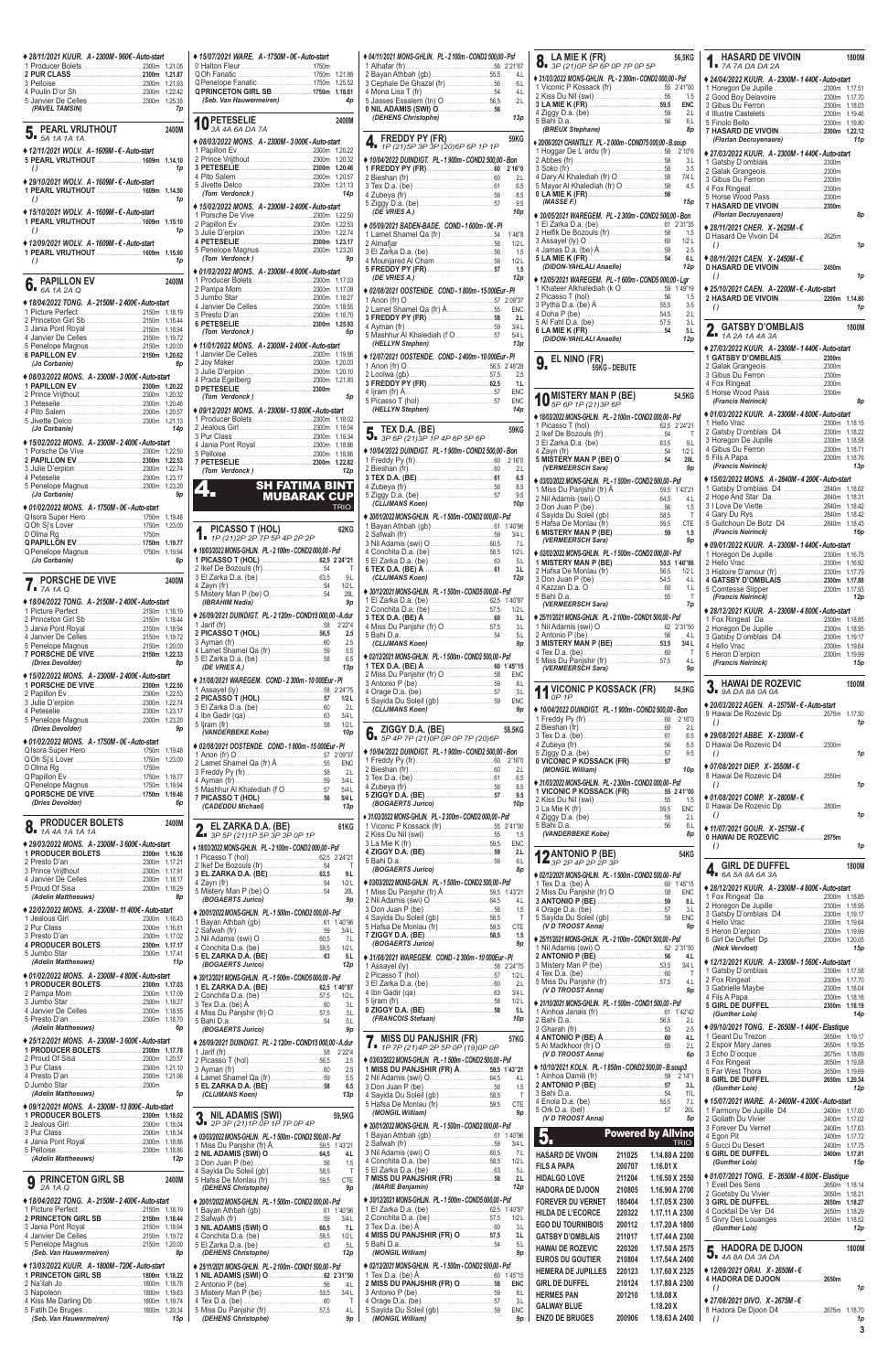| ◆ 28/11/2021 KUUR. A - 2300M - 960€ - Auto-start                                      |                    | $* 15/07/202$                                    |
|---------------------------------------------------------------------------------------|--------------------|--------------------------------------------------|
|                                                                                       | 1.21.87            | 0 Halton Fl<br>QOh Fana                          |
|                                                                                       | 1.21.93            | Q Penelope                                       |
|                                                                                       |                    | <b>QPRINCET</b><br>(Seb. Var                     |
| (PAVEL TAMSIN)                                                                        | 7p                 |                                                  |
| PEARL VRIJTHOUT                                                                       | 2400M              | 10 PETE                                          |
| $\overline{\mathbf{5}}$ . PEARL VINK                                                  |                    | $*08/03/202$                                     |
| ◆ 12/11/2021 WOLV. A - 1609M - € - Auto-start                                         |                    | 1 Papillon                                       |
| 5 PEARL VRIJTHOUT  1609m 1.14.10                                                      | 1p                 | 2 Prince Vi<br>3 PETESE                          |
| $\theta$                                                                              |                    | 4 Pito Sale                                      |
| ◆ 29/10/2021 WOLV. A - 1609M - € - Auto-start<br>1 PEARL VRIJTHOUT  1609m 1.14.50     |                    | 5 Jivette D<br>(Tom Ver                          |
| $\theta$                                                                              | 1p                 | $* 15/02/2022$                                   |
| ♦ 15/10/2021 WOLV. A - 1609M - € - Auto-start                                         |                    | 1 Porsche                                        |
| 1 PEARL VRIJTHOUT  1609m 1.15.10<br>$\theta$                                          | 1p                 | 2 Papillon<br>3 Julie D'e                        |
| ♦ 12/09/2021 WOLV. A - 1609M - € - Auto-start                                         |                    | <b>4 PETESE</b>                                  |
| 1 PEARL VRIJTHOUT  1609m 1.15.90                                                      |                    | 5 Penelope<br>(Tom Ver                           |
| $\theta$                                                                              | 1p                 | $* 01/02/2022$                                   |
| <b>PAPILLON EV</b>                                                                    | 2400M              | 1 Producer                                       |
| $\int_{a}^{b}$ PAMILLAC 64 14 24 Q                                                    |                    | 2 Pampa N<br>3 Jumbo S                           |
| ♦ 18/04/2022 TONG. A - 2150M - 2 400€ - Auto-start                                    |                    | 4 Janvier D                                      |
| 2 Princeton Girl Sb 2150m 1.18.44                                                     |                    | 5 Presto D<br><b>6 PETESE</b>                    |
|                                                                                       | 1.18.94            | (Tom Ver                                         |
| 5 Penelope Magnus2150m 1.20.00                                                        |                    | $*11/01/2022$                                    |
| 6 PAPILLON EV 2150m 1.20.62                                                           |                    | 1 Janvier D                                      |
| (Jo Corbanie)                                                                         | 8p                 | 2 Joy Make<br>3 Julie D'e                        |
| ♦ 08/03/2022 MONS. A - 2300M - 3 000€ - Auto-start                                    |                    | 4 Prada Eo                                       |
|                                                                                       | 1.20.22<br>1.20.32 | <b>D PETESE</b>                                  |
|                                                                                       | 1.20.46            | (Tom Ver                                         |
|                                                                                       |                    | $* 09/12/202$<br>1 Producer                      |
| (Jo Corbanie)                                                                         | 14p                | 2 Jealous                                        |
| ◆ 15/02/2022 MONS. A - 2300M - 2400€ - Auto-start                                     |                    | 3 Pur Clas<br>4 Jania Po                         |
|                                                                                       | 1.22.50            | 5 Pelloise.                                      |
|                                                                                       | 1.22.53<br>1.22.74 | 7 PETESE                                         |
|                                                                                       |                    | (Tom Ver                                         |
|                                                                                       |                    | $\blacktriangle$ $\blacktriangle$                |
| (Jo Corbanie)                                                                         | 9p                 | uΟ                                               |
| ♦ 01/02/2022 MONS. A - 1750M - 0€ - Auto-start<br>Q Isora Super Hero 1750m            | 1.19.48            |                                                  |
|                                                                                       | 1.23.00            |                                                  |
|                                                                                       | 1.19.77            | <b>1.</b> PICA                                   |
| Q Penelope Magnus1750m 1.19.94                                                        |                    | <b>◆ 18/03/2022 M</b>                            |
|                                                                                       |                    |                                                  |
| (Jo Corbanie)                                                                         | 6p                 | 1 PICASSO                                        |
|                                                                                       |                    | 2 Ikef De E<br>3 El Zarka                        |
| <b>PORSCHE DE VIVE</b><br>$\int$ $\vec{r}$ 7A 1A Q                                    | 2400M              | 4 Zayn (fr)<br>5 Mistery N                       |
| ♦ 18/04/2022 TONG. A - 2150M - 2 400€ - Auto-start                                    |                    | <b>(IBRAHII</b>                                  |
| 2 Princeton Girl Sb 2150m                                                             | 1.18.19<br>1.18.44 | $*26/09/2021$                                    |
| 3 Jania Pont Royal 2150m                                                              | 1.18.94            | 1 Jarif (fr).                                    |
| 4 Janvier De Celles 2150m                                                             | 1.19.72            | 2 PICASSO<br>3 Ayman (f                          |
| 7 PORSCHE DE VIVE  2150m 1.22.33                                                      | 1.20.00            | 4 Lamet SI                                       |
| (Dries Devolder)                                                                      | 8p                 | 5 El Zarka<br>(DE VRIE                           |
| ♦ 15/02/2022 MONS. A - 2300M - 2400€ - Auto-start                                     | 1.22.50            | $*31/08/2021$                                    |
|                                                                                       | 1.22.53            | 1 Assayel<br><b>2 PICASSO</b>                    |
|                                                                                       | 1.22.74<br>1.23.17 | 3 El Zarka                                       |
| 5 Penelope Magnus2300m                                                                | 1.23.20            | 4 Ibn Gadi                                       |
| (Dries Devolder)                                                                      | 9p                 | 5 liram (fr)<br>(VANDER                          |
| ♦ 01/02/2022 MONS. A - 1750M - 0€ - Auto-start                                        |                    | $* 02/08/2021$                                   |
|                                                                                       | 1.19.48<br>1.23.00 | 1 Arion (fr)                                     |
|                                                                                       |                    | 2 Lamet SI                                       |
|                                                                                       | 1.19.77            | 3 Freddy P<br>4 Ayman (f                         |
|                                                                                       | 1.19.94<br>1.19.46 | 5 Mashhur                                        |
| (Dries Devolder)                                                                      | 6p                 | 7 PICASSO<br>(CADEDI                             |
| <b>PRODUCER BOLETS</b>                                                                | 2400M              |                                                  |
| 8.<br>1A 4A 1A 1A 1A                                                                  |                    | EL <sub>Z</sub><br>$\frac{1}{3P}$ $\frac{1}{5P}$ |
| ♦ 29/03/2022 MONS. A - 2300M - 3 600€ - Auto-start<br>1 PRODUCER BOLETS 2300m         | 1.16.38            | ◆ 18/03/2022 M                                   |
|                                                                                       | 1.17.21            | 1 Picasso<br>2 Ikef De E                         |
|                                                                                       | 1.17.91<br>1.18.17 | 3 EL ZARK                                        |
|                                                                                       | 1.18.29            | 4 Zayn (fr)<br>5 Mistery N                       |
| (Adelin Mattheeuws)                                                                   | 8p                 | (BOGAE)                                          |
| ◆ 22/02/2022 MONS. A - 2300M - 11 400€ - Auto-start                                   | 1.16.43            | $*$ 20/01/2022 M                                 |
|                                                                                       | 1.16.81            | 1 Bayan At<br>2 Safwah (                         |
|                                                                                       | 1.17.02<br>1.17.17 | 3 Nil Adam                                       |
| 4 PRODUCER BOLETS 2300m                                                               | 1.17.41            | 4 Conchita<br>5 EL ZARK                          |
| (Adelin Mattheeuws)                                                                   | 11p                | (BOGAE)                                          |
| ♦ 01/02/2022 MONS. A - 2300M - 4 800€ - Auto-start<br>1 PRODUCER BOLETS 2300m 1.17.03 |                    | $*30/12/2021M$                                   |
| 3 Jumbo Star<br>4 Janvier De Calles                                                   | 1.17.09<br>1.18.27 | 1 EL ZARK<br>2 Conchita<br>3 Tex D.a.            |

| ◆ 15/07/2021 WARE. A - 1750M - 0€ - Auto-start                                                                                                                                                   |                    | $* 04/11$<br>1 Alh                   |
|--------------------------------------------------------------------------------------------------------------------------------------------------------------------------------------------------|--------------------|--------------------------------------|
|                                                                                                                                                                                                  | 1.21.88            | 2 Bay                                |
| QPRINCETON GIRL SB  1750m                                                                                                                                                                        | 1.25.52<br>1.18.61 | 3 Ce<br>4 Mo                         |
| (Seb. Van Hauwermeiren)                                                                                                                                                                          | 4p                 | 5 Jas                                |
|                                                                                                                                                                                                  |                    | 0 NIL<br>(DI                         |
| 10 PETESELIE                                                                                                                                                                                     | 2400M              |                                      |
| ♦ 08/03/2022 MONS. A - 2300M - 3 000€ - Auto-start                                                                                                                                               |                    | 4 <sub>1</sub>                       |
|                                                                                                                                                                                                  | 1.20.22            |                                      |
|                                                                                                                                                                                                  | 1.20.32<br>1.20.46 | $*10/0$<br>1 FR                      |
|                                                                                                                                                                                                  | 1.20.57            | 2 Bie                                |
| (Tom Verdonck)                                                                                                                                                                                   | 1.21.13<br>14p     | 3 Tex<br>4 Zuł                       |
| ◆ 15/02/2022 MONS. A - 2300M - 2 400€ - Auto-start                                                                                                                                               |                    | 5 Zig                                |
|                                                                                                                                                                                                  | 1.22.50            | (DI                                  |
|                                                                                                                                                                                                  | 1.22.53<br>1.22.74 | $\spadesuit$ 05/0.<br>1 Lar          |
|                                                                                                                                                                                                  | 1.23.17            | 2 Aln                                |
| (Tom Verdonck)                                                                                                                                                                                   | 1.23.20<br>9p      | 3 EI 2                               |
| ♦ 01/02/2022 MONS. A - 2300M - 4 800€ - Auto-start                                                                                                                                               |                    | 4 Mo<br>5 FR                         |
|                                                                                                                                                                                                  | 1.17.03            | (DI                                  |
|                                                                                                                                                                                                  | 1.17.09<br>1.18.27 | $*02/0$                              |
|                                                                                                                                                                                                  | 1.18.55            | 1 Ario<br>2 Lar                      |
|                                                                                                                                                                                                  | 1.18.70<br>1.25.93 | 3 FR                                 |
| (Tom Verdonck)                                                                                                                                                                                   | 6p                 | 4 Ayr<br>5 Ma                        |
| ♦ 11/01/2022 MONS. A - 2300M - 2 400€ - Auto-start                                                                                                                                               |                    | (HL                                  |
|                                                                                                                                                                                                  | 1.19.86            | $*12/0$                              |
|                                                                                                                                                                                                  | 1.20.03<br>1.20.10 | 1 Ario<br>2 Loc                      |
|                                                                                                                                                                                                  | 1.21.93            | 3 FR                                 |
| (Tom Verdonck)                                                                                                                                                                                   | 5p                 | 4 ljra<br>5 Pic                      |
| ♦ 09/12/2021 MONS. A-2300M-13 800€-Auto-start                                                                                                                                                    |                    | (HL                                  |
|                                                                                                                                                                                                  | 1.18.02            |                                      |
|                                                                                                                                                                                                  | 1.18.04<br>1.18.34 | 5. .                                 |
|                                                                                                                                                                                                  | 1.18.86            |                                      |
|                                                                                                                                                                                                  | 1.18.86<br>1.22.82 | $*10/0$<br>1 Fre                     |
| (Tom Verdonck)                                                                                                                                                                                   | 12p                | 2 Bie                                |
| <b>SH FATIMA BINT</b>                                                                                                                                                                            |                    | 3 TE<br>4 Zul                        |
| 4.<br><b>MUBARAK CUP</b>                                                                                                                                                                         |                    | 5 Zig                                |
|                                                                                                                                                                                                  | <b>TRIO</b>        | (CI                                  |
|                                                                                                                                                                                                  |                    |                                      |
|                                                                                                                                                                                                  |                    |                                      |
| PICASSO T (HOL)                                                                                                                                                                                  | 62KG               |                                      |
| $\overline{1}$ = 1P (21) 2P 2P 7P 5P 4P 2P 2P                                                                                                                                                    |                    | $*20/01$<br>1 Bay<br>2 Saf<br>3 Nil. |
| ◆ 18/03/2022 MONS-GHLIN. PL - 2 100m - COND2 000,00 - Psf                                                                                                                                        |                    | 4 Cor<br>5 EI 2                      |
|                                                                                                                                                                                                  | $\top$             | 6 TE)                                |
|                                                                                                                                                                                                  | 9.L<br>1/2L        | (CI)                                 |
|                                                                                                                                                                                                  | 20L                | $*30/12$                             |
| (IBRAHIM Nadia)                                                                                                                                                                                  | 9p                 | 1E12<br>2 Cor                        |
| ♦ 26/09/2021 DUINDIGT. PL - 2 120m - COND15 000,00 - A.dur                                                                                                                                       | 2'22"4             | 3 TE                                 |
|                                                                                                                                                                                                  | 2.5                | 4 Mis<br>5 Bal                       |
|                                                                                                                                                                                                  | 2.5                | (CI)                                 |
|                                                                                                                                                                                                  | 5.5<br>6.5         | $*02/12$                             |
| (DE VRIES A.)                                                                                                                                                                                    | 13р                | 1 TE<br>2 Mis                        |
| ◆ 31/08/2021 WAREGEM. COND - 2 300m - 10 000Eur - PI                                                                                                                                             |                    | 3 Ant                                |
|                                                                                                                                                                                                  | 1/2L               | 4 Ora<br>5 Say                       |
|                                                                                                                                                                                                  | 2.L                | (CI                                  |
|                                                                                                                                                                                                  | 3/4 L<br>1/2L      |                                      |
| (VANDERBEKE Kobe)                                                                                                                                                                                | 10p                | 6.                                   |
|                                                                                                                                                                                                  |                    | $*10/0$                              |
|                                                                                                                                                                                                  | <b>ENC</b>         | 1 Fre                                |
|                                                                                                                                                                                                  | 2.L                | 2 Bie                                |
|                                                                                                                                                                                                  | 3/4 L<br>5/4L      | 3 Tex<br>4 Zuł                       |
| ◆ 02/08/2021 OOSTENDE. COND - 1 800m - 15 000Eur - PI                                                                                                                                            | 5/4 L              | 5 ZIG                                |
| (CADEDDU Michael)                                                                                                                                                                                | 13p                | (B)                                  |
| EL ZARKA D.A. (BE)                                                                                                                                                                               | 61KG               | $*31/03$<br>1 Vic                    |
| $21$ 3P 5P (21) 1P 5P 3P 3P 0P 1P                                                                                                                                                                |                    | 2 Kis                                |
| + 18/03/2022 MONS-GHLIN. PL - 2 100m - COND2 000,00 - Psf                                                                                                                                        |                    | 3 La<br>4 ZIG                        |
|                                                                                                                                                                                                  | $\top$             | 5 Bal                                |
|                                                                                                                                                                                                  | 9.L                | (B                                   |
|                                                                                                                                                                                                  | 1/2L<br>20L        | $*03/03$<br>1 Mis                    |
| (BOGAERTS Jurico)                                                                                                                                                                                | 9p                 | 2 Nil                                |
|                                                                                                                                                                                                  |                    | 3 Dor<br>4 Say                       |
|                                                                                                                                                                                                  | 3/4 L              | 5 Hat                                |
|                                                                                                                                                                                                  | 7.L                | 7 ZIG<br>(B)                         |
|                                                                                                                                                                                                  | 1/2L<br>5.L        |                                      |
| (BOGAERTS Jurico)                                                                                                                                                                                | 12p                | $*31/0$<br>1 Ass                     |
|                                                                                                                                                                                                  |                    | 2 Pic                                |
|                                                                                                                                                                                                  |                    | 3E12<br>4 Ibn                        |
| ◆ 20/01/2022 MONS-GHLIN. PL - 1 500m - COND2 000,00 - Psf<br>♦ 30/12/2021 MONS-GHLIN. PL - 1 500m - COND5 000,00 - Psf<br>2 Conchita D.a. (be) 57,5 1/2L<br>4 Miss Du Panishir (fr) $\Omega$ 575 | 3.L<br>31          | 5 ljra<br>0 ZIG                      |

| ◆ 04/11/2021 MONS-GHLIN. PL - 2 100m - COND2 500,00 - Psf                                                                                                                                                                                                                                                                                                                        |                          |  |
|----------------------------------------------------------------------------------------------------------------------------------------------------------------------------------------------------------------------------------------------------------------------------------------------------------------------------------------------------------------------------------|--------------------------|--|
| 1 Alhafar $(fr)$                                                                                                                                                                                                                                                                                                                                                                 | 4.L                      |  |
|                                                                                                                                                                                                                                                                                                                                                                                  | 6.L                      |  |
|                                                                                                                                                                                                                                                                                                                                                                                  | 4L<br>2.L                |  |
|                                                                                                                                                                                                                                                                                                                                                                                  |                          |  |
| (DEHENS Christophe)                                                                                                                                                                                                                                                                                                                                                              | 13p                      |  |
|                                                                                                                                                                                                                                                                                                                                                                                  |                          |  |
| FREDDY PY (FR)                                                                                                                                                                                                                                                                                                                                                                   | <b>59KG</b>              |  |
| 1P (21) 5P 3P 3P (20) 6P 6P 1P 1P                                                                                                                                                                                                                                                                                                                                                |                          |  |
| ◆ 10/04/2022 DUINDIGT. PL - 1 900m - COND2 500,00 - Bon                                                                                                                                                                                                                                                                                                                          | 2'16"0                   |  |
|                                                                                                                                                                                                                                                                                                                                                                                  | 2.L                      |  |
|                                                                                                                                                                                                                                                                                                                                                                                  | 6.5                      |  |
|                                                                                                                                                                                                                                                                                                                                                                                  | 8.5                      |  |
| (DE VRIES A.)                                                                                                                                                                                                                                                                                                                                                                    | 9.5<br>10 <sub>p</sub>   |  |
|                                                                                                                                                                                                                                                                                                                                                                                  |                          |  |
| ♦ 05/09/2021 BADEN-BADE. COND - 1 600m - 0€ - PI                                                                                                                                                                                                                                                                                                                                 | 1'46"8                   |  |
|                                                                                                                                                                                                                                                                                                                                                                                  | 1/2L                     |  |
|                                                                                                                                                                                                                                                                                                                                                                                  | 1.5                      |  |
|                                                                                                                                                                                                                                                                                                                                                                                  | 1/2L                     |  |
| (DE VRIES A.)                                                                                                                                                                                                                                                                                                                                                                    | 1.5<br>12p               |  |
| ◆ 02/08/2021 OOSTENDE. COND-1 800m-15 000Eur-Pl                                                                                                                                                                                                                                                                                                                                  |                          |  |
| 1 Arion (fr) $0$                                                                                                                                                                                                                                                                                                                                                                 |                          |  |
|                                                                                                                                                                                                                                                                                                                                                                                  | ENC                      |  |
|                                                                                                                                                                                                                                                                                                                                                                                  | 2.L                      |  |
|                                                                                                                                                                                                                                                                                                                                                                                  | 3/4L<br>5/4L             |  |
| (HELLYN Stephen)                                                                                                                                                                                                                                                                                                                                                                 | 13p                      |  |
| ◆ 12/07/2021 OOSTENDE. COND-2 400m-10 000Eur-Pl                                                                                                                                                                                                                                                                                                                                  |                          |  |
|                                                                                                                                                                                                                                                                                                                                                                                  |                          |  |
|                                                                                                                                                                                                                                                                                                                                                                                  | 2.5                      |  |
|                                                                                                                                                                                                                                                                                                                                                                                  | 1.L                      |  |
|                                                                                                                                                                                                                                                                                                                                                                                  | <b>ENC</b><br><b>ENC</b> |  |
| (HELLYN Stephen)                                                                                                                                                                                                                                                                                                                                                                 | 14p                      |  |
|                                                                                                                                                                                                                                                                                                                                                                                  |                          |  |
| TEX D.A. (BE)                                                                                                                                                                                                                                                                                                                                                                    | 59KG                     |  |
| $\mathbf{U}$ 3P 6P (21) 3P 1P 4P 6P 5P 6P                                                                                                                                                                                                                                                                                                                                        |                          |  |
| ◆ 10/04/2022 DUINDIGT. PL - 1 900m - COND2 500,00 - Bon                                                                                                                                                                                                                                                                                                                          |                          |  |
|                                                                                                                                                                                                                                                                                                                                                                                  | 2'16"0<br>2.1            |  |
|                                                                                                                                                                                                                                                                                                                                                                                  | 6.5                      |  |
|                                                                                                                                                                                                                                                                                                                                                                                  | 8.5                      |  |
|                                                                                                                                                                                                                                                                                                                                                                                  | 9.5                      |  |
| (CLIJMANS Koen)                                                                                                                                                                                                                                                                                                                                                                  | 10p                      |  |
| ◆ 20/01/2022 MONS-GHLIN. PL - 1 500m - COND2 000.00 - Psf                                                                                                                                                                                                                                                                                                                        |                          |  |
|                                                                                                                                                                                                                                                                                                                                                                                  |                          |  |
|                                                                                                                                                                                                                                                                                                                                                                                  |                          |  |
|                                                                                                                                                                                                                                                                                                                                                                                  | 3/4 L<br>7.L             |  |
|                                                                                                                                                                                                                                                                                                                                                                                  | 1/2L                     |  |
|                                                                                                                                                                                                                                                                                                                                                                                  | 5.L                      |  |
| 6 TEX D.A. (BE) Å.<br>(CLIJMANS Koen)                                                                                                                                                                                                                                                                                                                                            | 3.L                      |  |
|                                                                                                                                                                                                                                                                                                                                                                                  | 12p                      |  |
| ◆ 30/12/2021 MONS-GHLIN. PL - 1 500m - COND5 000,00 - Psf                                                                                                                                                                                                                                                                                                                        |                          |  |
| 2 Conchita D.a. (be) 57,5                                                                                                                                                                                                                                                                                                                                                        | 1/2L                     |  |
|                                                                                                                                                                                                                                                                                                                                                                                  | 3.L                      |  |
| 4 Miss Du Panjshir (fr) O 57,5                                                                                                                                                                                                                                                                                                                                                   | 3L                       |  |
| 5 Bahi D.a.<br>(CLIJMANS Koen)                                                                                                                                                                                                                                                                                                                                                   | 5.L<br>9p                |  |
|                                                                                                                                                                                                                                                                                                                                                                                  |                          |  |
| ◆ 02/12/2021 MONS-GHLIN. PL - 1 500m - COND2 500,00 - Psf                                                                                                                                                                                                                                                                                                                        |                          |  |
|                                                                                                                                                                                                                                                                                                                                                                                  | ENC                      |  |
|                                                                                                                                                                                                                                                                                                                                                                                  | 8.L                      |  |
|                                                                                                                                                                                                                                                                                                                                                                                  | 3.L<br>ENC               |  |
| (CLIJMANS Koen)                                                                                                                                                                                                                                                                                                                                                                  | 9p                       |  |
|                                                                                                                                                                                                                                                                                                                                                                                  |                          |  |
| ZIGGY D.A. (BE)                                                                                                                                                                                                                                                                                                                                                                  | 58,5KG                   |  |
| <b>6</b> $\overline{6}$ $\overline{4}$ $\overline{5}$ $\overline{7}$ $\overline{7}$ $\overline{6}$ $\overline{2}$ $\overline{2}$ $\overline{2}$ $\overline{2}$ $\overline{2}$ $\overline{2}$ $\overline{2}$ $\overline{2}$ $\overline{2}$ $\overline{2}$ $\overline{2}$ $\overline{2}$ $\overline{2}$ $\overline{2}$ $\overline{2}$ $\overline{2}$ $\overline{2}$ $\overline{2}$ |                          |  |
| ◆ 10/04/2022 DUINDIGT. PL - 1 900m - COND2 500,00 - Bon                                                                                                                                                                                                                                                                                                                          |                          |  |
|                                                                                                                                                                                                                                                                                                                                                                                  | 2'16"0<br>2.L            |  |
|                                                                                                                                                                                                                                                                                                                                                                                  | 6.5                      |  |
|                                                                                                                                                                                                                                                                                                                                                                                  | 8.5                      |  |
| (BOGAERTS Jurico)                                                                                                                                                                                                                                                                                                                                                                | 9.5<br>10 <sub>p</sub>   |  |
|                                                                                                                                                                                                                                                                                                                                                                                  |                          |  |
| ♦ 31/03/2022 MONS-GHLIN. PL - 2 300m - COND2 000,00 - Psf                                                                                                                                                                                                                                                                                                                        |                          |  |
|                                                                                                                                                                                                                                                                                                                                                                                  | 1.5                      |  |
|                                                                                                                                                                                                                                                                                                                                                                                  | <b>ENC</b>               |  |
| 5 Bahi D.a.                                                                                                                                                                                                                                                                                                                                                                      | 2.L<br>6.L               |  |
| (BOGAERTS Jurico)                                                                                                                                                                                                                                                                                                                                                                | 8p                       |  |
| ◆ 03/03/2022 MONS-GHLIN. PL - 1 500m - COND2 500,00 - Psf                                                                                                                                                                                                                                                                                                                        |                          |  |
|                                                                                                                                                                                                                                                                                                                                                                                  | 1'43"21                  |  |
|                                                                                                                                                                                                                                                                                                                                                                                  | 4.L                      |  |
|                                                                                                                                                                                                                                                                                                                                                                                  | 1.5                      |  |
|                                                                                                                                                                                                                                                                                                                                                                                  | $\mathsf T$<br>CTE       |  |
|                                                                                                                                                                                                                                                                                                                                                                                  | 1.5                      |  |
| (BOGAERTS Jurico)                                                                                                                                                                                                                                                                                                                                                                | 9p                       |  |
| ◆ 31/08/2021 WAREGEM. COND-2300m-10 000Eur-PI                                                                                                                                                                                                                                                                                                                                    |                          |  |
|                                                                                                                                                                                                                                                                                                                                                                                  | 2'24"75                  |  |
|                                                                                                                                                                                                                                                                                                                                                                                  | 1/2L<br>2.L              |  |
|                                                                                                                                                                                                                                                                                                                                                                                  | 3/4L                     |  |
|                                                                                                                                                                                                                                                                                                                                                                                  | 1/2L<br>5.L              |  |

| ν ναπινν νιαι                                                                          | 3.L<br>4 Miss Du Panjshir (fr) O<br>3.L                    | $\sim$ quantity is $\mu$ .<br>----<br>5.L<br>(FRANCOIS Stefaan)<br>10p                                      | ◆ Z1/10/Z0Z1 MUNS-GHLIN. PL - 1 500m - COND1 500,00 - PST                                                    | (Gunther Loix)<br>14 <sub>p</sub>                                                                                                                                                                                                                                                                                                                                                                                         |
|----------------------------------------------------------------------------------------|------------------------------------------------------------|-------------------------------------------------------------------------------------------------------------|--------------------------------------------------------------------------------------------------------------|---------------------------------------------------------------------------------------------------------------------------------------------------------------------------------------------------------------------------------------------------------------------------------------------------------------------------------------------------------------------------------------------------------------------------|
| (Adelin Mattheeuws)<br>6p                                                              | 5.L<br>(BOGAERTS Jurico)<br>9p                             |                                                                                                             | 2.L<br>2.5                                                                                                   | ♦ 09/10/2021 TONG. E - 2650M - 1440€ - Elastique                                                                                                                                                                                                                                                                                                                                                                          |
| ♦ 25/12/2021 MONS, A-2300M-3 600€-Auto-start<br>1 PRODUCER BOLETS 2300m 1.17.78        | ◆ 26/09/2021 DUINDIGT. PL - 2 120m - COND15 000,00 - A.dur | <b>7</b> MISS DU PANJSHIR (FR)<br>57KG<br>$\blacksquare$ = 1P 7P (21)4P 2P 5P 0P (19)0P 0P                  | 4.L<br>2.L                                                                                                   |                                                                                                                                                                                                                                                                                                                                                                                                                           |
|                                                                                        | 2.5                                                        | ◆ 03/03/2022 MONS-GHLIN. PL - 1 500m - COND2 500.00 - Psf                                                   | (V D TROOST Anna)<br>6p<br>◆ 10/10/2021 KOLN. PL - 1850m - COND2 500,00 - B.soup3                            |                                                                                                                                                                                                                                                                                                                                                                                                                           |
|                                                                                        | 2.5<br>$4$ Lamet Shamel Qa (fr)<br>5.5                     | 1 MISS DU PANJSHIR (FR) Å59,5 1'43"21                                                                       | 3.L                                                                                                          | 8 GIRL DE DUFFEL  2650m 1.20.34                                                                                                                                                                                                                                                                                                                                                                                           |
| (Adelin Mattheeuws)<br>5p                                                              | 6.5<br>13p<br>(CLIJMANS Koen)                              | 1.5<br>4 Sayida Du Soleil (gb) 58,5<br>T                                                                    | <b>11L</b>                                                                                                   | (Gunther Loix)<br>12p                                                                                                                                                                                                                                                                                                                                                                                                     |
| ♦ 09/12/2021 MONS, A-2300M-13 800€-Auto-start<br>1 PRODUCER BOLETS 2300m 1.18.02       | 2 NIL ADAMIS (SWI)<br>59.5KG                               | <b>CTE</b><br>(MONGIL William)<br>9p                                                                        | 4 Enola D.a. (be)<br>7.L<br><b>20L</b>                                                                       | ♦ 15/07/2021 WARE, A-2400M-4 200€-Auto-start                                                                                                                                                                                                                                                                                                                                                                              |
|                                                                                        | $\overline{3}$ 2P 3P (21) 1P OP 1P 7P OP 4P                | ◆ 20/01/2022 MONS-GHLIN. PL - 1 500m - COND2 000,00 - Psf                                                   | (V D TROOST Anna)<br>5p                                                                                      |                                                                                                                                                                                                                                                                                                                                                                                                                           |
|                                                                                        | ◆ 03/03/2022 MONS-GHLIN. PL - 1 500m - COND2 500,00 - Psf  |                                                                                                             | $\vert 5. \vert$<br><b>Powered by Allvino</b><br><b>TRIO</b>                                                 |                                                                                                                                                                                                                                                                                                                                                                                                                           |
| (Adelin Mattheeuws)<br>12p                                                             | 4.L<br>1.5                                                 | 7.L<br>1/2L                                                                                                 | <b>HASARD DE VIVOIN</b><br>1.14.80 A 2200<br>211025                                                          | 6 GIRL DE DUFFEL  2400m 1.17.81<br>(Gunther Loix)<br>15p                                                                                                                                                                                                                                                                                                                                                                  |
| <b>Q</b> PRINCETON GIRL SB<br>2400M                                                    | 4 Sayida Du Soleil (gb) 58,5<br>T<br><b>CTE</b>            | 4 Conchita D.a. (be)<br>58,5<br>5 El Zarka D.a. (be)<br>5 <sub>L</sub><br>7 MISS DU PANJSHIR (FR) 58<br>2.L | <b>FILS A PAPA</b><br>200707<br>1.16.01X<br><b>HIDALGO LOVE</b><br>1.16.50 X 2550<br>211204                  | ♦ 01/07/2021 TONG, E - 2650M - 4 800€ - Elastique                                                                                                                                                                                                                                                                                                                                                                         |
| 2A 1A Q                                                                                | (DEHENS Christophe)<br>9p                                  | (MARIE Benjamin)<br>12p                                                                                     | <b>HADORA DE DJOON</b><br>210805<br>1.16.90 A 2700                                                           |                                                                                                                                                                                                                                                                                                                                                                                                                           |
| ♦ 18/04/2022 TONG. A - 2150M - 2400€ - Auto-start                                      | ♦ 20/01/2022 MONS-GHLIN. PL - 1 500m - COND2 000.00 - Psf  | ◆ 30/12/2021 MONS-GHLIN. PL - 1 500m - COND5 000.00 - Psf                                                   | <b>FOREVER DU VERNET</b><br>180404<br>1.17.05 X 2300<br><b>HILDA DE L'ECORCE</b><br>1.17.11 A 2300<br>220322 |                                                                                                                                                                                                                                                                                                                                                                                                                           |
| 2 PRINCETON GIRL SB  2150m 1.18.44                                                     | $3/4$ L<br>7.L                                             | 3.L                                                                                                         | 1.17.20 A 1800<br><b>EGO DU TOURNIBOIS</b><br>200112                                                         | (Gunther Loix)<br>12p                                                                                                                                                                                                                                                                                                                                                                                                     |
|                                                                                        | 1/2L<br>5.L                                                | 4 MISS DU PANJSHIR (FR) O 57,5<br>3.L<br>5.L                                                                | <b>GATSBY D'OMBLAIS</b><br>1.17.44 A 2300<br>211017                                                          |                                                                                                                                                                                                                                                                                                                                                                                                                           |
| (Seb. Van Hauwermeiren)<br>8p                                                          | (DEHENS Christophe)<br>12p                                 | (MONGIL William)<br>9p                                                                                      | <b>HAWAI DE ROZEVIC</b><br>220320<br>1.17.50 A 2575<br>1.17.54 A 2400<br><b>EUROS DU GOUTIER</b><br>210804   | <b>E</b> HADORA DE DJOON<br>1800M<br>$\overline{3}$ $\overline{4}$ $\overline{4}$ $\overline{8}$ $\overline{5}$ $\overline{5}$ $\overline{2}$ $\overline{5}$ $\overline{2}$ $\overline{5}$ $\overline{2}$ $\overline{2}$ $\overline{4}$ $\overline{5}$ $\overline{2}$ $\overline{2}$ $\overline{2}$ $\overline{2}$ $\overline{2}$ $\overline{2}$ $\overline{2}$ $\overline{2}$ $\overline{2}$ $\overline{2}$ $\overline{$ |
| ♦ 13/03/2022 KUUR. A - 1800M - 720€ - Auto-start<br>1 PRINCETON GIRL SB  1800m 1.18.22 | ◆ 25/11/2021 MONS-GHLIN. PL - 2 100m - COND1 500,00 - Psf  | ◆ 02/12/2021 MONS-GHLIN. PL - 1 500m - COND2 500,00 - Psf                                                   | <b>HEMERA DE JUPILLES</b><br>220123<br>1.17.60 X 2325                                                        | ♦ 12/09/2021 ORAI. X - 2650M - €                                                                                                                                                                                                                                                                                                                                                                                          |
|                                                                                        | $4+$<br>3/4 L                                              | 2 MISS DU PANJSHIR (FR) O 58 ENC<br>8.L                                                                     | <b>GIRL DE DUFFEL</b><br>1.17.80 A 2300<br>210124<br><b>HERMES PAN</b>                                       | 4 HADORA DE DJOON  2650m<br>1p<br>$\left( \right)$                                                                                                                                                                                                                                                                                                                                                                        |
|                                                                                        | T<br>5 Miss Du Panjshir (fr) 57,5<br>4.L                   | 3.L                                                                                                         | 1.18.08 X<br>201210<br><b>GALWAY BLUE</b><br>1.18.20 X                                                       | $\triangleq$ 27/08/2021 DIVO. X - 2675M - €<br>8 Hadora De Djoon D4<br>.2675m 1.18.70                                                                                                                                                                                                                                                                                                                                     |
| (Seb. Van Hauwermeiren)<br>15 p                                                        | (DEHENS Christophe)<br><b>9p</b>                           | $(MONGIL$ William $)$<br><b>9p</b>                                                                          | <b>ENZO DE BRUGES</b><br>200906<br>1.18.63 A 2400                                                            | 1p<br>$\left( \right)$                                                                                                                                                                                                                                                                                                                                                                                                    |
|                                                                                        |                                                            |                                                                                                             |                                                                                                              |                                                                                                                                                                                                                                                                                                                                                                                                                           |

| $\Omega$ LA MIE K (FR)<br>$\mathbf{O}_{\blacksquare}$ $\frac{3P(21)0P}{3P(6P)}$ $\frac{3P(9P)}{3P}$ $\frac{3P(21)0P}{3P}$ | 56,5KG            | <b>HASARD DI</b><br>■ 7A 7A DA DA                                |
|---------------------------------------------------------------------------------------------------------------------------|-------------------|------------------------------------------------------------------|
| ♦ 31/03/2022 MONS-GHLIN. PL - 2 300m - COND2 000,00 - Psf                                                                 |                   | ♦ 24/04/2022 KUUR.                                               |
|                                                                                                                           |                   | 1 Horegon De Jupi                                                |
|                                                                                                                           | 1.5               | 2 Good Boy Delavo                                                |
|                                                                                                                           | <b>ENC</b><br>2.L | 3 Gibus Du Ferron                                                |
|                                                                                                                           | 6.L               | 4 Illustre Castelets<br>5 Finolo Bello                           |
| (BREUX Stephane)                                                                                                          | 8p                | <b>7 HASARD DE VIV</b>                                           |
| ♦ 20/06/2021 CHANTILLY. PL - 2 000m - COND75 000,00 - B.soup                                                              |                   | (Florian Decruyer                                                |
|                                                                                                                           | 2'10"6            | ♦ 27/03/2022 KUUR.                                               |
|                                                                                                                           | 3.L               | 1 Gatsby D'omblais                                               |
|                                                                                                                           | 3.5               | 2 Galak Grangeois                                                |
|                                                                                                                           | 7/4 L             | 3 Gibus Du Ferron                                                |
| 5 Mayar Al Khalediah (fr) O 58                                                                                            | 4.5               | 4 Fox Ringeat                                                    |
| (MASSE F.)                                                                                                                | 15p               | 5 Horse Wood Pas<br><b>7 HASARD DE VIV</b>                       |
| ♦ 30/05/2021 WAREGEM. PL - 2 300m - COND2 500,00 - Bon                                                                    |                   | (Florian Decruyer                                                |
|                                                                                                                           |                   |                                                                  |
|                                                                                                                           | 1.5               | ♦ 28/11/2021 CHER.<br>D Hasard De Vivoir                         |
|                                                                                                                           | 1/2L              | $\theta$                                                         |
|                                                                                                                           | 2.5               |                                                                  |
| (DIDON-YAHLALI Anaelle)                                                                                                   | 6.L<br>12p        | ♦ 08/11/2021 CAEN.<br><b>DHASARD DE VIV</b>                      |
| ◆ 12/05/2021 WAREGEM. PL - 1 600m - COND5 000,00 - Lgr                                                                    |                   | $\theta$                                                         |
|                                                                                                                           |                   | ♦ 25/10/2021 CAEN.                                               |
|                                                                                                                           | 1.5               | <b>2 HASARD DE VIV</b>                                           |
|                                                                                                                           | 3.5               | $\theta$                                                         |
|                                                                                                                           | 2.L               |                                                                  |
|                                                                                                                           | - 3.L<br>5.L      | <b>GATSBY D'</b>                                                 |
| (DIDON-YAHLALI Anaelle)                                                                                                   | 12p               | $\overline{4}$ 1A 2A 1A 4A                                       |
|                                                                                                                           |                   | ♦ 27/03/2022 KUUR.                                               |
| <b>9. EL NINO (FR)</b>                                                                                                    |                   | <b>1 GATSBY D'OMBI</b>                                           |
| ` 55KG - DEBUTE                                                                                                           |                   | 2 Galak Grangeois<br>3 Gibus Du Ferron                           |
|                                                                                                                           |                   | 4 Fox Ringeat                                                    |
|                                                                                                                           | 54,5KG            | 5 Horse Wood Pas                                                 |
| 10 MISTERY MAN P (BE)                                                                                                     |                   | (Francis Neirinck)                                               |
| ◆ 18/03/2022 MONS-GHLIN. PL - 2 100m - COND2 000,00 - Psf                                                                 |                   | ♦ 01/03/2022 KUUR.                                               |
|                                                                                                                           |                   | 1 Hello Vrac<br>2 Gatsby D'omblais                               |
|                                                                                                                           | $\top$            | 3 Horegon De Jupi                                                |
|                                                                                                                           | 9.L<br>1/2L       | 4 Gibus Du Ferron                                                |
|                                                                                                                           | 20L               | 5 Fils A Papa                                                    |
| (VERMEERSCH Sara)                                                                                                         | 9p                | (Francis Neirinck)                                               |
| ◆ 03/03/2022 MONS-GHLIN. PL - 1 500m - COND2 500,00 - Psf                                                                 |                   | ♦ 15/02/2022 MONS.                                               |
|                                                                                                                           |                   | 1 Gatsby D'omblais                                               |
|                                                                                                                           | 4.L               | 2 Hope And Star D<br>3 I Love De Viette.                         |
|                                                                                                                           | 1.5<br>$\top$     | 4 Gary Du Rys                                                    |
|                                                                                                                           | <b>CTE</b>        | 5 Guitchoun De Bo                                                |
|                                                                                                                           | 1.5               | (Francis Neirinck)                                               |
| (VERMEERSCH Sara)                                                                                                         | 9p                | ◆ 09/01/2022 KUUR.                                               |
| ◆ 02/02/2022 MONS-GHLIN. PL - 1 500m - COND2 000,00 - Psf                                                                 |                   | 1 Horegon De Jupi                                                |
| 1 MISTERY MAN P (BE) 55,5 1'46"86                                                                                         |                   | 2 Hello Vrac                                                     |
|                                                                                                                           | 1/2L              | 3 Histoire D'amour                                               |
|                                                                                                                           | 4.L<br>1.L        | 4 GATSBY D'OMBI<br>5 Comtesse Slippe                             |
|                                                                                                                           | Т                 | (Francis Neirinck)                                               |
| (VERMEERSCH Sara)                                                                                                         | 7p                |                                                                  |
| ◆ 25/11/2021 MONS-GHLIN. PL - 2 100m - COND1 500,00 - Psf                                                                 |                   | ♦ 28/12/2021 KUUR.<br>1 Fox Ringeat Da.                          |
|                                                                                                                           |                   | 2 Horegon De Jupi                                                |
|                                                                                                                           | 4.L               | 3 Gatsby D'omblais                                               |
| 3 MISTERY MAN P (BE) 53,5                                                                                                 | 3/4 L             | 4 Hello Vrac                                                     |
| 57,5 Miss Du Panjshir (fr)                                                                                                | $\top$<br>4.L     | 5 Heron D'erpion                                                 |
| (VERMEERSCH Sara)                                                                                                         | 9p                | (Francis Neirinck)                                               |
|                                                                                                                           |                   | <b>HAWAI DE I</b>                                                |
| 11 VICONIC P KOSSACK (FR)                                                                                                 | 54,5KG            | $\mathbf{3}_{\mathbf{1}}$ and $\mathbf{5}_{\mathbf{A}}$ based of |
|                                                                                                                           |                   | ♦ 20/03/2022 AGEN.                                               |
| ◆ 10/04/2022 DUINDIGT. PL - 1 900m - COND2 500,00 - Bon                                                                   | 2'16"0            | 9 Hawai De Rozevi                                                |
|                                                                                                                           | 2.L               | $\theta$                                                         |
|                                                                                                                           | 6.5               | ♦ 29/08/2021 ABBE.                                               |
|                                                                                                                           | 8.5               | D Hawai De Rozevi                                                |
| 0 VICONIC P KOSSACK (FR) 57                                                                                               | 9.5               | $\theta$                                                         |
| (MONGIL William)                                                                                                          | 10p               | ◆ 07/08/2021 DIEP. >                                             |
| ◆ 31/03/2022 MONS-GHLIN. PL - 2 300m - COND2 000,00 - Psf                                                                 |                   | 8 Hawai De Rozevi                                                |
|                                                                                                                           |                   | $\theta$                                                         |
|                                                                                                                           | 1.5               | ♦ 01/08/2021 COMP.                                               |
|                                                                                                                           | <b>ENC</b>        | 0 Hawai De Rozevi<br>$\theta$                                    |
|                                                                                                                           | 2.L<br>6.L        |                                                                  |
| (VANDERBEKE Kobe)                                                                                                         | 8p                | ♦ 11/07/2021 GOUR.<br>0 HAWAI DE ROZE                            |
|                                                                                                                           |                   | $\theta$                                                         |
| <b>12</b> ANTONIO P (BE)<br>$2P_{3P}$ ap 2P 2P 3P                                                                         | 54KG              |                                                                  |
|                                                                                                                           |                   | <b>GIRL DE DU</b><br>4                                           |
| ◆ 02/12/2021 MONS-GHLIN. PL - 1 500m - COND2 500,00 - Psf                                                                 |                   | <b>B</b> 6A 5A 8A 6A                                             |
|                                                                                                                           | <b>ENC</b>        | ♦ 28/12/2021 KUUR.                                               |
|                                                                                                                           | 8.L               | 1 Fox Ringeat Da.<br>2 Horegon De Jupi                           |
|                                                                                                                           | 3.L               | 3 Gatsby D'omblais                                               |
| (V D TROOST Anna)                                                                                                         | <b>ENC</b><br>9p  | 4 Hello Vrac                                                     |
|                                                                                                                           |                   | 5 Heron D'erpion                                                 |
| ◆ 25/11/2021 MONS-GHLIN. PL - 2 100m - COND1 500,00 - Psf                                                                 |                   | 6 Girl De Duffel Dr                                              |
|                                                                                                                           | 4.L               | (Nick Vervloet)                                                  |
|                                                                                                                           | $3/4$ L           | ◆ 12/12/2021 KUUR.                                               |
|                                                                                                                           | $\top$            | 1 Gatsby D'omblais<br>2 Fox Ringeat                              |
| (V D TROOST Anna)                                                                                                         | 4.L<br>9p         | 3 Gabrielle Maybe                                                |
| ◆ 21/10/2021 MONS-GHLIN. PL - 1 500m - COND1 500,00 - Psf                                                                 |                   | 4 Fils A Papa                                                    |
|                                                                                                                           |                   | 5 GIRL DE DUFFEI                                                 |

| <b>HASARD DE VIVOIN</b><br>$\blacksquare$ 7A 7A DA DA 2A                            | 1800M              |
|-------------------------------------------------------------------------------------|--------------------|
| ◆ 24/04/2022 KUUR. A - 2300M - 1 440€ - Auto-start                                  |                    |
|                                                                                     | 1.17.51            |
|                                                                                     | 1.17.70            |
|                                                                                     | 1.18.03            |
|                                                                                     | 1.19.46            |
| 7 HASARD DE VIVOIN  2300m                                                           | 1.19.80<br>1.22.12 |
| (Florian Decruyenaere)                                                              | 11 p               |
| ♦ 27/03/2022 KUUR. A - 2300M - 1 440€ - Auto-start                                  |                    |
|                                                                                     |                    |
|                                                                                     |                    |
|                                                                                     |                    |
|                                                                                     |                    |
| 7 HASARD DE VIVOIN  2300m                                                           |                    |
| (Florian Decruyenaere)                                                              | 8p                 |
| ♦ 28/11/2021 CHER. X-2625M-€                                                        |                    |
| D Hasard De Vivoin D4 2625m                                                         |                    |
| $\theta$                                                                            | 1p                 |
| ♦ 08/11/2021 CAEN. X-2450M-€                                                        |                    |
| D HASARD DE VIVOIN  2450m                                                           |                    |
| $\theta$                                                                            | 1p                 |
| ♦ 25/10/2021 CAEN. A-2200M- €-Auto-start                                            |                    |
| 2 HASARD DE VIVOIN  2200m                                                           | 1.14.80            |
| $\left( \right)$                                                                    | 1p                 |
|                                                                                     |                    |
| <b>GATSBY D'OMBLAIS</b><br>$A$ 1A 2A 1A 4A 3A                                       | 1800M              |
|                                                                                     |                    |
| ◆ 27/03/2022 KUUR. A - 2300M - 1 440€ - Auto-start<br>1 GATSBY D'OMBLAIS 2300m      |                    |
|                                                                                     |                    |
|                                                                                     |                    |
|                                                                                     |                    |
| (Francis Neirinck)                                                                  |                    |
|                                                                                     | 8p                 |
| ♦ 01/03/2022 KUUR. A - 2300M - 4 800€ - Auto-start                                  |                    |
|                                                                                     | 1.18.15<br>1.18.22 |
|                                                                                     | 1.18.58            |
|                                                                                     | 1.18.71            |
|                                                                                     | 1.18.76            |
| (Francis Neirinck)                                                                  | 13p                |
| ◆ 15/02/2022 MONS. A - 2840M - 4 200€ - Auto-start                                  |                    |
| 1 Gatsby D'omblais D4 2840m                                                         | 1.18.02            |
|                                                                                     | 1.18.31<br>1.18.42 |
|                                                                                     | 1.18.42            |
|                                                                                     | 1.18.43            |
| (Francis Neirinck)                                                                  | 16p                |
| ♦ 09/01/2022 KUUR. A - 2300M - 1 440€ - Auto-start                                  |                    |
|                                                                                     | 1.16.75            |
| 2 Hello Vrac<br>2300m                                                               | 1.16.92<br>1.17.79 |
| 4 GATSBY D'OMBLAIS  2300m                                                           | 1.17.88            |
|                                                                                     | 1.17.93            |
| (Francis Neirinck)                                                                  | 12p                |
| ◆ 28/12/2021 KUUR. A - 2300M - 4 800€ - Auto-start                                  |                    |
|                                                                                     | 1.18.85            |
| 2 Horegon De Jupille 2300m                                                          | 1.18.95<br>1.19.17 |
|                                                                                     | 1.19.64            |
|                                                                                     | 1.19.99            |
| (Francis Neirinck)                                                                  | 15p                |
|                                                                                     |                    |
| <b>HAWAI DE ROZEVIC</b><br>$\overline{\mathbf{J}}$ <b>9A DA 8A 0A 0A</b>            | 1800M              |
|                                                                                     |                    |
| ◆ 20/03/2022 AGEN. A - 2575M - € - Auto-start<br>9 Hawai De Rozevic Dp2575m 1.17.50 |                    |
| $\theta$                                                                            | 1p                 |
| ♦ 29/08/2021 ABBE. X - 2300M - €                                                    |                    |
|                                                                                     |                    |
| $\theta$                                                                            | 1p                 |
|                                                                                     |                    |
| ◆ 07/08/2021 DIEP. X-2550M-€<br>8 Hawai De Rozevic D42550m                          |                    |
| $\theta$                                                                            | 1p                 |
| ♦ 01/08/2021 COMP. X - 2800M - €                                                    |                    |
| 0 Hawai De Rozevic Dp2800m                                                          |                    |
| $\theta$                                                                            | 1p                 |
| ♦ 11/07/2021 GOUR. X-2575M- €                                                       |                    |
| 0 HAWAI DE ROZEVIC  2575m                                                           |                    |
| $\left( \right)$                                                                    | 1p                 |
| <b>GIRL DE DUFFEL</b>                                                               | <b>1800M</b>       |
| <sup>H</sup> ∎ 6A 5A 8A 6A 3A                                                       |                    |
| ◆ 28/12/2021 KUUR. A - 2300M - 4 800€ - Auto-start                                  |                    |
|                                                                                     |                    |
| 2 Horegon De Jupille 2300m                                                          | 1.18.95            |
|                                                                                     | 1.19.17            |
|                                                                                     | 1.19.64            |
|                                                                                     | 1.19.99<br>1.20.05 |
| (Nick Vervloet)                                                                     | 15p                |
| ◆ 12/12/2021 KUUR. A - 2300M - 1 560€ - Auto-start                                  |                    |
|                                                                                     | 1.17.58            |
|                                                                                     | 1.17.70            |
|                                                                                     |                    |
|                                                                                     | 1.18.04            |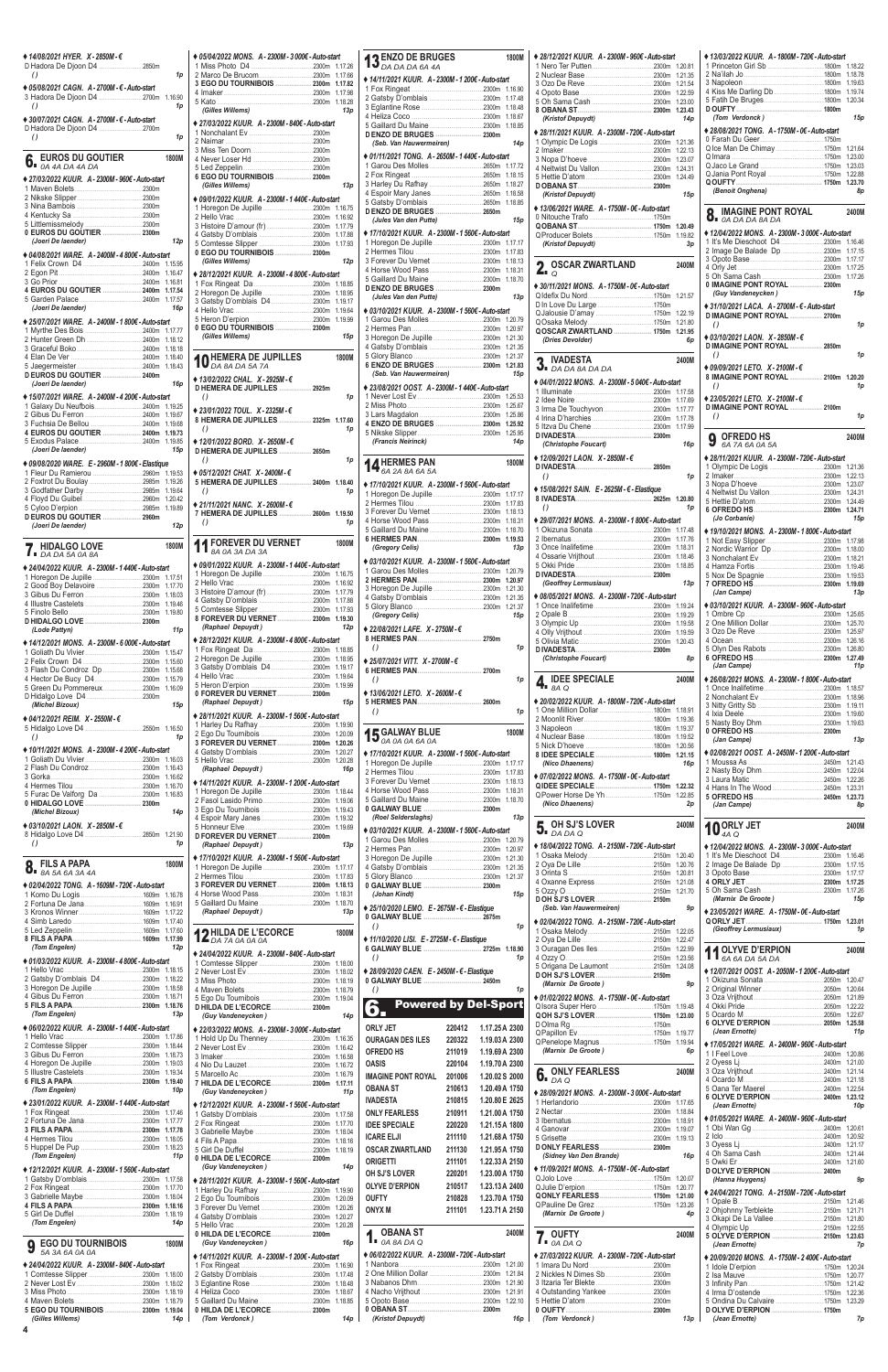**4**

| ♦ 14/08/2021 HYER. X - 2850M - €                                                                                                                                                                                                                                                                                                                                                                                                                                                                                                                    |                    |
|-----------------------------------------------------------------------------------------------------------------------------------------------------------------------------------------------------------------------------------------------------------------------------------------------------------------------------------------------------------------------------------------------------------------------------------------------------------------------------------------------------------------------------------------------------|--------------------|
|                                                                                                                                                                                                                                                                                                                                                                                                                                                                                                                                                     |                    |
| $\theta$                                                                                                                                                                                                                                                                                                                                                                                                                                                                                                                                            | 1p                 |
| ♦ 05/08/2021 CAGN. A-2700M- €-Auto-start<br>3 Hadora De Djoon D4 2700m 1.16.90<br>$\theta$                                                                                                                                                                                                                                                                                                                                                                                                                                                          | 1p                 |
| ♦ 30/07/2021 CAGN. A-2700M- €-Auto-start                                                                                                                                                                                                                                                                                                                                                                                                                                                                                                            |                    |
| $\theta$                                                                                                                                                                                                                                                                                                                                                                                                                                                                                                                                            | 1p                 |
| <b>EUROS DU GOUTIER</b><br>$\int_{\mathsf{B}}$ EURUS $\mathcal{L}_{\mathcal{A}}$ DA 4A DA 4A DA                                                                                                                                                                                                                                                                                                                                                                                                                                                     | 1800M              |
| ♦ 27/03/2022 KUUR. A - 2300M - 960€ - Auto-start                                                                                                                                                                                                                                                                                                                                                                                                                                                                                                    |                    |
|                                                                                                                                                                                                                                                                                                                                                                                                                                                                                                                                                     |                    |
|                                                                                                                                                                                                                                                                                                                                                                                                                                                                                                                                                     |                    |
|                                                                                                                                                                                                                                                                                                                                                                                                                                                                                                                                                     |                    |
| 0 EUROS DU GOUTIER  2300m                                                                                                                                                                                                                                                                                                                                                                                                                                                                                                                           |                    |
| (Joeri De laender)                                                                                                                                                                                                                                                                                                                                                                                                                                                                                                                                  | 12p                |
| ♦ 04/08/2021 WARE. A - 2400M - 4 800€ - Auto-start                                                                                                                                                                                                                                                                                                                                                                                                                                                                                                  |                    |
|                                                                                                                                                                                                                                                                                                                                                                                                                                                                                                                                                     | 1.16.47            |
|                                                                                                                                                                                                                                                                                                                                                                                                                                                                                                                                                     | 1.16.81            |
| 4 EUROS DU GOUTIER  2400m 1.17.54                                                                                                                                                                                                                                                                                                                                                                                                                                                                                                                   |                    |
| (Joeri De laender)                                                                                                                                                                                                                                                                                                                                                                                                                                                                                                                                  | 16p                |
| ♦ 25/07/2021 WARE. A - 2400M - 1 800€ - Auto-start                                                                                                                                                                                                                                                                                                                                                                                                                                                                                                  |                    |
|                                                                                                                                                                                                                                                                                                                                                                                                                                                                                                                                                     |                    |
|                                                                                                                                                                                                                                                                                                                                                                                                                                                                                                                                                     |                    |
|                                                                                                                                                                                                                                                                                                                                                                                                                                                                                                                                                     | 1.18.40            |
|                                                                                                                                                                                                                                                                                                                                                                                                                                                                                                                                                     |                    |
| D EUROS DU GOUTIER  2400m<br>(Joeri De laender)                                                                                                                                                                                                                                                                                                                                                                                                                                                                                                     | 16p                |
| ♦ 15/07/2021 WARE. A - 2400M - 4 200€ - Auto-start                                                                                                                                                                                                                                                                                                                                                                                                                                                                                                  |                    |
| 1 Galaxy Du Neufbois2400m 1.19.25                                                                                                                                                                                                                                                                                                                                                                                                                                                                                                                   |                    |
| 3 Fuchsia De Bellou 2400m                                                                                                                                                                                                                                                                                                                                                                                                                                                                                                                           | 1.19.67<br>1.19.68 |
| 4 EUROS DU GOUTIER  2400m 1.19.73                                                                                                                                                                                                                                                                                                                                                                                                                                                                                                                   |                    |
|                                                                                                                                                                                                                                                                                                                                                                                                                                                                                                                                                     |                    |
| (Joeri De laender)                                                                                                                                                                                                                                                                                                                                                                                                                                                                                                                                  | 15p                |
| ♦ 09/08/2020 WARE. E - 2960M - 1 800€ - Elastique                                                                                                                                                                                                                                                                                                                                                                                                                                                                                                   | 1.19.53            |
| 2 Foxtrot Du Boulay2985m                                                                                                                                                                                                                                                                                                                                                                                                                                                                                                                            | 1.19.26            |
|                                                                                                                                                                                                                                                                                                                                                                                                                                                                                                                                                     |                    |
|                                                                                                                                                                                                                                                                                                                                                                                                                                                                                                                                                     |                    |
| D EUROS DU GOUTIER  2960m<br>(Joeri De laender)                                                                                                                                                                                                                                                                                                                                                                                                                                                                                                     | 12p                |
| <b>HIDALGO LOVE</b>                                                                                                                                                                                                                                                                                                                                                                                                                                                                                                                                 | 1800M              |
| $7.$ DA DA 5A 0A 8A                                                                                                                                                                                                                                                                                                                                                                                                                                                                                                                                 |                    |
|                                                                                                                                                                                                                                                                                                                                                                                                                                                                                                                                                     |                    |
|                                                                                                                                                                                                                                                                                                                                                                                                                                                                                                                                                     |                    |
|                                                                                                                                                                                                                                                                                                                                                                                                                                                                                                                                                     | 1.17.51<br>1.17.70 |
|                                                                                                                                                                                                                                                                                                                                                                                                                                                                                                                                                     |                    |
|                                                                                                                                                                                                                                                                                                                                                                                                                                                                                                                                                     | 1.19.46<br>1.19.80 |
|                                                                                                                                                                                                                                                                                                                                                                                                                                                                                                                                                     |                    |
| (Lode Pattyn)                                                                                                                                                                                                                                                                                                                                                                                                                                                                                                                                       | 11 <sub>p</sub>    |
|                                                                                                                                                                                                                                                                                                                                                                                                                                                                                                                                                     |                    |
|                                                                                                                                                                                                                                                                                                                                                                                                                                                                                                                                                     | 1.15.60            |
|                                                                                                                                                                                                                                                                                                                                                                                                                                                                                                                                                     | 1.15.68            |
|                                                                                                                                                                                                                                                                                                                                                                                                                                                                                                                                                     | 1.15.79            |
|                                                                                                                                                                                                                                                                                                                                                                                                                                                                                                                                                     |                    |
| (Michel Bizoux)                                                                                                                                                                                                                                                                                                                                                                                                                                                                                                                                     | 15p                |
|                                                                                                                                                                                                                                                                                                                                                                                                                                                                                                                                                     |                    |
| $\theta$                                                                                                                                                                                                                                                                                                                                                                                                                                                                                                                                            | 1p                 |
|                                                                                                                                                                                                                                                                                                                                                                                                                                                                                                                                                     |                    |
|                                                                                                                                                                                                                                                                                                                                                                                                                                                                                                                                                     | 1.16.03            |
|                                                                                                                                                                                                                                                                                                                                                                                                                                                                                                                                                     | 1.16.43<br>1.16.62 |
|                                                                                                                                                                                                                                                                                                                                                                                                                                                                                                                                                     | 1.16.70            |
|                                                                                                                                                                                                                                                                                                                                                                                                                                                                                                                                                     | 1.16.83            |
| (Michel Bizoux)                                                                                                                                                                                                                                                                                                                                                                                                                                                                                                                                     | 14p                |
|                                                                                                                                                                                                                                                                                                                                                                                                                                                                                                                                                     |                    |
| $\theta$                                                                                                                                                                                                                                                                                                                                                                                                                                                                                                                                            | 1p                 |
| <b>FILS A PAPA</b>                                                                                                                                                                                                                                                                                                                                                                                                                                                                                                                                  | 1800M              |
|                                                                                                                                                                                                                                                                                                                                                                                                                                                                                                                                                     |                    |
| ◆ 24/04/2022 KUUR. A - 2300M - 1 440€ - Auto-start<br>D HIDALGO LOVE  2300m<br>♦ 14/12/2021 MONS. A - 2300M - 6 000€ - Auto-start<br>3 Flash Du Condroz Dp 2300m<br>5 Green Du Pommereux2300m 1.16.09<br>◆ 04/12/2021 REIM. X - 2550M - €<br>5 Hidalgo Love D4 2550m 1.16.50<br>◆ 10/11/2021 MONS. A - 2300M - 4 200€ - Auto-start<br>5 Furac De Valforg Da 2300m<br>0 HIDALGO LOVE  2300m<br>◆ 03/10/2021 LAON. X-2850M-€<br>8 Hidalgo Love D4 2850m 1.21.90<br>$\sum_{\text{BA 5A 6A 3A 4A}}$<br>♦ 02/04/2022 TONG. A - 1609M - 720€ - Auto-start |                    |
|                                                                                                                                                                                                                                                                                                                                                                                                                                                                                                                                                     | 1.16.78<br>1.16.91 |
|                                                                                                                                                                                                                                                                                                                                                                                                                                                                                                                                                     | 1.17.22            |
|                                                                                                                                                                                                                                                                                                                                                                                                                                                                                                                                                     | 1.17.40<br>1.17.60 |
|                                                                                                                                                                                                                                                                                                                                                                                                                                                                                                                                                     | 1.17.99            |
| (Tom Engelen)                                                                                                                                                                                                                                                                                                                                                                                                                                                                                                                                       | 12p                |
| ◆ 01/03/2022 KUUR. A - 2300M - 4 800€ - Auto-start                                                                                                                                                                                                                                                                                                                                                                                                                                                                                                  |                    |
|                                                                                                                                                                                                                                                                                                                                                                                                                                                                                                                                                     |                    |

| /2022 MONS. A-2300M-3000€-Auto-start                                   |                    | 13 <sub>l</sub>        |
|------------------------------------------------------------------------|--------------------|------------------------|
| co De Brucom 2300m                                                     | 1.17.66            |                        |
| DU TOURNIBOIS  2300m                                                   | 1.17.82            | $* 14/1$               |
|                                                                        | 1.17.98            | 1 Fox<br>2 Gat         |
| es Willems)                                                            | 1.18.28<br>13p     | 3 Egla                 |
|                                                                        |                    | 4 Heli                 |
| /2022 KUUR.  A - 2300M - 840€ - Auto-start                             |                    | 5 Gai<br><b>DENZ</b>   |
|                                                                        |                    | (Se                    |
|                                                                        |                    | $* 01/11$              |
| er Loser Hd 2300m                                                      |                    | 1 Gar                  |
| DU TOURNIBOIS  2300m                                                   |                    | 2 Fox                  |
| es Willems)                                                            | 13p                | 3 Har<br>4 Esp         |
| /2022 KUUR. A - 2300M - 1 440€ - Auto-start                            |                    | 5 Gat                  |
|                                                                        |                    | <b>DENZ</b>            |
|                                                                        | 1.16.92            | (Ju                    |
| sby D'omblais 2300m                                                    | 1.17.88            | $*17/1$                |
|                                                                        | 1.17.93            | 1 Hor                  |
| DU TOURNIBOIS  2300m<br>es Willems)                                    | 12p                | 2 Her<br>3 For         |
| /2021 KUUR. A-2300M-4800€-Auto-start                                   |                    | 4 Hor                  |
|                                                                        | 1.18.85            | 5 Gai                  |
| egon De Jupille 2300m                                                  | 1.18.95            | <b>DENZ</b><br>(Ju     |
| by D'omblais D4 2300m                                                  | 1.19.17<br>1.19.64 | $* 03/10$              |
|                                                                        | 1.19.99            | 1 Gar                  |
| DU TOURNIBOIS  2300m                                                   |                    | 2 Her                  |
| es Willems)                                                            | 15p                | 3 Hor                  |
|                                                                        |                    | 4 Gat<br>5 Glo         |
| <b>IEMERA DE JUPILLES</b><br>A 8A DA 5A 7A                             | 1800M              | 6 ENZ                  |
| /2022 CHAL.  X - 2925M - €                                             |                    | (Se                    |
| IERA DE JUPILLES  2925m                                                |                    | $* 23/0$               |
|                                                                        | 1p                 | 1 Nev                  |
| /2022 TOUL. X-2325M-€                                                  |                    | 2 Mis                  |
| IERA DE JUPILLES  2325m 1.17.60                                        |                    | 3 Lars<br>4 ENZ        |
|                                                                        | 1p                 | 5 Niks                 |
| /2022 BORD. X-2650M-€                                                  |                    | (Fra                   |
| IERA DE JUPILLES  2650m                                                |                    |                        |
|                                                                        | 1p                 | $\mathbf{14}^{\prime}$ |
| /2021 CHAT. X - 2400M - €                                              |                    |                        |
| IERA DE JUPILLES  2400m 1.18.40                                        | 1p                 | $*17/1$                |
| /2021 NANC. X-2600M-€                                                  |                    | 1 Hor<br>2 Her         |
|                                                                        |                    |                        |
|                                                                        |                    | 3 For                  |
| IERA DE JUPILLES  2600m 1.19.50                                        | 1p                 | 4 Hor                  |
|                                                                        |                    | 5 Gai                  |
| OREVER DU VERNET                                                       | 1800M              | 6 HEF<br>(Gr           |
| 'A 0A 3A DA 3A                                                         |                    |                        |
| /2022 KUUR. A - 2300M - 1 440€ - Auto-start                            |                    | $* 03/10$<br>1 Gar     |
| o Vrac 2300m                                                           | 1.16.75<br>1.16.92 | 2 HEF                  |
| pire D'amour (fr) 2300m                                                | 1.17.79            | 3 Hor                  |
|                                                                        | 1.17.88            | 4 Gat<br>5 Glo         |
|                                                                        | 1.17.93<br>1.19.30 | (Gr                    |
| EVER DU VERNET 2300m<br>ohael Depuydt)                                 | 12p                | $*22/0$                |
| /2021 KUUR. A-2300M-4 800€-Auto-start                                  |                    | 8 HER                  |
|                                                                        | 1.18.85            | ()                     |
|                                                                        | 1.18.95            | $*25/0$                |
| sby D'omblais D42300m                                                  | 1.19.17<br>1.19.64 | 6 HEF                  |
|                                                                        | 1.19.99            | $\theta$               |
| <b>IEVER DU VERNET 2300m</b>                                           |                    | $* 13/0$               |
| ohael Depuydt)                                                         | 15p                | 5 HEF<br>$\theta$      |
| /2021 KUUR. A-2300M-1560€-Auto-start                                   |                    |                        |
| ey Du Rafhay 2300m 1.19.90                                             | 1.20.09            |                        |
| EVER DU VERNET 2300m                                                   | 1.20.26            | 15 <sub>o</sub>        |
|                                                                        | 1.20.27            | $*17/10$               |
| chael Depuydt)                                                         | 1.20.28<br>16p     | 1 Hor                  |
|                                                                        |                    | 2 Her<br>3 For         |
| /2021 KUUR. A-2300M-1 200€-Auto-start<br>egon De Jupille 2300m 1.18.44 |                    | 4 Hor                  |
| Jl Lasido Primo 2300m                                                  | 1.19.06            | 5 Gai                  |
|                                                                        | 1.19.43            | 0 GAI<br>(Ro           |
| oir Mary Janes 2300m                                                   | 1.19.32<br>1.19.69 |                        |
| EVER DU VERNET 2300m                                                   |                    | $*03/10$<br>1 Gar      |
| ohael Depuydt)                                                         | 13p                | 2 Her                  |
| /2021 KUUR. A - 2300M - 1 560€ - Auto-start                            |                    | 3 Hor                  |
| egon De Jupille 2300m                                                  | 1.17.17<br>1.17.83 | 4 Gat<br>5 Glo         |
| EVER DU VERNET 2300m                                                   | 1.18.13            | 0 GAI                  |
| e Wood Pass2300m                                                       | 1.18.31            | (Jo                    |
| lard Du Maine2300m<br>ohael Depuydt)                                   | 1.18.70<br>13p     | $*25/1$                |
|                                                                        |                    | 0 GAI                  |
| <b>IILDA DE L'ECORCE</b>                                               | 1800M              | $\theta$               |
| <b>A 7A 0A 0A 0A</b>                                                   |                    | $*11/10$               |
| /2022 KUUR. A - 2300M - 840€ - Auto-start                              |                    | 6 GAI<br>$\theta$      |
|                                                                        | 1.18.00            | $* 28/0$               |
|                                                                        | 1.18.02<br>1.18.19 | 0 GAI                  |
|                                                                        | 1.18.79<br>1.19.04 | $\theta$               |

| ◆ 14/08/2021 HYER. X - 2850M - €                                                                                                                                                                                                 | ♦ 05/04/2022 MONS. A - 2300M - 3 000€ - Auto-start                        | <b>13</b> ENZO DE BRUGES<br>13 DA DA DA 6A 4A                                                                                                  | ◆ 28/12/2021 KUUR. A - 2300M - 960€ - Auto-start                                       | ◆ 13/03/2022 KUUR. A - 1800M - 720€ - Auto-start                                 |
|----------------------------------------------------------------------------------------------------------------------------------------------------------------------------------------------------------------------------------|---------------------------------------------------------------------------|------------------------------------------------------------------------------------------------------------------------------------------------|----------------------------------------------------------------------------------------|----------------------------------------------------------------------------------|
| D Hadora De Djoon D4 2850m<br>1p                                                                                                                                                                                                 |                                                                           |                                                                                                                                                |                                                                                        |                                                                                  |
| $\left( \right)$                                                                                                                                                                                                                 | 3 EGO DU TOURNIBOIS  2300m 1.17.82                                        | ♦ 14/11/2021 KUUR. A - 2300M - 1 200€ - Auto-start                                                                                             |                                                                                        |                                                                                  |
| ♦ 05/08/2021 CAGN. A-2700M- €-Auto-start<br>3 Hadora De Djoon D4 2700m 1.16.90                                                                                                                                                   |                                                                           |                                                                                                                                                |                                                                                        |                                                                                  |
| 1p<br>$\left( \right)$                                                                                                                                                                                                           | (Gilles Willems)<br>13p                                                   |                                                                                                                                                |                                                                                        |                                                                                  |
| ♦ 30/07/2021 CAGN. A-2700M- €-Auto-start                                                                                                                                                                                         | ◆ 27/03/2022 KUUR. A - 2300M - 840€ - Auto-start                          | 5 Gaillard Du Maine2300m 1.18.85                                                                                                               | (Kristof Depuydt)<br>14p                                                               | (Tom Verdonck)<br>15p                                                            |
| $\left( \right)$<br>1p                                                                                                                                                                                                           |                                                                           | D ENZO DE BRUGES  2300m                                                                                                                        | ◆ 28/11/2021 KUUR. A - 2300M - 720€ - Auto-start                                       | ◆ 28/08/2021 TONG. A - 1750M - 0€ - Auto-start                                   |
|                                                                                                                                                                                                                                  |                                                                           | (Seb. Van Hauwermeiren)<br>14 <sub>p</sub>                                                                                                     |                                                                                        | Qlce Man De Chimay 1750m 1.21.64                                                 |
| <b>6.</b> EUROS DU GOUTIER $\frac{1}{2}$<br>1800M                                                                                                                                                                                |                                                                           | ♦ 01/11/2021 TONG. A - 2650M - 1 440€ - Auto-start                                                                                             |                                                                                        |                                                                                  |
|                                                                                                                                                                                                                                  |                                                                           |                                                                                                                                                |                                                                                        |                                                                                  |
| ◆ 27/03/2022 KUUR. A - 2300M - 960€ - Auto-start                                                                                                                                                                                 | 6 EGO DU TOURNIBOIS  2300m<br>13p                                         |                                                                                                                                                |                                                                                        |                                                                                  |
|                                                                                                                                                                                                                                  | (Gilles Willems)                                                          |                                                                                                                                                | (Kristof Depuydt)<br>15p                                                               | (Benoit Onghena)<br>8p                                                           |
|                                                                                                                                                                                                                                  | ◆ 09/01/2022 KUUR. A - 2300M - 1 440€ - Auto-start                        |                                                                                                                                                | ◆ 13/06/2021 WARE. A-1750M-0€-Auto-start                                               |                                                                                  |
|                                                                                                                                                                                                                                  |                                                                           | (Jules Van den Putte)<br>15p                                                                                                                   |                                                                                        | <b>Q</b> IMAGINE PONT ROYAL<br>2400N<br>$\overline{O}$ <b>DADADA 8ADA</b>        |
| 0 EUROS DU GOUTIER 2300m                                                                                                                                                                                                         |                                                                           |                                                                                                                                                |                                                                                        | ♦ 12/04/2022 MONS. A - 2300M - 3 000€ - Auto-start                               |
| (Joeri De laender)<br>12p                                                                                                                                                                                                        |                                                                           | ◆ 17/10/2021 KUUR. A - 2300M - 1 560€ - Auto-start                                                                                             | (Kristof Depuydt)<br>3p                                                                |                                                                                  |
| ◆ 04/08/2021 WARE. A - 2400M - 4 800€ - Auto-start                                                                                                                                                                               | 0 EGO DU TOURNIBOIS  2300m                                                |                                                                                                                                                |                                                                                        | 2 Image De Balade Dp 2300m 1.17.15                                               |
|                                                                                                                                                                                                                                  | (Gilles Willems)<br>12p                                                   | 3 Forever Du Vernet 2300m 1.18.13                                                                                                              | <b>2.</b> $_{\odot}$ OSCAR ZWARTLAND<br>2400M                                          |                                                                                  |
|                                                                                                                                                                                                                                  | ♦ 28/12/2021 KUUR. A - 2300M - 4 800€ - Auto-start                        |                                                                                                                                                |                                                                                        |                                                                                  |
| 4 EUROS DU GOUTIER  2400m 1.17.54                                                                                                                                                                                                |                                                                           |                                                                                                                                                | ♦ 30/11/2021 MONS. A - 1750M - 0€ - Auto-start                                         | 0 IMAGINE PONT ROYAL  2300m<br>15p<br>(Guy Vandeneycken )                        |
|                                                                                                                                                                                                                                  |                                                                           | (Jules Van den Putte)<br>13p                                                                                                                   | D In Love Du Large 1750m                                                               |                                                                                  |
| (Joeri De laender)<br>16 <sub>p</sub>                                                                                                                                                                                            |                                                                           | ♦ 03/10/2021 KUUR. A - 2300M - 1 560€ - Auto-start                                                                                             |                                                                                        | ♦ 31/10/2021 LACA, A-2700M- €-Auto-start<br><b>D IMAGINE PONT ROYAL  2700m</b>   |
| ◆ 25/07/2021 WARE. A - 2400M - 1 800€ - Auto-start                                                                                                                                                                               | 0 EGO DU TOURNIBOIS  2300m                                                |                                                                                                                                                | QOSCAR ZWARTLAND  1750m 1.21.95                                                        | $\left( \right)$<br>1 <sub>p</sub>                                               |
|                                                                                                                                                                                                                                  | (Gilles Willems)<br>15р                                                   | 3 Horegon De Jupille 2300m 1.21.30                                                                                                             | 6p                                                                                     | ♦ 03/10/2021 LAON. X - 2850M - $€$                                               |
|                                                                                                                                                                                                                                  |                                                                           |                                                                                                                                                | (Dries Devolder)                                                                       | D IMAGINE PONT ROYAL  2850m                                                      |
|                                                                                                                                                                                                                                  | <b>10 HEMERA DE JUPILLES</b><br>1800M                                     |                                                                                                                                                | 2 IVADESTA<br>2400M                                                                    | 1 <sub>p</sub><br>$\left( \right)$                                               |
| D EUROS DU GOUTIER  2400m                                                                                                                                                                                                        |                                                                           | (Seb. Van Hauwermeiren)<br>15p                                                                                                                 | $\overline{\mathbf{J}}$ DA DA 8A DA DA                                                 | ♦ 09/09/2021 LETO. $X - 2100M - \epsilon$<br>8 IMAGINE PONT ROYAL  2100m 1.20.20 |
| 16p<br>(Joeri De laender)                                                                                                                                                                                                        | ♦ 13/02/2022 CHAL. X-2925M-€<br>D HEMERA DE JUPILLES  2925m               | ◆ 23/08/2021 OOST. A - 2300M - 1 440€ - Auto-start                                                                                             | ♦ 04/01/2022 MONS. A - 2300M - 5 040€ - Auto-start                                     | $\left( \right)$<br>1p                                                           |
| ◆ 15/07/2021 WARE. A-2400M-4 200€-Auto-start                                                                                                                                                                                     | 1p<br>$\left( \right)$                                                    |                                                                                                                                                |                                                                                        | ◆ 23/05/2021 LETO. $X - 2100M - \epsilon$                                        |
|                                                                                                                                                                                                                                  | ◆ 23/01/2022 TOUL. $X - 2325M - \epsilon$                                 |                                                                                                                                                |                                                                                        | D IMAGINE PONT ROYAL  2100m                                                      |
|                                                                                                                                                                                                                                  | 8 HEMERA DE JUPILLES  2325m 1.17.60                                       |                                                                                                                                                |                                                                                        | 1 <sub>p</sub><br>$\left( \right)$                                               |
| 4 EUROS DU GOUTIER  2400m 1.19.73                                                                                                                                                                                                | $\left( \right)$<br>1p                                                    |                                                                                                                                                |                                                                                        | <b>9</b> OFREDO HS<br>2400N                                                      |
| (Joeri De laender)<br>15p                                                                                                                                                                                                        | ♦ 12/01/2022 BORD. X - 2650M - €<br>D HEMERA DE JUPILLES  2650m           | (Francis Neirinck)<br>14p                                                                                                                      | (Christophe Foucart)<br>16p                                                            | 6A 7A 6A 0A 5A                                                                   |
| ♦ 09/08/2020 WARE. E - 2960M - 1 800€ - Elastique                                                                                                                                                                                | $\left( \right)$<br>1p                                                    | 1800M                                                                                                                                          | ♦ 12/09/2021 LAON. X - 2850M - €                                                       | ♦ 28/11/2021 KUUR. A - 2300M - 720€ - Auto-start                                 |
|                                                                                                                                                                                                                                  | ♦ 05/12/2021 CHAT. $X - 2400M - \epsilon$                                 | <b>14 HERMES PAN</b><br><b>14</b> 6A 2A 8A 6A 5A                                                                                               | 1 <sub>D</sub><br>$\left( \right)$                                                     | 1 Olympic De Logis 2300m 1.21.36                                                 |
|                                                                                                                                                                                                                                  | 5 HEMERA DE JUPILLES  2400m 1.18.40                                       | ◆ 17/10/2021 KUUR. A - 2300M - 1 560€ - Auto-start                                                                                             | ◆ 15/08/2021 SAIN. E - 2625M - € - Elastique                                           |                                                                                  |
|                                                                                                                                                                                                                                  | $\left( \right)$<br>1p                                                    |                                                                                                                                                |                                                                                        |                                                                                  |
|                                                                                                                                                                                                                                  | ◆ 21/11/2021 NANC. X - 2600M - $€$<br>7 HEMERA DE JUPILLES  2600m 1.19.50 |                                                                                                                                                | $\left( \right)$<br>1p                                                                 |                                                                                  |
| D EUROS DU GOUTIER  2960m<br>12p<br>(Joeri De laender)                                                                                                                                                                           | 1 <sub>p</sub><br>$\left( \right)$                                        | 4 Horse Wood Pass2300m 1.18.31                                                                                                                 | ◆ 29/07/2021 MONS. A - 2300M - 1 800€ - Auto-start                                     | (Jo Corbanie)<br>15p                                                             |
|                                                                                                                                                                                                                                  |                                                                           |                                                                                                                                                |                                                                                        | ◆ 19/10/2021 MONS. A - 2300M - 1 800€ - Auto-start                               |
| 1800M<br><b>HIDALGO LOVE</b>                                                                                                                                                                                                     | <b>11 FOREVER DU VERNET</b><br>1800M                                      | (Gregory Celis)<br>13p                                                                                                                         |                                                                                        |                                                                                  |
| $\blacksquare$ $\blacksquare$ $\blacksquare$ $\blacksquare$ $\blacksquare$ $\blacksquare$ $\blacksquare$ $\blacksquare$ $\blacksquare$ $\blacksquare$ $\blacksquare$ $\blacksquare$ $\blacksquare$ $\blacksquare$ $\blacksquare$ |                                                                           | ♦ 03/10/2021 KUUR. A - 2300M - 1 560€ - Auto-start                                                                                             |                                                                                        |                                                                                  |
| ♦ 24/04/2022 KUUR. A - 2300M - 1 440€ - Auto-start                                                                                                                                                                               | ♦ 09/01/2022 KUUR. A - 2300M - 1 440€ - Auto-start                        |                                                                                                                                                |                                                                                        | 2300m 1.19.46                                                                    |
|                                                                                                                                                                                                                                  |                                                                           |                                                                                                                                                | (Geoffrey Lermusiaux)<br>13p                                                           |                                                                                  |
|                                                                                                                                                                                                                                  |                                                                           |                                                                                                                                                | ◆ 08/05/2021 MONS. A - 2300M - 720€ - Auto-start                                       | (Jan Campe)<br>13p                                                               |
|                                                                                                                                                                                                                                  |                                                                           |                                                                                                                                                |                                                                                        | ◆ 03/10/2021 KUUR. A - 2300M - 960€ - Auto-start                                 |
|                                                                                                                                                                                                                                  | 8 FOREVER DU VERNET 2300m 1.19.30                                         | (Gregory Celis) <b>State State State State</b><br>15p                                                                                          |                                                                                        |                                                                                  |
| (Lode Pattyn)<br>11p                                                                                                                                                                                                             | (Raphael Depuydt)<br>12p                                                  | ♦ 22/08/2021 LAFE. X - 2750M - €                                                                                                               |                                                                                        |                                                                                  |
| ♦ 14/12/2021 MONS. A - 2300M - 6 000€ - Auto-start                                                                                                                                                                               | ◆ 28/12/2021 KUUR. A - 2300M - 4 800€ - Auto-start                        | $\left( \right)$<br>1p                                                                                                                         |                                                                                        |                                                                                  |
|                                                                                                                                                                                                                                  |                                                                           | $\triangle$ 25/07/2021 VITT. X - 2700M - €                                                                                                     | (Christophe Foucart)<br>8p                                                             |                                                                                  |
|                                                                                                                                                                                                                                  |                                                                           |                                                                                                                                                |                                                                                        | (Jan Campe)<br>11p                                                               |
|                                                                                                                                                                                                                                  |                                                                           | $\left( \right)$<br>1p                                                                                                                         | $\mathbf{4.}$ IDEE SPECIALE<br>2400M                                                   | ◆ 26/08/2021 MONS. A - 2300M - 1 800€ - Auto-start                               |
| 5 Green Du Pommereux2300m 1.16.09                                                                                                                                                                                                |                                                                           | ♦ 13/06/2021 LETO. X - 2600M - €                                                                                                               |                                                                                        |                                                                                  |
| (Michel Bizoux)<br>15p                                                                                                                                                                                                           | (Raphael Depuydt)<br>15p                                                  |                                                                                                                                                | ◆ 20/02/2022 KUUR. A - 1800M - 720€ - Auto-start<br>1 One Million Dollar 1800m 1.18.91 |                                                                                  |
| ♦ 04/12/2021 REIM. $X - 2550M - \epsilon$                                                                                                                                                                                        | ◆ 28/11/2021 KUUR. A - 2300M - 1 560€ - Auto-start                        | 1 <sub>D</sub><br>$\left( \right)$                                                                                                             |                                                                                        |                                                                                  |
|                                                                                                                                                                                                                                  |                                                                           | 1800M                                                                                                                                          |                                                                                        |                                                                                  |
| $\left( \right)$<br>1p                                                                                                                                                                                                           |                                                                           | <b>15 GALWAY BLUE</b><br><b>15</b> 0A 0A 0A 6A 0A                                                                                              |                                                                                        | (Jan Campe)<br>13p                                                               |
| ♦ 10/11/2021 MONS. A - 2300M - 4 200€ - Auto-start                                                                                                                                                                               |                                                                           | ◆ 17/10/2021 KUUR. A - 2300M - 1 560€ - Auto-start                                                                                             | 8 IDEE SPECIALE  1800m 1.21.15                                                         | ◆ 02/08/2021 OOST. A - 2450M - 1 200€ - Auto-start                               |
|                                                                                                                                                                                                                                  | (Raphael Depuydt)<br>16p                                                  | 1 Horegon De Jupille 2300m 1.17.17                                                                                                             | (Nico Dhaenens)<br>16p                                                                 |                                                                                  |
|                                                                                                                                                                                                                                  | ◆ 14/11/2021 KUUR. A - 2300M - 1 200€ - Auto-start                        |                                                                                                                                                | ♦ 07/02/2022 MONS. A - 1750M - 0€ - Auto-start                                         |                                                                                  |
|                                                                                                                                                                                                                                  |                                                                           |                                                                                                                                                |                                                                                        |                                                                                  |
|                                                                                                                                                                                                                                  |                                                                           |                                                                                                                                                | (Nico Dhaenens)<br>2p                                                                  | (Jan Campe)<br>8p                                                                |
| 14 <sub>D</sub><br>(Michel Bizoux)                                                                                                                                                                                               |                                                                           | (Roel Selderslaghs)<br>13р                                                                                                                     |                                                                                        |                                                                                  |
| ♦ 03/10/2021 LAON. X - 2850M - €                                                                                                                                                                                                 |                                                                           | ◆ 03/10/2021 KUUR. A - 2300M - 1 560€ - Auto-start                                                                                             | $\overline{5}$ . OH SJ'S LOVER<br>2400M<br>$J_{I}$ DA DA Q                             | $10^{ORLY}$ JET<br>2400N                                                         |
| $\left( \right)$<br>1p                                                                                                                                                                                                           | D FOREVER DU VERNET 2300m<br>(Raphael Depuydt)<br>13p                     |                                                                                                                                                | ♦ 18/04/2022 TONG. A - 2150M - 720€ - Auto-start                                       | ♦ 12/04/2022 MONS. A - 2300M - 3 000€ - Auto-start                               |
|                                                                                                                                                                                                                                  | ◆ 17/10/2021 KUUR. A - 2300M - 1 560€ - Auto-start                        |                                                                                                                                                |                                                                                        | 1 It's Me Dieschoot D42300m 1.16.46                                              |
| <b>8.</b> FILS A PAPA $8A 5A 6A 3A 4A$<br>1800M                                                                                                                                                                                  |                                                                           |                                                                                                                                                |                                                                                        | 2 Image De Balade Dp 2300m 1.17.15                                               |
|                                                                                                                                                                                                                                  |                                                                           |                                                                                                                                                |                                                                                        |                                                                                  |
| ♦ 02/04/2022 TONG. A - 1609M - 720€ - Auto-start                                                                                                                                                                                 | 3 FOREVER DU VERNET 2300m 1.18.13                                         | (Johan Kindt)<br>15p                                                                                                                           |                                                                                        |                                                                                  |
|                                                                                                                                                                                                                                  |                                                                           | ◆ 25/10/2020 LEMO. E - 2675M - € - Elastique                                                                                                   | (Seb. Van Hauwermeiren)                                                                | (Marnix De Groote)<br>15p                                                        |
|                                                                                                                                                                                                                                  | (Raphael Depuydt)<br>13p                                                  |                                                                                                                                                | 9p                                                                                     | ◆ 23/05/2021 WARE. A - 1750M - 0€ - Auto-start                                   |
|                                                                                                                                                                                                                                  | 1800M                                                                     | 1p<br>$\left( \right)$                                                                                                                         | ◆ 02/04/2022 TONG. A - 2150M - 720€ - Auto-start                                       | (Geoffrey Lermusiaux)<br>1 <sub>p</sub>                                          |
|                                                                                                                                                                                                                                  | <b>12 HILDA DE L'ECORCE</b>                                               | ♦ 11/10/2020 LISI. E - 2725M - € - Elastique                                                                                                   |                                                                                        |                                                                                  |
| (Tom Engelen)<br>12p                                                                                                                                                                                                             | ◆ 24/04/2022 KUUR. A - 2300M - 840€ - Auto-start                          | $\left( \right)$<br>1p                                                                                                                         | 4 Ozzy O<br>$2150m$ $1.23.56$                                                          | <b>11 OLYVE D'ERPION</b><br>2400N                                                |
| ♦ 01/03/2022 KUUR. A - 2300M - 4 800€ - Auto-start<br>1 Hello Vrac.                                                                                                                                                              |                                                                           | ◆ 28/09/2020 CAEN. E - 2450M - € - Elastique                                                                                                   |                                                                                        | ♦ 12/07/2021 OOST. A - 2050M - 1 200€ - Auto-start                               |
|                                                                                                                                                                                                                                  |                                                                           |                                                                                                                                                | (Marnix De Groote)<br>9p                                                               |                                                                                  |
| 3 Horegon De Jupille 2300m 1.18.58                                                                                                                                                                                               |                                                                           | $\left( \right)$<br>1p                                                                                                                         |                                                                                        |                                                                                  |
|                                                                                                                                                                                                                                  |                                                                           | 6.<br><b>Powered by Del-Sport</b>                                                                                                              | ♦ 01/02/2022 MONS. A - 1750M - 0€ - Auto-start<br>QIsora Super Hero 1750m 1.19.48      |                                                                                  |
| (Tom Engelen)<br>13p                                                                                                                                                                                                             | 14p<br>(Guy Vandeneycken)                                                 |                                                                                                                                                |                                                                                        |                                                                                  |
| ♦ 06/02/2022 KUUR. A - 2300M - 1 440€ - Auto-start                                                                                                                                                                               | ◆ 22/03/2022 MONS. A - 2300M - 3 000€ - Auto-start                        | ORLY JET<br>220412 1.17.25 A 2300                                                                                                              |                                                                                        | (Jean Ernotte)<br>11 p                                                           |
| $2300m$ 1.17.86<br>1 Hello Vrac.                                                                                                                                                                                                 | 1 Hold Up Du Thenney 2300m 1.16.35                                        | 1.19.03 A 2300<br><b>OURAGAN DES ILES</b><br>220322                                                                                            |                                                                                        | ◆ 17/05/2021 WARE. A - 2400M - 960€ - Auto-start                                 |
|                                                                                                                                                                                                                                  | 3 Imaker<br>2300m 1.16.58                                                 | OFREDO HS<br>211019<br>1.19.69 A 2300                                                                                                          | (Marnix De Groote)<br>6p                                                               |                                                                                  |
| 4 Horegon De Jupille                                                                                                                                                                                                             |                                                                           | <b>OASIS</b><br>220104<br>1.19.70 A 2300                                                                                                       | <b>ONLY FEARLESS</b><br>2400M                                                          | 2 Oyess Lj<br>2400m 1.21.00<br>2400m 1.21.14                                     |
|                                                                                                                                                                                                                                  | 7 HILDA DE L'ECORCE 2300m 1.17.11                                         | <b>IMAGINE PONT ROYAL</b><br>201006<br>1.20.02 S 2000                                                                                          | $6.$ ONLT                                                                              |                                                                                  |
| (Tom Engelen)<br>10p                                                                                                                                                                                                             | (Guy Vandeneycken)<br>11 <sub>p</sub>                                     | <b>OBANA ST</b><br>1.20.49 A 1750<br>210613                                                                                                    | ♦ 28/09/2021 MONS. A - 2300M - 3 000€ - Auto-start                                     | 5 Oana Ter Maerel<br>6 OLYVE D'ERPION  2400m 1.23.12                             |
| ♦ 23/01/2022 KUUR. A - 2300M - 1 440€ - Auto-start                                                                                                                                                                               | ♦ 12/12/2021 KUUR. A - 2300M - 1 560€ - Auto-start                        | <b>IVADESTA</b><br>210815<br>1.20.80 E 2625                                                                                                    |                                                                                        | (Jean Ernotte)<br>10p                                                            |
| 1 Fox Ringeat                                                                                                                                                                                                                    |                                                                           | <b>ONLY FEARLESS</b><br>1.21.00 A 1750<br>210911                                                                                               | .2300m 1.18.84                                                                         | ♦ 01/05/2021 WARE. A - 2400M - 960€ - Auto-start                                 |
|                                                                                                                                                                                                                                  |                                                                           | <b>IDEE SPECIALE</b><br>220220<br>1.21.15 A 1800                                                                                               |                                                                                        |                                                                                  |
|                                                                                                                                                                                                                                  | 4 Fils A Papa 200 2300 m 1.18.16                                          | <b>ICARE ELJI</b><br>211110<br>1.21.68 A 1750                                                                                                  |                                                                                        |                                                                                  |
| (Tom Engelen)<br>11 p                                                                                                                                                                                                            | 0 HILDA DE L'ECORCE 2300m                                                 | <b>OSCAR ZWARTLAND</b><br>211130<br>1.21.95 A 1750                                                                                             | (Sidney Van Den Brande)<br>16p                                                         |                                                                                  |
| ♦ 12/12/2021 KUUR. A - 2300M - 1 560€ - Auto-start                                                                                                                                                                               | (Guy Vandeneycken)<br>14p                                                 | <b>ORIGETTI</b><br>211101<br>1.22.33 A 2150                                                                                                    | ♦ 11/09/2021 MONS. A - 1750M - 0€ - Auto-start                                         |                                                                                  |
|                                                                                                                                                                                                                                  | ♦ 28/11/2021 KUUR. A - 2300M - 1 560€ - Auto-start                        | OH SJ'S LOVER<br>220201<br>1.23.00 A 1750                                                                                                      |                                                                                        | (Hanna Huygens)<br>9p                                                            |
|                                                                                                                                                                                                                                  |                                                                           | <b>OLYVE D'ERPION</b><br>210517<br>1.23.13 A 2400                                                                                              |                                                                                        | ♦ 24/04/2021 TONG. A - 2150M - 720€ - Auto-start                                 |
|                                                                                                                                                                                                                                  |                                                                           | <b>OUFTY</b><br>210828<br>1.23.70 A 1750                                                                                                       |                                                                                        | 1 Opale B.<br>2150m 1.21.46                                                      |
|                                                                                                                                                                                                                                  |                                                                           | <b>ONYX M</b><br>211101<br>1.23.71 A 2150                                                                                                      | (Marnix De Groote)<br>4p                                                               |                                                                                  |
| (Tom Engelen)<br>14p                                                                                                                                                                                                             |                                                                           |                                                                                                                                                |                                                                                        |                                                                                  |
|                                                                                                                                                                                                                                  |                                                                           |                                                                                                                                                | 7 OUFTY<br>2400M                                                                       | 5 OLYVE D'ERPION  2150m 1.23.63                                                  |
|                                                                                                                                                                                                                                  | 0 HILDA DE L'ECORCE 2300m                                                 | <b>OBANA ST</b><br>2400M                                                                                                                       |                                                                                        |                                                                                  |
| $\frac{1}{2}$ EGO DU TOURNIBOIS<br>1800M<br>5A 3A 6A 0A 0A                                                                                                                                                                       | (Guy Vandeneycken)<br>16р                                                 | $\mathbf{I}$ $\mathbf{I}$ $\mathbf{0}$ $\mathbf{0}$ $\mathbf{0}$ $\mathbf{0}$ $\mathbf{0}$ $\mathbf{0}$ $\mathbf{0}$ $\mathbf{0}$ $\mathbf{0}$ | $\blacksquare$ $\blacksquare$ $\lozenge$ $\triangle$ $\triangle$                       | (Jean Ernotte)<br>7p                                                             |
| ♦ 24/04/2022 KUUR. A - 2300M - 840€ - Auto-start                                                                                                                                                                                 | ◆ 14/11/2021 KUUR. A - 2300M - 1 200€ - Auto-start                        | ♦ 06/02/2022 KUUR. A - 2300M - 720€ - Auto-start<br>1 Nanbora                                                                                  | ♦ 27/03/2022 KUUR. A - 2300M - 720€ - Auto-start<br>.2300m                             | ♦ 20/09/2020 MONS. A - 1750M - 2400€ - Auto-start                                |
|                                                                                                                                                                                                                                  |                                                                           |                                                                                                                                                |                                                                                        |                                                                                  |
|                                                                                                                                                                                                                                  |                                                                           |                                                                                                                                                |                                                                                        |                                                                                  |
| 5 EGO DU TOURNIBOIS  2300m 1.19.04                                                                                                                                                                                               |                                                                           |                                                                                                                                                |                                                                                        | 5 Ondina Du Calvaire 1750m 1.23.29                                               |

| 28/12/2021 KUUR. A-2300M-960€-Auto-start                                                 |                    | $*13/03/2$                                                      |
|------------------------------------------------------------------------------------------|--------------------|-----------------------------------------------------------------|
|                                                                                          | 1.21.35            | 1 Prince<br>2 Na'ilal                                           |
|                                                                                          | 1.21.54            | 3 Napol                                                         |
|                                                                                          | 1.22.59            | 4 Kiss M                                                        |
|                                                                                          | 1.23.00<br>1.23.43 | 5 Fatih I<br><b>DOUFT</b>                                       |
| (Kristof Depuydt)                                                                        | 14p                | (Tom                                                            |
| 28/11/2021 KUUR. A-2300M-720€-Auto-start                                                 |                    | $*28/08/2$                                                      |
|                                                                                          | 1.21.36            | 0 Farah                                                         |
|                                                                                          | 1.22.13<br>1.23.07 | Q Ice Ma<br>Q Imara                                             |
|                                                                                          | 1.24.31            | Q Jaco I                                                        |
|                                                                                          | 1.24.49            | Q Jania<br>QOUFT                                                |
| (Kristof Depuydt)                                                                        | 15p                | (Beno                                                           |
| 13/06/2021 WARE, A-1750M-0€-Auto-start                                                   |                    |                                                                 |
|                                                                                          |                    | IM<br>$\mathbf{8.}$ IM.                                         |
|                                                                                          | 1.20.49            |                                                                 |
| (Kristof Depuydt)                                                                        | 1.19.82<br>3p      | $*12/04/2$<br>1 It's Me                                         |
|                                                                                          |                    | 2 Image                                                         |
| <b>OSCAR ZWARTLAND</b>                                                                   | 2400M              | 3 Opoto<br>4 Orly J                                             |
| 2.5                                                                                      |                    | 5 Oh Sa                                                         |
| 30/11/2021 MONS. A-1750M-0€-Auto-start                                                   |                    | 0 IMAGI                                                         |
| In Love Du Large 1750m                                                                   | 1.21.57            | (Guy)                                                           |
| Jalousie D'amay 1750m                                                                    | 1.22.19            | $*31/10/2$<br><b>DIMAG</b>                                      |
|                                                                                          | 1.21.80            | $\theta$                                                        |
| OSCAR ZWARTLAND  1750m<br>(Dries Devolder)                                               | 1.21.95<br>6p      | $* 03/10/2$                                                     |
|                                                                                          |                    | <b>DIMAG</b>                                                    |
| <b>IVADESTA</b>                                                                          | 2400M              | $\theta$                                                        |
| $\sum_{i=DA}$ DA BA DA DA                                                                |                    | $* 09/09/2$<br>8 IMAGI                                          |
| 04/01/2022 MONS. A - 2300M - 5 040€ - Auto-start                                         |                    | $\theta$                                                        |
|                                                                                          | 1.17.58<br>1.17.69 | $*23/05/2$                                                      |
|                                                                                          |                    | <b>DIMAG</b>                                                    |
|                                                                                          | 1.17.78            | $\theta$                                                        |
|                                                                                          | 1.17.99            | OF                                                              |
| (Christophe Foucart)                                                                     | 16p                | 6A                                                              |
| 12/09/2021 LAON. X-2850M-€                                                               |                    | $*28/11/2$                                                      |
|                                                                                          |                    | 1 Olymp                                                         |
| $\theta$                                                                                 | 1p                 | 2 Imake<br>3 Nopa                                               |
| 15/08/2021 SAIN. E - 2625M - € - Elastique                                               |                    | 4 Neltwi                                                        |
| $\left( \right)$                                                                         | 1p                 | 5 Hettie<br>6 OFRE                                              |
| 29/07/2021 MONS. A-2300M-1800€-Auto-start                                                |                    | (Jo Co                                                          |
|                                                                                          |                    | $* 19/10/2$                                                     |
|                                                                                          | 1.17.76            | 1 Not Ea                                                        |
|                                                                                          |                    | 2 Nordio<br>3 Nonch                                             |
|                                                                                          | 1.18.85            | 4 Hamz                                                          |
| (Geoffrey Lermusiaux)                                                                    | 13p                | 5 Nox D<br>7 OFRE                                               |
| 08/05/2021 MONS. A-2300M-720€-Auto-start                                                 |                    | (Jan C                                                          |
|                                                                                          | 1.19.24            | $* 03/10/2$                                                     |
|                                                                                          | 1.19.29            | 1 Ombro                                                         |
|                                                                                          | 1.19.58<br>1.19.59 | 2 One N<br>3 Ozo D                                              |
|                                                                                          | 1.20.43            | 4 Ocear                                                         |
| (Christophe Foucart)                                                                     |                    | 5 Olyn I<br>6 OFRE                                              |
| $\mathcal{L}^{\text{max}}_{\text{max}}$                                                  | 8p                 | (Jan C                                                          |
| <b>IDEE SPECIALE</b><br>O IDEE<br>TI 8a q                                                | 2400M              | $*26/08/2$                                                      |
|                                                                                          |                    | 1 Once                                                          |
|                                                                                          |                    |                                                                 |
| 20/02/2022 KUUR. A-1800M-720€-Auto-start                                                 |                    | 2 Nonch                                                         |
|                                                                                          | 1.18.91            | 3 Nitty (<br>4 Ixia D                                           |
|                                                                                          | 1.19.36<br>1.19.37 | 5 Nasty                                                         |
|                                                                                          | 1.19.52            | 0 OFRE<br>(Jan C                                                |
|                                                                                          | 1.20.56<br>1.21.15 | $*02/08/2$                                                      |
| (Nico Dhaenens)                                                                          | 16p                | 1 Mouss                                                         |
| 07/02/2022 MONS. A-1750M-0€-Auto-start                                                   |                    | 2 Nasty                                                         |
|                                                                                          | 1.22.32            | 3 Laura<br>4 Hans                                               |
| Power Horse De Yh1750m<br>(Nico Dhaenens)                                                | 1.22.85<br>2p      | 5 OFRE                                                          |
|                                                                                          |                    | (Jan C                                                          |
| <b>OH SJ'S LOVER</b>                                                                     | 2400M              |                                                                 |
| $\sum_{\text{DA }DA} Q$                                                                  |                    | 10 $_{4A}^{OF}$                                                 |
| 18/04/2022 TONG. A - 2150M - 720€ - Auto-start                                           |                    | $*12/04/2$                                                      |
|                                                                                          | 1.20.40<br>1.20.76 | 1 It's Me<br>2 Image                                            |
|                                                                                          | 1.20.81            | 3 Opoto                                                         |
|                                                                                          | 1.21.08<br>1.21.70 | 4 ORLY<br>5 Oh Sa                                               |
|                                                                                          |                    | (Marn                                                           |
| (Seb. Van Hauwermeiren)                                                                  | 9p                 | $*23/05/2$                                                      |
| 02/04/2022 TONG. A - 2150M - 720€ - Auto-start                                           |                    | QORLY                                                           |
|                                                                                          | 1.22.05<br>1.22.47 | (Geofi                                                          |
|                                                                                          | 1.22.99            |                                                                 |
|                                                                                          | 1.23.56            | 11 $_{\scriptscriptstyle{\rm GA}}^{\scriptscriptstyle{\rm OL}}$ |
| Origana De Laumont 2150m                                                                 | 1.24.08            | $* 12/07/2$                                                     |
| (Marnix De Groote)                                                                       | 9p                 | 1 Okizu                                                         |
|                                                                                          |                    | 2 Origin<br>3 Oza V                                             |
| 01/02/2022 MONS. A-1750M-0€-Auto-start<br>Isora Super Hero 1750m<br>OH SJ'S LOVER  1750m | 1.19.48<br>1.23.00 | 4 Okki F<br>5 Ocard                                             |

 $\overline{\phantom{0}}$ 

| 1 Princeton Girl Sb 1800m                                                                           | 1.18.22                    |
|-----------------------------------------------------------------------------------------------------|----------------------------|
|                                                                                                     | 1.18.78                    |
|                                                                                                     | 1.19.63                    |
|                                                                                                     | 1.19.74<br>1.20.34         |
|                                                                                                     |                            |
| (Tom Verdonck)                                                                                      | 15p                        |
| ◆ 28/08/2021 TONG. A - 1750M - 0€ - Auto-start                                                      |                            |
|                                                                                                     |                            |
|                                                                                                     | 1.21.64                    |
|                                                                                                     | 1.23.00                    |
| Q Jania Pont Royal 1750m                                                                            | 1.23.03                    |
|                                                                                                     | 1.22.88<br>1.23.70         |
| (Benoit Onghena)                                                                                    | 8p                         |
|                                                                                                     |                            |
| <b>IMAGINE PONT ROYAL</b>                                                                           | 2400M                      |
| $\sum_{\text{A} \text{DA} \text{DA} \text{DA} \text{BA} \text{DA}}^{\text{INIA} \text{D}}$          |                            |
| ◆ 12/04/2022 MONS. A - 2300M - 3 000€ - Auto-start                                                  |                            |
| 1 It's Me Dieschoot D42300m 1.16.46                                                                 |                            |
| 2 Image De Balade Dp 2300m 1.17.15                                                                  |                            |
|                                                                                                     | 1.17.25                    |
|                                                                                                     | 1.17.26                    |
| 0 IMAGINE PONT ROYAL  2300m                                                                         |                            |
| (Guy Vandeneycken)                                                                                  | 15p                        |
| ◆ 31/10/2021 LACA. A - 2700M - € - Auto-start                                                       |                            |
| D IMAGINE PONT ROYAL  2700m                                                                         |                            |
| $\theta$                                                                                            | 1p                         |
| ♦ 03/10/2021 LAON. X - 2850M - €<br>♦ 03/10/2021 LAON. X - 2850M - €<br>D IMAGINE PONT ROYAL  2850m |                            |
|                                                                                                     | 1p                         |
| $\theta$                                                                                            |                            |
| ◆ 09/09/2021 LETO. X-2100M-€                                                                        |                            |
| 8 IMAGINE PONT ROYAL  2100m 1.20.20                                                                 | 1p                         |
| $\theta$                                                                                            |                            |
| ♦ 23/05/2021 LETO. X - 2100M - €                                                                    |                            |
| D IMAGINE PONT ROYAL  2100m<br>$\left($                                                             | 1p                         |
|                                                                                                     |                            |
| OFREDO HS                                                                                           | 2400M                      |
| 9<br>6A 7A 6A 0A 5A                                                                                 |                            |
| ◆ 28/11/2021 KUUR. A - 2300M - 720€ - Auto-start                                                    |                            |
|                                                                                                     |                            |
|                                                                                                     | 1.22.13                    |
|                                                                                                     | 1.23.07                    |
|                                                                                                     | 1.24.31<br>1.24.49         |
|                                                                                                     | 1.24.71                    |
| (Jo Corbanie)                                                                                       | 15p                        |
| ◆ 19/10/2021 MONS. A - 2300M - 1 800€ - Auto-start                                                  |                            |
|                                                                                                     |                            |
|                                                                                                     |                            |
|                                                                                                     | 1.18.00                    |
|                                                                                                     |                            |
|                                                                                                     | 1.19.46                    |
|                                                                                                     | 1.19.53                    |
| (Jan Campe)                                                                                         | 1.19.69<br>13p             |
|                                                                                                     |                            |
| ◆ 03/10/2021 KUUR. A - 2300M - 960€ - Auto-start                                                    | 1.25.65                    |
|                                                                                                     | 1.25.70                    |
|                                                                                                     | 1.25.97                    |
|                                                                                                     | 1.26.16                    |
|                                                                                                     | 1.26.80                    |
| (Jan Campe)                                                                                         | 1.27.49<br>11 <sub>p</sub> |
|                                                                                                     |                            |
| ♦ 26/08/2021 MONS. A - 2300M - 1 800€ - Auto-start                                                  | 1.18.57                    |
|                                                                                                     | 1.18.96                    |
|                                                                                                     | 1.19.11                    |
|                                                                                                     | 1.19.60                    |
|                                                                                                     | 1.19.63                    |
| (Jan Campe)                                                                                         | 13p                        |
|                                                                                                     |                            |
| ◆ 02/08/2021 OOST. A - 2450M - 1 200€ - Auto-start                                                  | 1.21.43                    |
|                                                                                                     | 1.22.04                    |
|                                                                                                     | 1.22.26                    |
| 4 Hans In The Wood2450m                                                                             | 1.23.31                    |
| (Jan Campe)                                                                                         | 1.23.73<br>8p              |
|                                                                                                     |                            |
| <b>ORLY JET</b>                                                                                     | 2400M                      |
| 10<br>4A Q                                                                                          |                            |
| ♦ 12/04/2022 MONS. A - 2300M - 3 000€ - Auto-start                                                  |                            |
|                                                                                                     | 1.16.46                    |
|                                                                                                     | 1.17.15                    |
|                                                                                                     | 1.17.17<br>1.17.25         |
|                                                                                                     | 1.17.26                    |
| (Marnix De Groote)                                                                                  | 15p                        |
| ◆ 23/05/2021 WARE, A-1750M-0€-Auto-start                                                            |                            |
|                                                                                                     | 1.23.01                    |
| (Geoffrey Lermusiaux)                                                                               | 1p                         |
|                                                                                                     |                            |
| <b>4 OLYVE D'ERPION</b>                                                                             | 2400M                      |
| 6A 6A DA 5A DA                                                                                      |                            |
| ◆ 12/07/2021 OOST. A - 2050M - 1 200€ - Auto-start                                                  |                            |
|                                                                                                     | 1.20.47                    |
|                                                                                                     | 1.20.64<br>1.21.89         |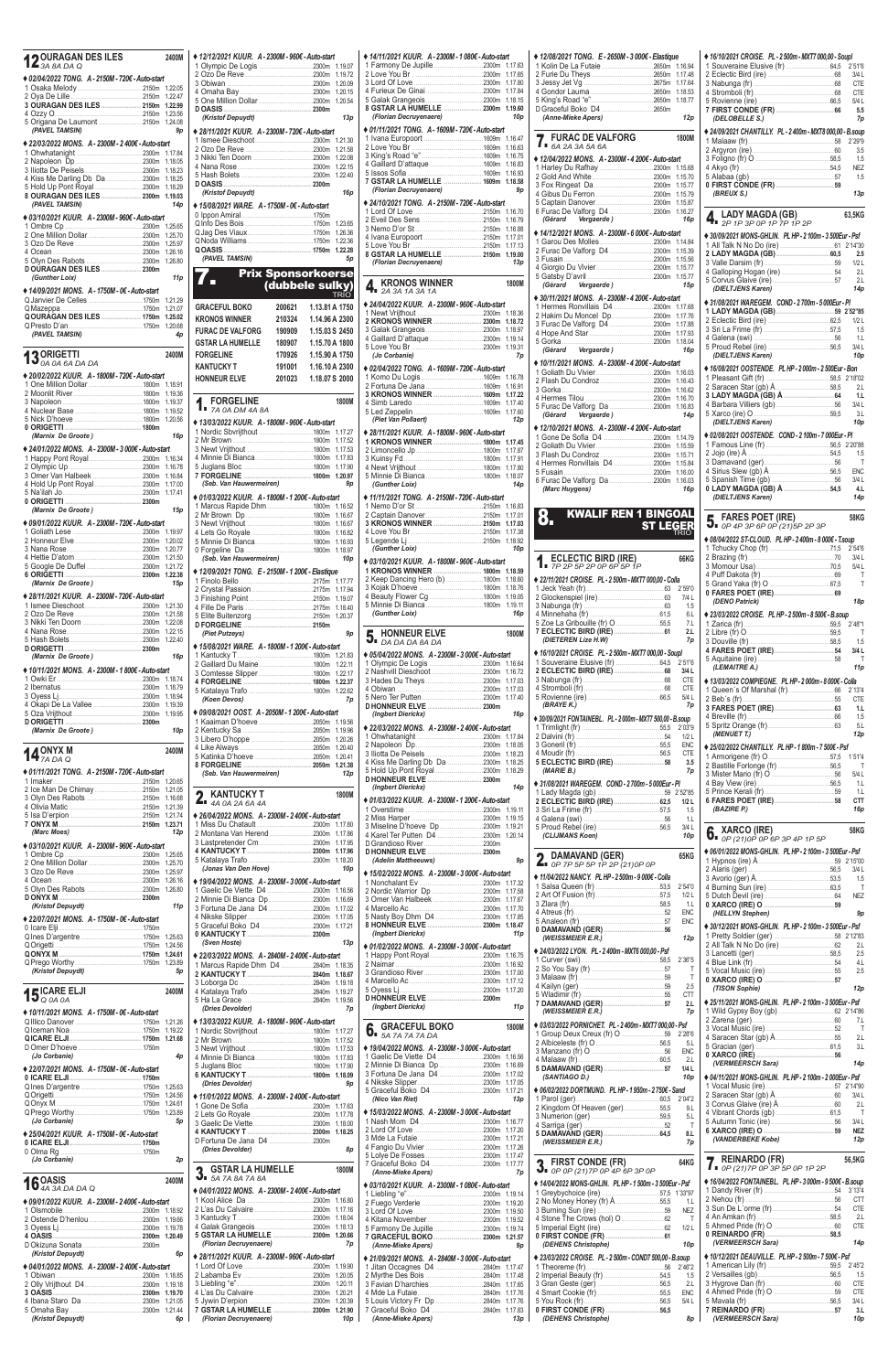| <b>DOURAGAN DES ILES</b><br>$12$ <sup>UUI</sup> II-L | 2400M              |
|------------------------------------------------------|--------------------|
| ◆ 02/04/2022 TONG. A - 2150M - 720€ - Auto-start     |                    |
|                                                      | 1.22.05            |
| 3 OURAGAN DES ILES  2150m                            | 1.22.47<br>1.22.99 |
|                                                      | 1.23.56            |
| 5 Origana De Laumont 2150m<br>(PAVEL TAMSIN)         | 1.24.08<br>9p      |
| ◆ 22/03/2022 MONS. A - 2300M - 2400€ - Auto-start    |                    |
|                                                      | 1.17.84            |
|                                                      | 1.18.05            |
|                                                      | 1.18.23            |
|                                                      | 1.18.29            |
| 8 OURAGAN DES ILES  2300m 1.19.03                    |                    |
| (PAVEL TAMSIN)                                       | 14p                |
| ◆ 03/10/2021 KUUR. A - 2300M - 960€ - Auto-start     | 1.25.65            |
|                                                      | 1.25.70            |
|                                                      | 1.25.97            |
| 5 Olyn Des Rabots 2300m                              | 1.26.16<br>1.26.80 |
| DOURAGAN DES ILES 2300m                              |                    |
| (Gunther Loix)                                       | 11p                |
| ◆ 14/09/2021 MONS. A - 1750M - 0€ - Auto-start       | 1.21.29            |
|                                                      | 1.21.07            |
| <b>QOURAGAN DES ILES  1750m</b>                      | 1.25.02            |
| (PAVEL TAMSIN)                                       | 1.20.68<br>4p      |
|                                                      |                    |
| <b>13</b> ORIGETTI DA DA DA                          | 2400M              |
| ♦ 20/02/2022 KUUR. A - 1800M - 720€ - Auto-start     |                    |
|                                                      |                    |
|                                                      | 1.19.36            |
|                                                      | 1.19.37<br>1.19.52 |
|                                                      | 1.20.56            |
|                                                      |                    |
| (Marnix De Groote)                                   | 16p                |
| ♦ 24/01/2022 MONS. A - 2300M - 3 000€ - Auto-start   | 1.16.34            |
|                                                      | 1.16.78            |
| 3 Omer Van Halbeek 2300m                             | 1.16.84            |
|                                                      | 1.17.00<br>1.17.41 |
|                                                      |                    |
| (Marnix De Groote)                                   | 15p                |
| ♦ 09/01/2022 KUUR. A - 2300M - 720€ - Auto-start     |                    |
|                                                      | 1.20.02            |
|                                                      | 1.20.77            |
|                                                      | 1.21.50            |
|                                                      | 1.21.72<br>1.22.38 |
| (Marnix De Groote)                                   | 15p                |
| ◆ 28/11/2021 KUUR. A - 2300M - 720€ - Auto-start     | 1.21.30            |
|                                                      | 1.21.58            |
|                                                      | 1.22.08            |
|                                                      | 1.22.15<br>1.22.40 |
|                                                      |                    |
| (Marnix De Groote)                                   | 16p                |
| ♦ 10/11/2021 MONS. A - 2300M - 1 800€ - Auto-start   |                    |
|                                                      | 1.18.74<br>1.18.79 |
|                                                      | 1.18.94            |
| 4 Okapi De La Vallee 2300m                           | 1.19.39<br>1.19.95 |
|                                                      |                    |
| (Marnix De Groote)                                   | 10p                |
|                                                      | 2400M              |
| 14 $_{\text{ZADA Q}}^{\text{ONYX M}}$                |                    |
| ♦ 01/11/2021 TONG. A - 2150M - 720€ - Auto-start     |                    |
|                                                      | 1.20.65            |
|                                                      | 1.21.05<br>1.16.68 |
|                                                      | 1.21.39            |
|                                                      | 1.21.74<br>1.23.71 |
| (Marc Moes)                                          | 12p                |
| ◆ 03/10/2021 KUUR. A - 2300M - 960€ - Auto-start     |                    |
|                                                      | 1.25.65            |
|                                                      | 1.25.70<br>1.25.97 |
|                                                      | 1.26.16            |
|                                                      | 1.26.80            |
| (Kristof Depuydt)                                    | 11 p               |
| ♦ 22/07/2021 MONS. A - 1750M - 0€ - Auto-start       |                    |
|                                                      |                    |
|                                                      |                    |
|                                                      | 1.25.63            |
|                                                      | 1.24.56<br>1.24.61 |
|                                                      | 1.23.89            |
| (Kristof Depuydt)                                    | 5p                 |
| $15\frac{ICARE ELJI}{Q O A O A}$                     | 2400M              |

| ◆ 12/12/2021 KUUR. A - 2300M - 960€ - Auto-start   |                           |                |                    |                       |
|----------------------------------------------------|---------------------------|----------------|--------------------|-----------------------|
|                                                    |                           |                |                    | $* 14/11$             |
|                                                    |                           |                |                    | 1 Farr                |
|                                                    |                           |                | 1.19.72            | 2 Love                |
|                                                    |                           |                | 1.20.09            | 3 Lord                |
|                                                    |                           |                | 1.20.15            | 4 Furi                |
|                                                    |                           |                | 1.20.54            | 5 Gala<br>8 GST       |
| (Kristof Depuydt)                                  |                           |                | 13p                | (Flo                  |
|                                                    |                           |                |                    |                       |
| ◆ 28/11/2021 KUUR. A - 2300M - 720€ - Auto-start   |                           |                |                    | $*01/11$              |
|                                                    |                           |                | 1.21.30            | 1 Ivan                |
|                                                    |                           |                | 1.21.58            | 2 Love<br>3 King      |
|                                                    |                           |                | 1.22.08            | 4 Gail                |
|                                                    |                           |                | 1.22.15<br>1.22.40 | 5 Isso                |
|                                                    |                           |                |                    | 7 GST                 |
| (Kristof Depuydt)                                  |                           |                | 16p                | (Flo                  |
|                                                    |                           |                |                    | $* 24/10$             |
| ◆ 15/08/2021 WARE. A - 1750M - 0€ - Auto-start     |                           |                |                    | 1 Lord                |
|                                                    |                           |                |                    | 2 Evei                |
|                                                    |                           |                | 1.23.65            | 3 Nem                 |
|                                                    |                           |                | 1.26.36<br>1.22.36 | 4 Ivan                |
|                                                    |                           |                | 1.22.28            | 5 Love                |
| (PAVEL TAMSIN)                                     |                           |                | 5p                 | 8 GST                 |
|                                                    |                           |                |                    | (Flo.                 |
|                                                    | <b>Prix Sponsorkoerse</b> |                |                    |                       |
| П                                                  | (dubbele sulky)           |                |                    | K                     |
|                                                    |                           |                | <b>TRIO</b>        | TI 2                  |
| <b>GRACEFUL BOKO</b>                               | 200621                    | 1.13.81 A 1750 |                    | $* 24/04$             |
|                                                    |                           |                |                    | 1 New                 |
| <b>KRONOS WINNER</b>                               | 210324                    | 1.14.96 A 2300 |                    | 2 KRC                 |
| <b>FURAC DE VALFORG</b>                            | 190909                    | 1.15.03 S 2450 |                    | 3 Gala                |
| <b>GSTAR LA HUMELLE</b>                            | 180907                    | 1.15.70 A 1800 |                    | 4 Gail                |
|                                                    |                           |                |                    | 5 Love                |
| <b>FORGELINE</b>                                   | 170926                    | 1.15.90 A 1750 |                    | (Jo                   |
| <b>KANTUCKY T</b>                                  | 191001                    | 1.16.10 A 2300 |                    | $*02/04$              |
| <b>HONNEUR ELVE</b>                                | 201023                    | 1.18.07 S 2000 |                    | 1 Kom                 |
|                                                    |                           |                |                    | 2 Fort                |
|                                                    |                           |                |                    | 3 KRC                 |
| <b>FORGELINE</b>                                   |                           |                | 1800M              | 4 Siml                |
| $\int_{1}^{2}$ FUNULL <sub>11</sub> -              |                           |                |                    | 5 Led                 |
| ◆ 13/03/2022 KUUR. A - 1800M - 960€ - Auto-start   |                           |                |                    | (Pie                  |
| 1 Nordic Sbvrijthout 1800m 1.17.27                 |                           |                |                    | $*28/11$              |
|                                                    |                           |                | 1.17.52            | 1 KRC                 |
|                                                    |                           |                | 1.17.53            | 2 Limo                |
|                                                    |                           |                |                    | 3 Kuin                |
|                                                    |                           |                |                    | 4 New                 |
|                                                    |                           |                |                    | 5 Minr                |
| (Seb. Van Hauwermeiren)                            |                           |                | 9p                 | (Gui                  |
|                                                    |                           |                |                    |                       |
| ♦ 01/03/2022 KUUR. A - 1800M - 1 200€ - Auto-start |                           |                |                    | $*11/11$              |
| 1 Marcus Rapide Dhm 1800m 1.16.52                  |                           |                |                    | 1 Nem                 |
|                                                    |                           |                | 1.16.67            | 2 Cap                 |
|                                                    |                           |                |                    | 3 KRC                 |
|                                                    |                           |                | 1.16.82            | 4 Love                |
|                                                    |                           |                | 1.16.93            | 5 Lege                |
|                                                    |                           |                |                    | (Gui                  |
| (Seb. Van Hauwermeiren)                            |                           |                | 10p                | $* 03/10$             |
| ◆ 12/09/2021 TONG. E - 2150M - 1 200€ - Elastique  |                           |                |                    | 1 KRC                 |
|                                                    |                           |                | 1.17.77            | 2 Kee                 |
|                                                    |                           |                | 1.17.94            | 3 Koja                |
|                                                    |                           |                | 1.19.07            | 4 Bea                 |
|                                                    |                           |                | 1.18.40            | 5 Minr                |
|                                                    |                           |                | 1.20.37            | (Gui                  |
|                                                    |                           |                |                    |                       |
| (Piet Putzeys)                                     |                           |                | 9p                 |                       |
|                                                    |                           |                |                    | 5. F                  |
| ◆ 15/08/2021 WARE. A - 1800M - 1 200€ - Auto-start |                           |                |                    | $*05/04$              |
|                                                    |                           |                | 1.21.83<br>1.22.11 | 1 Olyr                |
|                                                    |                           |                |                    | 2 Nas                 |
| 3 Comtesse Slipper 1800m                           |                           |                |                    |                       |
|                                                    |                           |                | 1.22.17            |                       |
|                                                    |                           |                | 1.22.37            | 3 Had                 |
|                                                    |                           |                | 1.22.62            | 4 Obiv                |
| (Koen Devos)                                       |                           |                | 7p                 | 5 Nero<br><b>DHON</b> |
| ♦ 09/08/2021 OOST. A - 2050M - 1 200€ - Auto-start |                           |                |                    | (Ing                  |
|                                                    |                           |                | 1.19.56            |                       |
|                                                    |                           |                | 1.19.96            | $*22/03$              |
|                                                    |                           |                | 1.20.26            | 1 Ohw                 |
|                                                    |                           |                | 1.20.40            | 2 Nap                 |
|                                                    |                           |                | 1.20.41            | 3 Iliott              |
|                                                    |                           |                | 1.21.38            | 4 Kiss                |
| (Seb. Van Hauwermeiren)                            |                           |                | 12p                | 5 Hold                |
|                                                    |                           |                |                    | <b>D HON</b>          |
| KANTUCKY T<br>c                                    |                           |                | 1800M              | (Ing                  |
| $4A$ 0A 2A 6A 4A                                   |                           |                |                    | $*01/03$              |
|                                                    |                           |                |                    | 1 Ove                 |
| ♦ 26/04/2022 MONS. A - 2300M - 2400€ - Auto-start  |                           |                | 1.17.80            | 2 Miss                |
|                                                    |                           |                | 1.17.86            | 3 Mise                |
|                                                    |                           |                | 1.17.95            | 4 Kare                |
|                                                    |                           |                | 1.17.96            | D Grar                |
|                                                    |                           |                | 1.18.20            | <b>D HON</b><br>(Ade  |
| (Jonas Van Den Hove)                               |                           |                | 10p                |                       |
|                                                    |                           |                |                    | $*15/02$              |
| ◆ 19/04/2022 MONS. A - 2300M - 3 000€ - Auto-start |                           |                |                    | 1 Non                 |
| 1 Gaelic De Viette D4 2300m                        |                           |                | 1.16.56            | 2 Nord                |
| 2 Minnie Di Bianca Dp 2300m                        |                           |                | 1.16.69            | 3 Ome                 |
| 3 Fortuna De Jana D4 2300m                         |                           |                | 1.17.02            | 4 Mar                 |
|                                                    |                           |                | 1.17.05            | 5 Nas                 |
| 5 Graceful Boko D4 2300m                           |                           |                | 1.17.21            | 8 HON                 |
|                                                    |                           |                |                    | (Ing                  |
| (Sven Hoste)                                       |                           |                | 13p                | $*01/02$              |
| ♦ 22/03/2022 MONS. A - 2840M - 2 400€ - Auto-start |                           |                |                    | 1 Hap                 |
| 1 Marcus Rapide Dhm D4 2840m                       |                           |                | 1.18.35            | 2 Nair                |
|                                                    |                           |                | 1.18.67            | 3 Grar                |
|                                                    |                           |                | 1.19.18            | 4 Mar                 |
|                                                    |                           |                | 1.19.27            | 5 Oye                 |
|                                                    |                           |                | 1.19.56            | <b>D HON</b><br>(Ing  |

| ◆ 14/11/2021 KUUR. A - 2300M - 1 080€ - Auto-start                         |                            |  |
|----------------------------------------------------------------------------|----------------------------|--|
|                                                                            | 1.17.63<br>1.17.65         |  |
|                                                                            | 1.17.80                    |  |
| 4 Furieux De Ginai2300m                                                    | 1.17.84                    |  |
| 8 GSTAR LA HUMELLE  2300m                                                  | 1.18.15<br>1.19.60         |  |
| (Florian Decruyenaere)                                                     | 10p                        |  |
| ◆ 01/11/2021 TONG. A - 1609M - 720€ - Auto-start                           |                            |  |
|                                                                            | 1.16.47                    |  |
|                                                                            | 1.16.63                    |  |
| 4 Gaillard D'attaque1609m                                                  | 1.16.75<br>1.16.83         |  |
|                                                                            | 1.16.93                    |  |
| 7 GSTAR LA HUMELLE  1609m                                                  | 1.18.58                    |  |
| (Florian Decruyenaere)                                                     | 9p                         |  |
| ◆ 24/10/2021 TONG. A - 2150M - 720€ - Auto-start                           |                            |  |
|                                                                            | 1.16.70<br>1.16.79         |  |
|                                                                            | 1.16.88                    |  |
|                                                                            | 1.17.01                    |  |
| 8 GSTAR LA HUMELLE  2150m                                                  | 1.17.13<br>1.19.00         |  |
| (Florian Decruyenaere)                                                     | 13p                        |  |
|                                                                            |                            |  |
| <b>KRONOS WINNER</b><br><b>™ 2A 3A 1A 3A 1A</b>                            | 1800M                      |  |
| ◆ 24/04/2022 KUUR. A - 2300M - 960€ - Auto-start                           |                            |  |
|                                                                            | 1.18.36                    |  |
|                                                                            | 1.18.72                    |  |
|                                                                            | 1.18.97                    |  |
|                                                                            | 1.19.14<br>1.19.31         |  |
| (Jo Corbanie)                                                              | 7p                         |  |
| ◆ 02/04/2022 TONG. A - 1609M - 720€ - Auto-start                           |                            |  |
|                                                                            | 1.16.78                    |  |
| 3 KRONOS WINNER  1609m                                                     | 1.16.91<br>1.17.22         |  |
|                                                                            | 1.17.40                    |  |
|                                                                            | 1.17.60                    |  |
| (Piet Van Pollaert)                                                        | 12p                        |  |
| ◆ 28/11/2021 KUUR. A - 1800M - 960€ - Auto-start                           |                            |  |
|                                                                            | 1.17.45<br>1.17.87         |  |
|                                                                            | 1.17.91                    |  |
|                                                                            | 1.17.80                    |  |
| (Gunther Loix)                                                             | 1.18.07<br>14 <sub>p</sub> |  |
|                                                                            |                            |  |
| ♦ 11/11/2021 TONG. A - 2150M - 720€ - Auto-start                           | 1.16.83                    |  |
| 2 Captain Danover2150m                                                     | 1.17.01                    |  |
|                                                                            | 1.17.03                    |  |
|                                                                            |                            |  |
|                                                                            | 1.17.38                    |  |
| (Gunther Loix)                                                             | 1.18.92<br>10 <sub>p</sub> |  |
|                                                                            |                            |  |
| ◆ 03/10/2021 KUUR. A - 1800M - 960€ - Auto-start<br>1 KRONOS WINNER  1800m | 1.18.59                    |  |
|                                                                            | 1.18.60                    |  |
|                                                                            | 1.18.76                    |  |
|                                                                            | 1.19.05<br>1.19.11         |  |
| (Gunther Loix)                                                             | 16p                        |  |
| <b>HONNEUR ELVE</b>                                                        | 1800M                      |  |
| $\overline{\mathbf{J}}$ i <i>da da da 8A da</i>                            |                            |  |
| ♦ 05/04/2022 MONS. A - 2300M - 3 000€ - Auto-start                         |                            |  |
|                                                                            | 1.16.64                    |  |
|                                                                            | 1.16.72<br>1.17.03         |  |
|                                                                            | 1.17.03                    |  |
|                                                                            | 1.17.40                    |  |
| D HONNEUR ELVE  2300m<br>(Ingbert Dierickx)                                | 16p                        |  |
| ♦ 22/03/2022 MONS. A - 2300M - 2 400€ - Auto-start                         |                            |  |
|                                                                            | 1.17.84                    |  |
|                                                                            | 1.18.05                    |  |
|                                                                            | 1.18.23<br>1.18.25         |  |
| 4 Kiss Me Darling Db Da 2300m                                              | 1.18.29                    |  |
|                                                                            |                            |  |
| (Ingbert Dierickx)                                                         | 14p                        |  |
| ♦ 01/03/2022 KUUR. A - 2300M - 1 200€ - Auto-start                         |                            |  |
|                                                                            | 1.19.11<br>1.19.15         |  |
| 3 Miseline D'hoeve Dp2300m                                                 | 1.19.21                    |  |
|                                                                            | 1.20.14                    |  |
|                                                                            |                            |  |
| (Adelin Mattheeuws)                                                        | 9p                         |  |
| ◆ 15/02/2022 MONS. A - 2300M - 3 000€ - Auto-start                         |                            |  |
|                                                                            | 1.17.32                    |  |
| 2 Nordic Warrior Dp 2300m                                                  | 1.17.58<br>1.17.67         |  |
|                                                                            | 1.17.70                    |  |
| 5 Nasty Boy Dhm D4 2300m                                                   | 1.17.85                    |  |
| 8 HONNEUR ELVE  2300m<br>(Ingbert Dierickx)                                | 1.18.47<br>11 <sub>p</sub> |  |
|                                                                            |                            |  |
| ♦ 01/02/2022 MONS. A - 2300M - 3 000€ - Auto-start                         | 1.16.75                    |  |
|                                                                            | 1.16.92                    |  |
|                                                                            | 1.17.00<br>1.17.12         |  |
|                                                                            | 1.17.20                    |  |
|                                                                            |                            |  |
| (Ingbert Dierickx)<br>$CFTH$ DOVO                                          | 11 p                       |  |

| ♦ 10/11/2021 MONS. A - 1750M - 0€ - Auto-start    | (Dries Devoluer)                                   |                                                    | (WEISSMEIER E.R.)<br>7p                                  | 62 2'14"86                                                                                                 |
|---------------------------------------------------|----------------------------------------------------|----------------------------------------------------|----------------------------------------------------------|------------------------------------------------------------------------------------------------------------|
|                                                   | ♦ 13/03/2022 KUUR. A - 1800M - 960€ - Auto-start   |                                                    | ♦ 03/03/2022 PORNICHET. PL - 2400m - MXT7 000.00 - Psf   |                                                                                                            |
|                                                   |                                                    | <b>6.</b> GRACEFUL BOKO<br>1800M                   |                                                          |                                                                                                            |
|                                                   |                                                    |                                                    | 5 <sub>1</sub>                                           |                                                                                                            |
|                                                   |                                                    | ♦ 19/04/2022 MONS. A - 2300M - 3 000€ - Auto-start | ENC                                                      | 5 Gracian (ger)<br><b>0 XARCO (IRE)</b><br>( <i>VERMEERSCH Sara</i> )<br>( <i>VERMEERSCH Sara</i> )<br>14p |
| (Jo Corbanie)<br>4p                               |                                                    |                                                    | 2.L                                                      |                                                                                                            |
| ♦ 22/07/2021 MONS, A-1750M-0€-Auto-start          |                                                    | 2 Minnie Di Bianca Dp 2300m 1.16.69                | 1/4L                                                     |                                                                                                            |
|                                                   |                                                    | 3 Fortuna De Jana D4 2300m 1.17.02                 | 10 <sub>D</sub><br>(SANTIAGO D.)                         | ◆ 04/11/2021 MONS-GHLIN. PL HP-2100m-2000Eur-Psf                                                           |
|                                                   | (Dries Devolder)<br>9 <sub>D</sub>                 |                                                    |                                                          |                                                                                                            |
|                                                   |                                                    | 5 Graceful Boko D4 2300m 1.17.21                   | ♦ 06/02/2022 DORTMUND. PL HP - 1 950m - 2 750€ - Sand    |                                                                                                            |
|                                                   | ♦ 11/01/2022 MONS. A - 2300M - 2 400€ - Auto-start | (Nico Van Riet)<br>13p                             |                                                          |                                                                                                            |
|                                                   |                                                    | ♦ 15/03/2022 MONS. A - 2300M - 3 000€ - Auto-start | 2 Kingdom Of Heaven (ger)55,5<br>9 <sub>L</sub>          |                                                                                                            |
| (Jo Corbanie)<br>5p                               |                                                    |                                                    | 5.L                                                      |                                                                                                            |
|                                                   |                                                    |                                                    |                                                          |                                                                                                            |
| ♦ 25/04/2021 KUUR. A - 1750M - 0€ - Auto-start    | D Fortuna De Jana D4 2300m                         |                                                    | 8.L                                                      | (VANDERBEKE Kobe)<br>12p                                                                                   |
|                                                   | 8 <sub>D</sub><br>(Dries Devolder)                 |                                                    | (WEISSMEIER E.R.)<br>7 <sub>D</sub>                      |                                                                                                            |
|                                                   |                                                    |                                                    |                                                          |                                                                                                            |
| (Jo Corbanie)<br>2p                               |                                                    |                                                    | <b>2</b> FIRST CONDE (FR)<br>64KG                        | <b>7</b> REINARDO (FR)<br>56,5KG                                                                           |
|                                                   | <b>2 GSTAR LA HUMELLE</b><br>1800M                 | 7p<br>(Anne-Mieke Apers)                           | $\overline{O}$ = OP OP (21) 7P OP 4P 6P 3P OP            | $\blacksquare$ OP (21) 7P OP 3P 5P OP 1P 2P                                                                |
| $16^{OASIS}_{4A3ADADADA Q}$<br>2400M              | $J_{I}$ 5A 7A 8A 7A 8A                             |                                                    | ♦ 14/04/2022 MONS-GHLIN. PL HP - 1 500m - 3 500Eur - Psf | ♦ 16/04/2022 FONTAINEBL. PL HP-3 000m-9 500€-B.soup                                                        |
|                                                   | ♦ 04/01/2022 MONS. A - 2300M - 2400€ - Auto-start  | ♦ 03/10/2021 KUUR. A - 2300M - 1 080€ - Auto-start |                                                          |                                                                                                            |
| ♦ 09/01/2022 KUUR. A - 2300M - 2400€ - Auto-start |                                                    |                                                    | 2 No Money Honey (fr) Å<br>1.1                           |                                                                                                            |
|                                                   |                                                    |                                                    | <b>NEZ</b>                                               |                                                                                                            |
|                                                   |                                                    |                                                    |                                                          |                                                                                                            |
|                                                   |                                                    | 5 Farmony De Jupille2300m 1.19.74                  | 1/2L                                                     |                                                                                                            |
|                                                   | 5 GSTAR LA HUMELLE  2300m 1.20.66                  | 7 GRACEFUL BOKO  2300m 1.21.57                     |                                                          |                                                                                                            |
|                                                   | (Florian Decruyenaere)<br>7p                       | (Anne-Mieke Apers)<br>9p                           | (DEHENS Christophe)<br>10 <sub>D</sub>                   | (VERMEERSCH Sara)<br>14p                                                                                   |
| (Kristof Depuydt)                                 |                                                    |                                                    |                                                          |                                                                                                            |
|                                                   | ◆ 28/11/2021 KUUR. A - 2300M - 960€ - Auto-start   | ♦ 21/09/2021 MONS. A - 2840M - 3 000€ - Auto-start | ♦ 23/03/2022 CROISE, PL - 2 500m - COND7 500.00 - B.soup | ♦ 10/12/2021 DEAUVILLE, PL HP - 2 500m - 7 500€ - Psf                                                      |
| ♦ 04/01/2022 MONS. A - 2300M - 2400€ - Auto-start |                                                    |                                                    |                                                          |                                                                                                            |
|                                                   |                                                    |                                                    | 2 Imperial Beauty (fr) 2.1 2006<br>1.5                   |                                                                                                            |
|                                                   |                                                    |                                                    | 2.L                                                      |                                                                                                            |
| 3 OASIS 2300m 1.19.70                             |                                                    |                                                    | ENC                                                      |                                                                                                            |
|                                                   |                                                    |                                                    | 5/4 L                                                    | 3/4L                                                                                                       |
|                                                   | 7 GSTAR LA HUMELLE  2300m 1.21.90                  |                                                    |                                                          | 3.L                                                                                                        |
| (Kristof Depuydt)<br>6p                           | (Florian Decruyenaere)<br>10 <sub>p</sub>          | (Anne-Mieke Apers)<br>13p                          | (DEHENS Christophe)<br>8p                                | (VERMEERSCH Sara)<br>10p                                                                                   |

| ◆ 12/08/2021 TONG. E - 2650M - 3 000€ - Elastique                                  |               |                          |
|------------------------------------------------------------------------------------|---------------|--------------------------|
|                                                                                    |               | 1.16.94<br>1.17.48       |
|                                                                                    |               | 1.17.64                  |
|                                                                                    |               | 1.18.53                  |
| D Graceful Boko D4 2650m                                                           |               | 1.18.77                  |
| (Anne-Mieke Apers)                                                                 |               | 12p                      |
| <b>FURAC DE VALFORG</b>                                                            |               |                          |
| $\overline{A}$ = 6A 2A 3A 5A 6A                                                    |               | 1800M                    |
| ◆ 12/04/2022 MONS. A - 2300M - 4 200€ - Auto-start                                 |               |                          |
|                                                                                    |               | 1.15.68                  |
|                                                                                    |               | 1.15.70<br>1.15.77       |
|                                                                                    |               | 1.15.79                  |
|                                                                                    |               | 1.15.87                  |
| Vergaerde)<br>(Gérard                                                              |               | 1.16.27<br>16p           |
| ◆ 14/12/2021 MONS. A-2300M-6 000€-Auto-start                                       |               |                          |
|                                                                                    |               | 1.14.84                  |
| 2 Furac De Valforg D4 2300m                                                        |               | 1.15.39<br>1.15.56       |
|                                                                                    |               | 1.15.77                  |
| Vergaerde)<br>(Gérard                                                              |               | 1.15.77                  |
|                                                                                    |               | 15p                      |
| ♦ 30/11/2021 MONS. A - 2300M - 4 200€ - Auto-start<br>1 Hermes Ronvillais D4 2300m |               | 1.17.68                  |
|                                                                                    |               | 1.17.76                  |
|                                                                                    |               | 1.17.88                  |
|                                                                                    |               | 1.17.93<br>1.18.04       |
| (Gérard Vergaerde)                                                                 |               | 16p                      |
| ◆ 10/11/2021 MONS. A - 2300M - 4 200€ - Auto-start                                 |               |                          |
| 2 Flash Du Condroz2300m                                                            |               | 1.16.03<br>1.16.43       |
|                                                                                    |               | 1.16.62                  |
|                                                                                    |               | 1.16.70                  |
| Vergaerde)<br>(Gérard                                                              |               | 1.16.83<br>14p           |
| ◆ 12/10/2021 MONS. A - 2300M - 4 200€ - Auto-start                                 |               |                          |
| 1 Gone De Sofia D4 2300m                                                           |               | 1.14.79                  |
|                                                                                    |               | 1.15.59<br>1.15.71       |
|                                                                                    |               | 1.15.84                  |
|                                                                                    |               | 1.16.00                  |
| (Marc Huygens)                                                                     |               | 1.16.03<br>16p           |
|                                                                                    |               |                          |
| <b>KWALIF REN</b><br>$\overline{\mathbf{1}}$                                       | <b>BINGOA</b> |                          |
|                                                                                    | <b>LEGE</b>   |                          |
|                                                                                    |               |                          |
|                                                                                    |               |                          |
|                                                                                    |               |                          |
| ECLECTIC BIRD (IRE)<br>7P 2P 5P 2P 0P 6P 5P 1P                                     |               | 66KG                     |
| ◆ 22/11/2021 CROISE. PL - 2500m - MXT7 000,00 - Colla                              |               |                          |
|                                                                                    |               | 2'59"0                   |
|                                                                                    |               | 7/4 L<br>1.5             |
|                                                                                    |               | 6.L                      |
|                                                                                    |               | 7.L<br>2.L               |
| (DIETEREN Lize H.W)                                                                |               | 7p                       |
| ◆ 16/10/2021 CROISE. PL - 2 500m - MXT7 000,00 - Soupl                             |               |                          |
|                                                                                    |               | 2'51"6                   |
|                                                                                    |               | 3/4 L<br><b>CTE</b>      |
|                                                                                    |               | CTE                      |
| (BRAYE K.)                                                                         |               | 5/4 L<br>7p              |
| ♦ 30/09/2021 FONTAINEBL. PL - 2 000m - MXT7 500,00 - B.soup                        |               |                          |
|                                                                                    |               | 2'03"9                   |
|                                                                                    |               | 1/2L<br><b>ENC</b>       |
|                                                                                    |               | <b>CTE</b>               |
| (MARIE B.)                                                                         |               | 3.5<br>7p                |
|                                                                                    |               |                          |
| ♦ 31/08/2021 WAREGEM. COND - 2 700m - 5 000Eur - PI                                |               | 2'52"85                  |
|                                                                                    |               | 1/2L                     |
|                                                                                    |               | 1.5<br>1.1               |
|                                                                                    |               | 3/4 L                    |
| (CLIJMANS Koen)                                                                    |               | 10p                      |
| <b>DAMAVAND (GER)</b>                                                              |               | 65KG                     |
| 4.<br>0P 7P 5P 5P 1P 2P (21) 0P 0P                                                 |               |                          |
| ♦ 11/04/2022 NANCY. PL HP - 2 500m - 9 000€ - Colla                                |               | 2'54"0                   |
|                                                                                    |               | 1/2L                     |
|                                                                                    |               | 1.L                      |
|                                                                                    |               | <b>ENC</b><br><b>ENC</b> |
|                                                                                    |               |                          |
| (WEISSMEIER E.R.)                                                                  |               | 12p                      |
| ♦ 24/03/2022 LYON. PL - 2 400m - MXT6 000.00 - Psf                                 |               | 2'36"5                   |
|                                                                                    |               | Τ                        |
|                                                                                    |               | Τ<br>2.5                 |
|                                                                                    |               | CTT<br>2.1               |

| ◆ 16/10/2021 CROISE. PL - 2 500m - MXT7 000,00 - Soupl             |                         |
|--------------------------------------------------------------------|-------------------------|
|                                                                    | 2'51"6<br>3/4L          |
|                                                                    | CTE                     |
| 4 Stromboli (fr) 68                                                | <b>CTE</b>              |
|                                                                    | 5/4 L<br>5.5            |
| (DELOBELLE S.)                                                     | 7p                      |
| ◆ 24/09/2021 CHANTILLY. PL - 2400m - MXT8 000,00 - B.soup          |                         |
|                                                                    | 2'29"9                  |
|                                                                    | 3.5                     |
|                                                                    | 1.5<br><b>NEZ</b>       |
|                                                                    | 1.5                     |
|                                                                    |                         |
| (BREUX S.)                                                         | 13p                     |
| LADY MAGDA (GB)                                                    | 63,5KG                  |
| ∎ 2P 1P 3P 0P 1P 7P 1P 2P                                          |                         |
| ◆ 30/09/2021 MONS-GHLIN. PL HP-2100m-3500Eur-Psf                   |                         |
|                                                                    |                         |
|                                                                    | 2.5                     |
|                                                                    | 1/2L<br>2.L             |
|                                                                    | 2 <sub>1</sub>          |
| (DIELTJENS Karen)                                                  | 14 <sub>p</sub>         |
| ◆ 31/08/2021 WAREGEM. COND - 2700m - 5 000Eur - PI                 |                         |
|                                                                    | 1/2L                    |
|                                                                    | 1.5                     |
|                                                                    | 1.1                     |
| (DIELTJENS Karen)                                                  | 3/4L<br>10 <sub>p</sub> |
|                                                                    |                         |
| ◆ 16/08/2021 OOSTENDE. PL HP-2000m-2500Eur-Bon                     | 2'18"02                 |
|                                                                    | 2 <sub>1</sub>          |
|                                                                    | 1.1                     |
|                                                                    | 3/4L<br>3.L             |
| (DIELTJENS Karen)                                                  | 10p                     |
| ◆ 02/08/2021 OOSTENDE. COND-2 100m-7 000Eur-PI                     |                         |
|                                                                    |                         |
|                                                                    | 1.5<br>$\top$           |
|                                                                    | <b>ENC</b>              |
|                                                                    | 3/4L                    |
|                                                                    | 4.L                     |
| (DIELTJENS Karen)                                                  | 14p                     |
| <b>FARES POET (IRE)</b>                                            | 58KG                    |
| $\overline{3}$ = 0P 4P 3P 6P 0P (21) 5P 2P 3P                      |                         |
| ♦ 08/04/2022 ST-CLOUD. PL HP-2 400m-8 000€-T.soup                  |                         |
|                                                                    |                         |
|                                                                    |                         |
|                                                                    | 3/4 L<br>5/4L           |
|                                                                    | Т                       |
|                                                                    | Т                       |
| (DENO Patrick)                                                     | 18p                     |
|                                                                    |                         |
| ♦ 23/03/2022 CROISE. PL HP - 2 500m - 8 500€ - B.soup              | 2'48"1                  |
|                                                                    | Т                       |
|                                                                    | 1.5                     |
|                                                                    | 3/4 L<br>$\top$         |
| (LEMAITRE A.)                                                      | 11 p                    |
| ◆ 13/03/2022 COMPIEGNE. PL HP - 2000m - 8 000€ - Colla             |                         |
|                                                                    | 2'13''4                 |
|                                                                    | CTE<br>1.L              |
|                                                                    | 1.5                     |
|                                                                    | 5.L                     |
| (MENUET T.)                                                        | 12p                     |
| ♦ 25/02/2022 CHANTILLY. PL HP - 1 800m - 7 500€ - Psf              | 1'51"4                  |
|                                                                    | $\top$                  |
|                                                                    | 5/4L                    |
|                                                                    | 1.L<br>1.L              |
|                                                                    | <b>CTT</b>              |
| (BAZIRE P.)                                                        | 16p                     |
|                                                                    |                         |
| XARCO (IRE)<br>ь.<br>0P (21) 0P 0P 6P 3P 4P 1P 5P                  | <b>58KG</b>             |
| ◆ 06/01/2022 MONS-GHLIN. PL HP-2100m-3500Eur-Psf                   |                         |
|                                                                    |                         |
|                                                                    | 3/4L                    |
|                                                                    | 1.5<br>$\top$           |
|                                                                    | <b>NEZ</b>              |
|                                                                    |                         |
| (HELLYN Stephen)                                                   | 9p                      |
| ◆ 30/12/2021 MONS-GHLIN. PL HP - 2 100m - 3 500Eur - Psf           | 2'12"83                 |
|                                                                    | 21                      |
|                                                                    | 2.5                     |
|                                                                    | 4.L<br>2.5              |
|                                                                    |                         |
| (TISON Sophie)<br>◆ 25/11/2021 MONS-GHLIN. PL HP-2100m-3500Eur-Psf | 12p                     |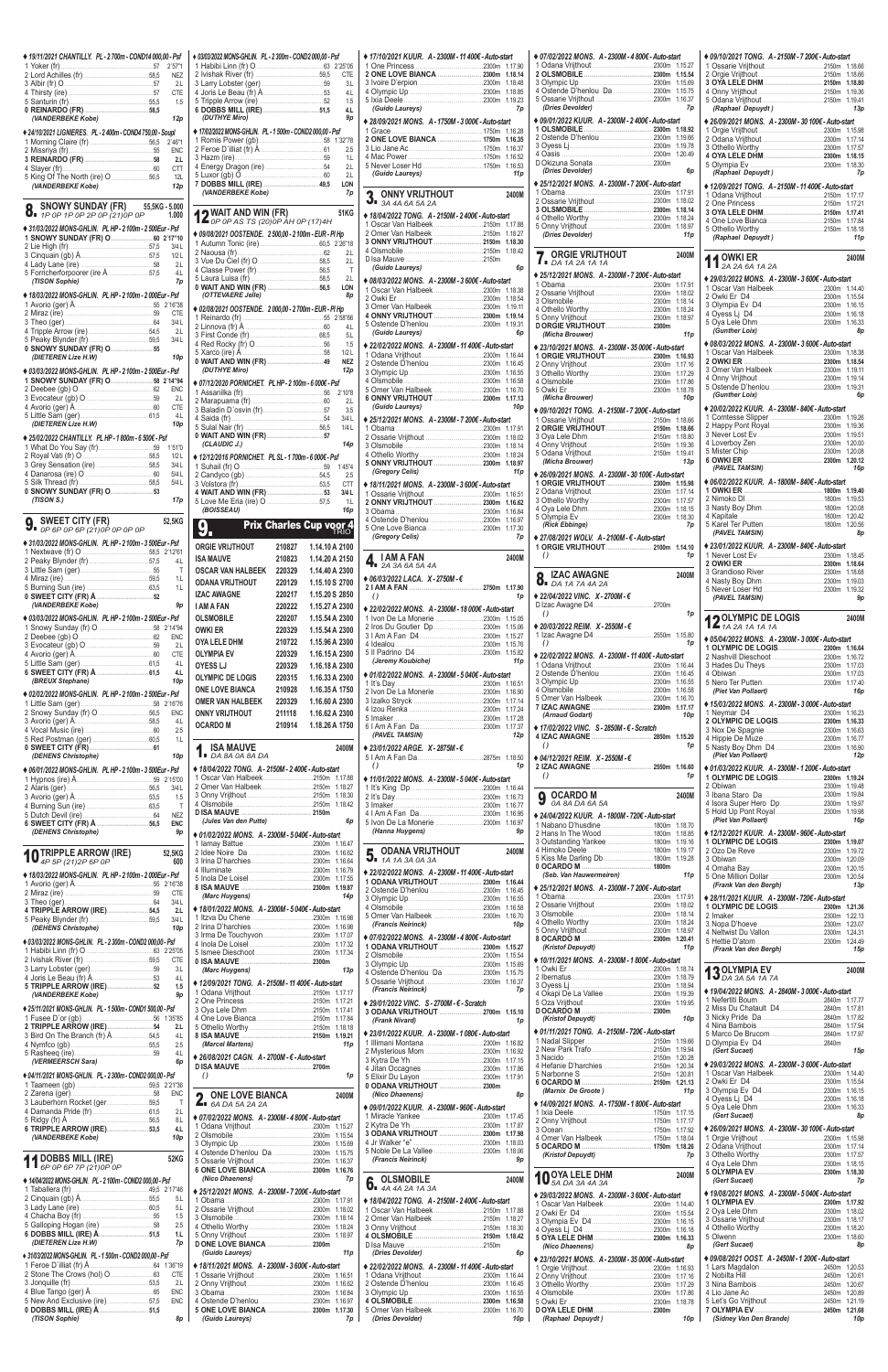| ◆ 19/11/2021 CHANTILLY. PL - 2700m - COND14 000,00 - Psf                   |                          |
|----------------------------------------------------------------------------|--------------------------|
|                                                                            | <b>NEZ</b>               |
|                                                                            | 2.L<br><b>CTE</b>        |
|                                                                            | 1.5                      |
| (VANDERBEKE Kobe)                                                          | 12p                      |
| ◆ 24/10/2021 LIGNIERES. PL - 2 400m - COND4 750,00 - Soupl                 |                          |
|                                                                            | 2'46"1<br><b>ENC</b>     |
|                                                                            | 2.L                      |
|                                                                            | <b>CTT</b><br>12L        |
| (VANDERBEKE Kobe)                                                          | 12p                      |
| SNOWY SUNDAY (FR) 55,5KG - 5.000<br>8.                                     |                          |
| 1 P O P 1 P O P 2 P O P (21) O P O P                                       | 1.000                    |
| ◆ 31/03/2022 MONS-GHLIN. PL HP-2100m-2500Eur-Psf                           |                          |
|                                                                            | 3/4L                     |
|                                                                            | 1/2L<br>2.L              |
|                                                                            | 4.L                      |
| (TISON Sophie)<br>◆ 18/03/2022 MONS-GHLIN. PL HP - 2 100m - 2 000Eur - Psf | 7p                       |
|                                                                            |                          |
|                                                                            | CTE<br>3/4L              |
| 4 Tripple Arrow (ire) 54,5                                                 | 2.L                      |
|                                                                            | 3/4L                     |
| (DIETEREN Lize H.W)                                                        | 10p                      |
| ◆ 03/03/2022 MONS-GHLIN. PL HP-2100m-2500Eur-Psf                           |                          |
|                                                                            | <b>ENC</b>               |
|                                                                            | - 2.L<br><b>CTE</b>      |
|                                                                            | 4L                       |
| (DIETEREN Lize H.W)                                                        | 10p                      |
| ♦ 25/02/2022 CHANTILLY. PL HP - 1 800m - 6 500€ - Psf                      | 1'51"0                   |
|                                                                            | 1/2L                     |
| 3 Grey Sensation (ire) 58,5                                                | 3/4 L<br>5/4L            |
|                                                                            | 5/4L                     |
| (TISON S.)                                                                 | 17p                      |
| <b>SWEET CITY (FR)</b><br>$\overline{J}$ = OP 6P OP 6P (21) OP OP OP OP    | 52,5KG                   |
|                                                                            |                          |
|                                                                            |                          |
| ◆ 31/03/2022 MONS-GHLIN. PL HP - 2 100m - 3 500Eur - Psf                   |                          |
|                                                                            | 4.1                      |
|                                                                            | Τ<br>1 <sub>L</sub>      |
|                                                                            | 1.L                      |
| (VANDERBEKE Kobe)                                                          | 9p                       |
| ♦ 03/03/2022 MONS-GHLIN. PL HP - 2 100m - 2 500Eur - Psf                   |                          |
|                                                                            | <b>ENC</b>               |
|                                                                            | 2L                       |
|                                                                            | <b>CTE</b><br>4L         |
| (BREUX Stephane)                                                           | 4.L<br>10p               |
| ◆ 02/02/2022 MONS-GHLIN. PL HP - 2 100m - 2 500Eur - Psf                   |                          |
|                                                                            | <b>ENC</b>               |
|                                                                            | 4L                       |
|                                                                            | 2.5<br>1.L               |
|                                                                            |                          |
| (DEHENS Christophe)                                                        | 10p                      |
| ◆ 06/01/2022 MONS-GHLIN. PL HP-2100m-3500Eur-Psf                           | 2'15"00                  |
|                                                                            | 3/4L                     |
|                                                                            | 1.5<br>Τ                 |
| 6 SWEET CITY (FR) Å 56,5                                                   | <b>NEZ</b><br><b>ENC</b> |
| (DEHENS Christophe)                                                        | 9p                       |
| <b>TRIPPLE ARROW (IRE)</b><br>4P 5P (21) 2P 6P 0P                          | 52,5KG<br>600            |
| ◆ 18/03/2022 MONS-GHLIN. PL HP-2100m-2000Eur-Psf                           |                          |
|                                                                            | <b>CTE</b>               |
|                                                                            | 3/4L                     |
| 4 TRIPPLE ARROW (IRE)54,5                                                  | 2.L<br>3/4L              |
| (DEHENS Christophe)                                                        | 10 <sub>p</sub>          |
| ◆ 03/03/2022 MONS-GHLIN. PL - 2 300m - COND2 000,00 - Psf                  |                          |
|                                                                            | <b>CTE</b>               |
|                                                                            | 3.L<br>4.L               |
| (VANDERBEKE Kobe)                                                          | 1.5<br>9p                |

| f                   | + 03/03/2022 MONS-GHLIN. PL - 2 300m - COND2 000,00 - Psf            |                                |                                  |                              |
|---------------------|----------------------------------------------------------------------|--------------------------------|----------------------------------|------------------------------|
| $\overline{1}$      |                                                                      |                                |                                  |                              |
| Ζ<br>L              |                                                                      |                                |                                  | <b>CTE</b><br>3 <sub>1</sub> |
| E                   |                                                                      |                                |                                  | 4.L                          |
| 5                   |                                                                      |                                |                                  | 1.5<br>4.L                   |
| р                   | (DUTHYE Miro)                                                        |                                |                                  | 9p                           |
|                     | ◆ 17/02/2022 MONS-GHLIN. PL - 1 500m - COND2 000,00 - Psf            |                                |                                  |                              |
| $\overline{1}$<br>C |                                                                      |                                |                                  | 2.5                          |
| L                   |                                                                      |                                |                                  | 1.L                          |
| T<br>L              |                                                                      |                                |                                  | 2.L<br>2.L                   |
| p                   |                                                                      |                                |                                  | LON                          |
|                     | (VANDERBEKE Kobe)                                                    |                                |                                  | 7p                           |
| 0<br>0              | WAIT AND WIN (FR)                                                    |                                |                                  | 51KG                         |
|                     | $\sum$ op op AS TS (20) OP AH OP (17) 4H                             |                                |                                  |                              |
| 0                   | ◆ 09/08/2021 OOSTENDE. 2 500,00 - 2 100m - EUR - PI Hp               |                                |                                  |                              |
| L<br>L              |                                                                      |                                |                                  | 2.L                          |
| L                   |                                                                      |                                |                                  | 2.L<br>$\top$                |
| L<br>р              |                                                                      |                                |                                  | 2.L                          |
|                     | (OTTEVAERE Jelle)                                                    |                                |                                  | LON<br>8p                    |
| 8                   | ◆ 02/08/2021 OOSTENDE. 2 000,00 - 2 700m - EUR - PI Hp               |                                |                                  |                              |
| Ē<br>Г              |                                                                      |                                |                                  |                              |
| L                   |                                                                      |                                |                                  | 5 <sub>1</sub>               |
| Г                   |                                                                      |                                |                                  | 1.5                          |
| р                   |                                                                      |                                |                                  | 1/2L<br><b>NEZ</b>           |
|                     | (DUTHYE Miro)                                                        |                                |                                  | 12p                          |
| 4<br>C              | ◆ 07/12/2020 PORNICHET. PL HP - 2 100m - 6 000€ - Psf                |                                |                                  |                              |
| L                   |                                                                      |                                |                                  | 2.L                          |
| E<br>L              |                                                                      |                                |                                  | 3.5                          |
| p                   |                                                                      |                                |                                  | 3/4L<br>1/4L                 |
|                     |                                                                      |                                |                                  | 14p                          |
| 0<br>L              | (CLAUDIC J.)                                                         |                                |                                  |                              |
| Г                   | ♦ 12/12/2016 PORNICHET. PL SL - 1 700m - 6 000€ - Psf                |                                |                                  |                              |
| Г<br>Г              |                                                                      |                                |                                  | 2.5<br><b>CTT</b>            |
|                     |                                                                      |                                |                                  | 3/4 L                        |
| р                   | (BOISSEAU)                                                           |                                |                                  | 1.1<br>16p                   |
|                     |                                                                      |                                |                                  |                              |
| G                   |                                                                      |                                |                                  |                              |
|                     |                                                                      | <b>Prix Charles Cup voor 4</b> |                                  |                              |
|                     | <b>ORGIE VRIJTHOUT</b>                                               | 210827                         | 1.14.10 A 2100                   |                              |
| 1<br>L              | <b>ISA MAUVE</b>                                                     | 210823                         | 1.14.20 A 2150                   |                              |
| Τ                   | <b>OSCAR VAN HALBEEK</b>                                             | 220329                         | 1.14.40 A 2300                   |                              |
| L<br>L              | <b>ODANA VRIJTHOUT</b>                                               | 220129                         | 1.15.10 S 2700                   |                              |
|                     | <b>IZAC AWAGNE</b>                                                   | 220217                         | 1.15.20 S 2850                   |                              |
| р                   | <b>I AM A FAN</b>                                                    | 220222                         | 1.15.27 A 2300                   |                              |
| 4                   | <b>OLSMOBILE</b><br><b>OWKI ER</b>                                   | 220207                         | 1.15.54 A 2300<br>1.15.54 A 2300 |                              |
| C                   | OYA LELE DHM                                                         | 220329<br>210722               | 1.15.96 A 2300                   |                              |
| L<br>Е              | <b>OLYMPIA EV</b>                                                    | 220329                         | 1.16.15A 2300                    |                              |
| L                   | <b>OYESS LJ</b>                                                      | 220329                         | 1.16.18 A 2300                   |                              |
| L<br>р              | <b>OLYMPIC DE LOGIS</b>                                              | 220315                         | 1.16.33 A 2300                   |                              |
|                     | <b>ONE LOVE BIANCA</b>                                               | 210928                         | 1.16.35 A 1750                   |                              |
| 6                   | <b>OMER VAN HALBEEK</b>                                              | 220329                         | 1.16.60 A 2300                   |                              |
| C<br>L              | ONNY VRIJTHOUT                                                       | 211118                         | 1.16.62 A 2300                   |                              |
| 5                   | <b>OCARDO M</b>                                                      | 210914                         | 1.18.26 A 1750                   |                              |
| L                   | <b>ISA MAUVE</b>                                                     |                                |                                  | 2400M                        |
| р                   | $\overline{1}$ DA 8A 0A 8A DA                                        |                                |                                  |                              |
|                     | ◆ 18/04/2022 TONG. A - 2150M - 2 400€ - Auto-start                   |                                |                                  |                              |
| 0<br>L              | 1 Oscar Van Halbeek2150m 1.17.88<br>2 Omer Van Halbeek 2150m 1.18.27 |                                |                                  |                              |
| 5                   |                                                                      |                                |                                  |                              |
| T<br>Z              |                                                                      |                                |                                  |                              |
| С                   | (Jules Van den Putte)                                                |                                |                                  | 6p                           |
| р                   | ♦ 01/02/2022 MONS. A - 2300M - 5 040€ - Auto-start                   |                                |                                  |                              |
| G                   |                                                                      |                                |                                  | 1.16.47<br>1.16.62           |
| 0                   |                                                                      |                                |                                  | 1.16.79                      |
| 8                   |                                                                      |                                |                                  | 1.17.55                      |
| E                   | (Marc Huygens)                                                       |                                |                                  | 1.19.87<br>14p               |
| L<br>L              | ♦ 18/01/2022 MONS. A - 2300M - 5 040€ - Auto-start                   |                                |                                  |                              |
| L                   |                                                                      |                                |                                  | 1.16.98                      |
|                     |                                                                      |                                |                                  | 1.16.98<br>1.17.07           |
| р<br>5              |                                                                      |                                |                                  | 1.17.32                      |
| E                   |                                                                      |                                |                                  |                              |
| L                   | (Marc Huygens)                                                       |                                |                                  | 13p                          |
| L<br>5              | ♦ 12/09/2021 TONG. A - 2150M - 11 400€ - Auto-start                  |                                |                                  |                              |
| р                   |                                                                      |                                |                                  |                              |

| ◆ 17/10/2021 KUUR. A - 2300M - 11 400€ - Auto-start                                                                                           |                            | $*07$                    |
|-----------------------------------------------------------------------------------------------------------------------------------------------|----------------------------|--------------------------|
|                                                                                                                                               | 1.17.90<br>1.18.14         | 10<br>2 O                |
|                                                                                                                                               | 1.18.48                    | 3 O                      |
|                                                                                                                                               | 1.18.85                    | 4 O                      |
| (Guido Laureys)                                                                                                                               | 1.19.23<br>7p              | 5 O<br>(L                |
|                                                                                                                                               |                            | $*09$                    |
| ◆ 28/09/2021 MONS. A - 1750M - 3 000€ - Auto-start                                                                                            | 1.16.28                    | 10                       |
| 2 ONE LOVE BIANCA  1750m                                                                                                                      | 1.16.35                    | 2 O                      |
|                                                                                                                                               | 1.16.37                    | 3 O<br>4 O               |
|                                                                                                                                               | 1.16.52<br>1.16.53         | DO                       |
| (Guido Laureys)                                                                                                                               | 11p                        | (L                       |
|                                                                                                                                               |                            | $*25$                    |
| <b>ONNY VRIJTHOUT</b>                                                                                                                         | 2400M                      | 10<br>2Q                 |
| $\sum_{A}$ ONNY VKIJ III                                                                                                                      |                            | 3 O                      |
| ♦ 18/04/2022 TONG. A - 2150M - 2 400€ - Auto-start                                                                                            |                            | 4 O                      |
|                                                                                                                                               | 1.18.27                    | 5 O<br>(L                |
|                                                                                                                                               | 1.18.30                    |                          |
|                                                                                                                                               | 1.18.42                    | 7.                       |
| (Guido Laureys)                                                                                                                               | 6p                         |                          |
| ♦ 08/03/2022 MONS. A - 2300M - 3 600€ - Auto-start                                                                                            |                            | $*25$                    |
| 1 Oscar Van Halbeek2300m                                                                                                                      | 1.18.38                    | 1 <sub>O</sub>           |
|                                                                                                                                               | 1.18.54                    | 2 O<br>3 O               |
| 3 Omer Van Halbeek 2300m                                                                                                                      | 1.19.11                    | 4 O                      |
|                                                                                                                                               | 1.19.14<br>1.19.31         | 5 O                      |
| (Guido Laureys)                                                                                                                               | 6p                         | DO<br>(                  |
| ◆ 22/02/2022 MONS. A - 2300M - 11 400€ - Auto-start                                                                                           |                            | $*23$                    |
|                                                                                                                                               | 1.16.44                    | 10                       |
|                                                                                                                                               | 1.16.45                    | 20                       |
|                                                                                                                                               | 1.16.55<br>1.16.58         | 3 O<br>4 O               |
| 5 Omer Van Halbeek 2300m                                                                                                                      | 1.16.70                    | 5 O                      |
| 6 ONNY VRIJTHOUT  2300m                                                                                                                       | 1.17.13                    | (                        |
| (Guido Laureys)                                                                                                                               | 10 <sub>p</sub>            | $\bullet$ 09             |
| ◆ 25/12/2021 MONS. A - 2300M - 7 200€ - Auto-start                                                                                            |                            | 1 <sup>o</sup>           |
|                                                                                                                                               | 1.17.91<br>1.18.02         | 20<br>3O                 |
|                                                                                                                                               | 1.18.14                    | 4 O                      |
|                                                                                                                                               | 1.18.24                    | 5 O                      |
| (Gregory Celis)                                                                                                                               | 1.18.97<br>11 <sub>p</sub> | (                        |
|                                                                                                                                               |                            | $*26$<br>10              |
| ♦ 18/11/2021 MONS. A - 2300M - 3 600€ - Auto-start                                                                                            |                            | 2O                       |
|                                                                                                                                               | 1.16.62                    | 3 O                      |
|                                                                                                                                               | 1.16.84                    | 4 O<br>5 O               |
|                                                                                                                                               | 1.16.97<br>1.17.30         | (F                       |
|                                                                                                                                               |                            |                          |
| (Gregory Celis)                                                                                                                               | 7p                         |                          |
|                                                                                                                                               |                            | $*27$<br>1 O             |
| <b>I AM A FAN</b>                                                                                                                             | 2400M                      | ( )                      |
| $\frac{1}{2}$ $\frac{1}{2}$ $\frac{2}{3}$ $\frac{3}{4}$ $\frac{6}{4}$ $\frac{5}{4}$ $\frac{4}{4}$                                             |                            |                          |
|                                                                                                                                               |                            | 8.                       |
| ◆ 06/03/2022 LACA. X - 2750M - €<br>$\theta$                                                                                                  | 1p                         | $*22$                    |
| ♦ 22/02/2022 MONS. A - 2300M - 18 000€ - Auto-start                                                                                           |                            | D <sub>Iz</sub>          |
|                                                                                                                                               | 1.15.05                    | $\left( \right)$         |
|                                                                                                                                               | 1.15.06                    | $*20$                    |
|                                                                                                                                               | 1.15.27                    | 1 z                      |
|                                                                                                                                               | 1.15.76<br>1.15.82         | $\left( \right)$         |
| (Jeremy Koubiche)                                                                                                                             | 11p                        | $*22$<br>10 <sub>o</sub> |
|                                                                                                                                               |                            | 2O                       |
|                                                                                                                                               | 1.16.51                    | 3 O<br>4 O               |
|                                                                                                                                               | 1.16.90<br>1.17.14         | 5 O                      |
| ♦ 01/02/2022 MONS. A - 2300M - 5 040€ - Auto-start                                                                                            | 1.17.24                    | 7IZ                      |
|                                                                                                                                               | 1.17.28                    | $\mu$                    |
| (PAVEL TAMSIN)                                                                                                                                | 1.17.37<br>12p             | $*17$                    |
|                                                                                                                                               |                            | 4 IZ<br>$\left( \right)$ |
|                                                                                                                                               | 1.18.50                    |                          |
| $\theta$                                                                                                                                      | 1p                         | $*04$<br>2 IZ            |
|                                                                                                                                               |                            | $\left( \right)$         |
|                                                                                                                                               | 1.16.44                    |                          |
|                                                                                                                                               | 1.16.73                    | 9                        |
|                                                                                                                                               | 1.16.77<br>1.16.95         |                          |
|                                                                                                                                               |                            | $*24$<br>1 Ni            |
| (Hanna Huygens)                                                                                                                               | 9p                         | 2 <sub>Hi</sub>          |
| ODANA VRIJTHOUT                                                                                                                               | 2400M                      | 3 O<br>4 Hi              |
| $\overline{3}$ 1A 1A 3A 0A 3A                                                                                                                 |                            | 5 Ki                     |
|                                                                                                                                               |                            | 0 <sup>o</sup><br>(S     |
| ♦ 11/01/2022 MONS. A - 2300M - 5 040€ - Auto-start<br>◆ 22/02/2022 MONS. A - 2300M - 11 400€ - Auto-start<br>1 ODANA VRIJTHOUT  2300m 1.16.44 |                            |                          |
| 2 Ostende D'henlou 2300m                                                                                                                      | 1.16.45<br>1.16.55         | $*25$<br>10              |
|                                                                                                                                               | 1.16.58                    | 20                       |
|                                                                                                                                               | 1.16.70                    | 3 O<br>4 O               |
| (Francis Neirinck)                                                                                                                            | 10 <sub>p</sub>            | 5 O                      |
| ♦ 07/02/2022 MONS. A - 2300M - 4 800€ - Auto-start                                                                                            |                            | 8 O                      |
| 1 ODANA VRIJTHOUT  2300m                                                                                                                      | 1.15.27<br>1.15.54         | (ŀ                       |
|                                                                                                                                               | 1.15.69                    | $*10$                    |
| ♦ 23/01/2022 ARGE. X - 2875M - €                                                                                                              | 1.15.75                    | 10<br>2 <sub>1b</sub>    |
| (Francis Neirinck)                                                                                                                            | 1.16.37<br>7p              | 3 O                      |
| ♦ 29/01/2022 VINC. S - 2700M - € - Scratch                                                                                                    |                            | 4 O<br>5 O               |

| ♦ 25/11/2021 MONS-GHLIN. PL - 1 500m - COND1 500.00 - Psf |                                                    | 3 ODANA VRIJTHOUT  2700m 1.15.10                    |                                                     | .2840m 1.17.81                                      |
|-----------------------------------------------------------|----------------------------------------------------|-----------------------------------------------------|-----------------------------------------------------|-----------------------------------------------------|
| 1 Fusee D'or (gb).                                        |                                                    | (Frank Nivard)<br>1 <sub>D</sub>                    | (Kristof Depuydt)<br>10 <sub>D</sub>                |                                                     |
|                                                           |                                                    |                                                     |                                                     |                                                     |
| 4.L                                                       |                                                    | ◆ 23/01/2022 KUUR. A - 2300M - 1 080€ - Auto-start  | ♦ 01/11/2021 TONG. A - 2150M - 720€ - Auto-start    |                                                     |
| 2.5                                                       | 11 <sub>D</sub><br>(Marcel Martens)                |                                                     | 2150m 1.19.66                                       |                                                     |
| 4 <sub>1</sub>                                            | ♦ 26/08/2021 CAGN. A-2700M- €-Auto-start           |                                                     | 2150m 1.19.94                                       | (Gert Sucaet)<br>15p                                |
| (VERMEERSCH Sara)<br>6p                                   |                                                    |                                                     | 2150m 1.20.28                                       | ♦ 29/03/2022 MONS. A - 2300M - 3 600€ - Auto-start  |
|                                                           | 1 <sub>D</sub>                                     |                                                     |                                                     | 1 Oscar Van Halbeek<br>.2300m 1.14.40               |
| ♦ 04/11/2021 MONS-GHLIN. PL - 2 300m - COND2 000.00 - Psf | $\left( \right)$                                   |                                                     |                                                     |                                                     |
|                                                           |                                                    | 0 ODANA VRIJTHOUT 2300m                             | (Marnix De Groote)<br>11 <sub>D</sub>               | 2300m 1.16.15                                       |
|                                                           | <b>O</b> ONE LOVE BIANCA<br>2400M                  | (Nico Dhaenens)<br><b>8p</b>                        |                                                     | 2300m 1.16.18                                       |
| 3 Lauberhorn Rocket (ger59,5                              | $A$ 6A DA 5A 2A 2A                                 | ♦ 09/01/2022 KUUR. A - 2300M - 960€ - Auto-start    | ♦ 14/09/2021 MONS. A - 1750M - 1 800€ - Auto-start  | 2300m 1.16.33                                       |
| 2.L                                                       | ♦ 07/02/2022 MONS. A - 2300M - 4 800€ - Auto-start |                                                     |                                                     | (Gert Sucaet)<br>8p                                 |
| $8+$                                                      |                                                    |                                                     |                                                     |                                                     |
| 6 TRIPPLE ARROW (IRE)53,5<br>4.L                          |                                                    | 3 ODANA VRIJTHOUT  2300m 1.17.98                    |                                                     | ♦ 26/09/2021 MONS. A - 2300M - 30 100€ - Auto-start |
| 10 <sub>D</sub><br>(VANDERBEKE Kobe)                      |                                                    |                                                     |                                                     |                                                     |
|                                                           | 4 Ostende D'henlou Da 2300m 1.15.75                |                                                     |                                                     |                                                     |
| <b>44 DOBBS MILL (IRE)</b><br><b>52KG</b>                 |                                                    | (Francis Neirinck)<br><b>9p</b>                     | (Kristof Depuydt)<br>7p                             |                                                     |
| $\prod$ 6P 0P 6P 7P (21) 0P 0P                            |                                                    |                                                     |                                                     |                                                     |
|                                                           | (Nico Dhaenens)<br>7p                              |                                                     | <b>10</b> OYA LELE DHM<br>2400M                     |                                                     |
| ♦ 14/04/2022 MONS-GHLIN. PL - 2 100m - COND2 000.00 - Psf |                                                    | <b>C</b> OLSMOBILE<br>2400M                         |                                                     | (Gert Sucaet)<br>7p                                 |
|                                                           | ♦ 25/12/2021 MONS. A - 2300M - 7 200€ - Auto-start | $\overline{0}$ <b>4A 4A 2A 1A 3A</b>                | ♦ 29/03/2022 MONS. A - 2300M - 3 600€ - Auto-start  | ♦ 19/08/2021 MONS. A - 2300M - 5 040€ - Auto-start  |
| 5 <sub>L</sub>                                            | 1 Obama.                                           | ♦ 18/04/2022 TONG. A - 2150M - 2 400€ - Auto-start  | 1 Oscar Van Halbeek2300m 1.14.40                    |                                                     |
| 5 <sub>1</sub>                                            |                                                    |                                                     |                                                     |                                                     |
| 1.5                                                       |                                                    | 2 Omer Van Halbeek 2150m 1.18.27                    |                                                     |                                                     |
| 2.5                                                       |                                                    |                                                     |                                                     |                                                     |
| 1.L                                                       |                                                    |                                                     | 5 OYA LELE DHM 2300m 1.16.33                        | .2300m 1.18.60                                      |
| 7p<br>(DIETEREN Lize H.W)                                 |                                                    |                                                     | (Nico Dhaenens)<br><b>8p</b>                        | (Gert Sucaet)<br>8p                                 |
| ◆ 31/03/2022 MONS-GHLIN. PL - 1 500m - COND2 000.00 - Psf | 11p<br>(Guido Laureys)                             | (Dries Devolder)<br>6p                              |                                                     |                                                     |
| 1 Feroe D'illiat (fr) Å.                                  | ♦ 18/11/2021 MONS. A - 2300M - 3 600€ - Auto-start | ♦ 22/02/2022 MONS. A - 2300M - 11 400€ - Auto-start | ♦ 23/10/2021 MONS. A - 2300M - 35 000€ - Auto-start | ♦ 09/08/2021 OOST. A-2450M-1 200€-Auto-start        |
|                                                           |                                                    |                                                     |                                                     |                                                     |
| 2.L                                                       |                                                    |                                                     |                                                     |                                                     |
| <b>ENC</b>                                                |                                                    |                                                     |                                                     |                                                     |
| ENC                                                       |                                                    |                                                     |                                                     |                                                     |
| 0 DOBBS MILL (IRE) Å51,5                                  |                                                    | 5 Omer Van Halbeek<br>2300m 1.16.70                 |                                                     |                                                     |
| (TISON Sophie)<br>8 p                                     | (Guido Laureys)<br>7p                              | (Dries Devolder)<br>10p                             | (Raphael Depuydt)<br>10 <sub>p</sub>                | (Sidney Van Den Brande)<br>10p                      |
|                                                           |                                                    |                                                     |                                                     |                                                     |

| ♦ 07/02/2022 MONS. A - 2300M - 4 800€ - Auto-start  |                 |                    |                |
|-----------------------------------------------------|-----------------|--------------------|----------------|
|                                                     |                 | 1.15.27            | 1              |
|                                                     |                 | 1.15.54            | $\overline{2}$ |
|                                                     |                 | 1.15.69            | 3              |
|                                                     |                 | 1.15.75<br>1.16.37 | 4<br>5         |
| (Dries Devolder)                                    |                 | 7p                 |                |
|                                                     |                 |                    |                |
| ♦ 09/01/2022 KUUR. A - 2300M - 2400€ - Auto-start   |                 |                    |                |
|                                                     |                 | 1.18.92            | 1              |
|                                                     |                 | 1.19.66            | $\overline{c}$ |
|                                                     |                 | 1.19.78            | 3              |
|                                                     |                 | 1.20.49            | 4              |
| (Dries Devolder)                                    |                 |                    | 5              |
|                                                     |                 | 6p                 |                |
| ◆ 25/12/2021 MONS. A - 2300M - 7 200€ - Auto-start  |                 |                    |                |
|                                                     |                 | 1.17.91            | 1              |
|                                                     |                 | 1.18.02            | $\overline{2}$ |
|                                                     |                 | 1.18.14            | 3              |
|                                                     |                 | 1.18.24            | $\overline{4}$ |
|                                                     |                 | 1.18.97            | 5              |
| (Dries Devolder)                                    |                 | 11p                |                |
|                                                     | <b>Contract</b> |                    |                |
| <b>ORGIE VRIJTHOUT</b>                              |                 | 2400M              | 1              |
| $\sum_{A}$ DA 1A 2A 1A 1A                           |                 |                    |                |
| ◆ 25/12/2021 MONS. A - 2300M - 7 200€ - Auto-start  |                 |                    |                |
|                                                     |                 | 1.17.91            | 1              |
|                                                     |                 | 1.18.02            | 2              |
|                                                     |                 | 1.18.14            | 3              |
|                                                     |                 | 1.18.24            | 4              |
|                                                     |                 | 1.18.97            | 5              |
|                                                     |                 |                    |                |
| (Micha Brouwer)                                     |                 | 11 <sub>p</sub>    |                |
| ◆ 23/10/2021 MONS. A - 2300M - 35 000€ - Auto-start |                 |                    | 1              |
| 1 ORGIE VRIJTHOUT 2300m                             |                 | 1.16.93            | 2              |
|                                                     |                 | 1.17.16            | 3              |
|                                                     |                 | 1.17.29            | 4              |
|                                                     |                 | 1.17.86            | 5              |
|                                                     |                 | 1.18.78            |                |
| (Micha Brouwer)                                     |                 | 10p                |                |
| ◆ 09/10/2021 TONG. A - 2150M - 7 200€ - Auto-start  |                 |                    |                |
|                                                     |                 | 1.18.66            | 1              |
|                                                     |                 | 1.18.66            | 2              |
|                                                     |                 | 1.18.80            | 3              |
|                                                     |                 | 1.19.36            | 4              |
|                                                     |                 | 1.19.41            | 5              |
| (Micha Brouwer)                                     |                 | 13p                | 6              |
| ♦ 26/09/2021 MONS. A-2300M-30 100€-Auto-start       |                 |                    |                |
|                                                     |                 | 1.15.98            |                |
|                                                     |                 | 1.17.14            | 1              |
|                                                     |                 | 1.17.57            | 2              |
|                                                     |                 | 1.18.15            | 3              |
|                                                     |                 | 1.18.30            | 4              |
| (Rick Ebbinge)                                      |                 | 7p                 | 5              |
|                                                     |                 |                    |                |
|                                                     |                 |                    |                |
| ♦ 27/08/2021 WOLV. A - 2100M - € - Auto-start       |                 |                    |                |
| 1 ORGIE VRIJTHOUT 2100m<br>$\theta$                 |                 | 1.14.10<br>1p      | 1              |
|                                                     |                 |                    | $\overline{2}$ |
|                                                     |                 | 2400M              | 3              |
|                                                     |                 |                    | $\overline{4}$ |
| <b>8.</b> IZAU <b>ATTACK</b>                        |                 |                    | 5              |
| + 22/04/2022 VINC. X-2700M-€                        |                 |                    |                |
|                                                     |                 |                    |                |
| $\theta$                                            |                 | 1p                 |                |
| ♦ 20/03/2022 REIM. X - 2550M - €                    |                 |                    |                |
|                                                     |                 |                    |                |
| $\theta$                                            |                 | 1p                 | 1              |
| ♦ 22/02/2022 MONS. A-2300M-11 400€-Auto-start       |                 |                    | $\overline{2}$ |
|                                                     |                 | 1.16.44            | 3              |
|                                                     |                 | 1.16.45            | 4              |
|                                                     |                 | 1.16.55            | 5              |
|                                                     |                 | 1.16.58            |                |
| 5 Omer Van Halbeek 2300m                            |                 | 1.16.70            |                |
|                                                     |                 | 1.17.17            | 1              |
| (Arnaud Godart)                                     |                 | 10 <sub>p</sub>    | $\overline{2}$ |
| ◆ 17/02/2022 VINC. S - 2850M - € - Scratch          |                 |                    | 3              |
| 4 IZAC AWAGNE  2850m 1.15.20                        |                 |                    | $\overline{4}$ |
| $\theta$                                            |                 | 1p                 | 5              |
| ♦ 04/12/2021 REIM.  X - 2550M - €                   |                 |                    |                |
|                                                     |                 | 1.16.60            |                |
| $\theta$                                            |                 | 1p                 | 1              |
|                                                     |                 |                    | 2              |
| OCARDO M                                            |                 | 2400M              | 3              |
| 0A 8A DA 6A 5A                                      |                 |                    | 4              |
| ◆ 24/04/2022 KUUR. A - 1800M - 720€ - Auto-start    |                 |                    | 5              |
|                                                     |                 | 1.18.70            |                |
| 2 Hans In The Wood1800m                             |                 | 1.18.85            |                |
|                                                     |                 | 1.19.16            | 1              |
|                                                     |                 | 1.19.17            | $\overline{2}$ |
|                                                     |                 | 1.19.28            | 3              |
|                                                     |                 |                    | 4              |
| (Seb. Van Hauwermeiren)                             |                 | 11 p               | 5              |
|                                                     |                 |                    |                |
| ◆ 25/12/2021 MONS. A-2300M-7 200€-Auto-start        |                 | 1.17.91            |                |
|                                                     |                 | 1.18.02            | 1              |
|                                                     |                 | 1.18.14            | $\overline{2}$ |
|                                                     |                 | 1.18.24            | 3              |
|                                                     |                 | 1.18.97            | 4              |
|                                                     |                 | 1.20.41            | 5              |
| (Kristof Depuydt)                                   |                 | 11 <sub>p</sub>    |                |
| ◆ 10/11/2021 MONS. A - 2300M - 1 800€ - Auto-start  |                 |                    |                |
|                                                     |                 | 1.18.74            |                |
|                                                     |                 | 1.18.79            |                |
|                                                     |                 | 1.18.94            |                |
|                                                     |                 | 1.19.39            |                |
|                                                     |                 | 1.19.95            | 1<br>2<br>3    |

| ♦ 09/10/2021 TONG. A - 2150M - 7 200€ - Auto-start                                  |                    |
|-------------------------------------------------------------------------------------|--------------------|
|                                                                                     | 1.18.66<br>1.18.66 |
|                                                                                     | 1.18.80            |
|                                                                                     | 1.19.36<br>1.19.41 |
| (Raphael Depuydt)                                                                   | 13p                |
| ♦ 26/09/2021 MONS. A - 2300M - 30 100€ - Auto-start                                 |                    |
|                                                                                     | 1.15.98            |
|                                                                                     | 1.17.14<br>1.17.57 |
|                                                                                     | 1.18.15            |
|                                                                                     | 1.18.30            |
|                                                                                     | 7p                 |
| ♦ 12/09/2021 TONG. A - 2150M - 11 400€ - Auto-start                                 | 1.17.17            |
|                                                                                     | 1.17.21            |
| 3 OYA LELE DHM 2150m                                                                | 1.17.41<br>1.17.84 |
|                                                                                     | 1.18.18            |
| (Raphael Depuydt)                                                                   | 11 p               |
| <b>4 OWKI ER</b>                                                                    | 2400M              |
| 2A 2A 6A 1A 2A                                                                      |                    |
| ◆ 29/03/2022 MONS. A - 2300M - 3 600€ - Auto-start                                  |                    |
| 1 Oscar Van Halbeek2300m                                                            | 1.14.40            |
|                                                                                     | 1.15.54<br>1.16.15 |
|                                                                                     | 1.16.18            |
| (Gunther Loix)                                                                      | 1.16.33            |
|                                                                                     | 8p                 |
| ♦ 08/03/2022 MONS. A - 2300M - 3 600€ - Auto-start<br>1 Oscar Van Halbeek2300m      | 1.18.38            |
|                                                                                     | 1.18.54            |
| 3 Omer Van Halbeek 2300m                                                            | 1.19.11<br>1.19.14 |
|                                                                                     | 1.19.31            |
| (Gunther Loix)                                                                      | 6p                 |
| ◆ 20/02/2022 KUUR. A - 2300M - 840€ - Auto-start                                    |                    |
|                                                                                     | 1.19.26<br>1.19.36 |
|                                                                                     | 1.19.51            |
|                                                                                     | 1.20.00            |
|                                                                                     | 1.20.08<br>1.20.12 |
| (PAVEL TAMSIN)                                                                      | 16p                |
| ♦ 06/02/2022 KUUR. A - 1800M - 840€ - Auto-start                                    |                    |
|                                                                                     | 1.19.40            |
|                                                                                     | 1.19.53<br>1.20.08 |
|                                                                                     | 1.20.42            |
|                                                                                     | 1.20.56            |
| (PAVEL TAMSIN)                                                                      | 8p                 |
| ♦ 23/01/2022 KUUR. A - 2300M - 840€ - Auto-start                                    |                    |
|                                                                                     |                    |
|                                                                                     | 1.18.45<br>1.18.64 |
|                                                                                     | 1.18.68            |
|                                                                                     | 1.19.03<br>1.19.32 |
| (PAVEL TAMSIN)                                                                      | 9p                 |
|                                                                                     | 2400M              |
| OLYMPIC DE LOGIS                                                                    |                    |
| $12$ <sup>ULIN</sup> II IV --<br>♦ 05/04/2022 MONS. A - 2300M - 3 000€ - Auto-start |                    |
|                                                                                     | 1.16.64            |
|                                                                                     | 1.16.72<br>1.17.03 |
|                                                                                     | 1.17.03            |
| (Piet Van Pollaert)                                                                 | 1.17.40<br>16p     |
| ◆ 15/03/2022 MONS. A - 2300M - 3 000€ - Auto-start                                  |                    |
|                                                                                     | 1.16.23            |
|                                                                                     | 1.16.33            |
|                                                                                     | 1.16.63<br>1.16.77 |
|                                                                                     | 1.16.90            |
| (Piet Van Pollaert)                                                                 | 12p                |
| ◆ 01/03/2022 KUUR. A - 2300M - 1 200€ - Auto-start                                  |                    |
| 1 OLYMPIC DE LOGIS 2300m                                                            | 1.19.24<br>1.19.48 |
|                                                                                     | 1.19.84            |
| 4 Isora Super Hero Dp2300m                                                          | 1.19.97<br>1.19.98 |
| (Piet Van Pollaert)                                                                 | 16p                |
| ◆ 12/12/2021 KUUR. A - 2300M - 960€ - Auto-start                                    |                    |
| 1 OLYMPIC DE LOGIS 2300m                                                            | 1.19.07            |
|                                                                                     | 1.19.72<br>1.20.09 |
|                                                                                     | 1.20.15            |
| (Frank Van den Bergh)                                                               | 1.20.54<br>13p     |
|                                                                                     |                    |
| ◆ 28/11/2021 KUUR. A - 2300M - 720€ - Auto-start<br>1 OLYMPIC DE LOGIS 2300m        | 1.21.36            |
|                                                                                     | 1.22.13            |
|                                                                                     | 1.23.07<br>1.24.31 |
|                                                                                     | 1.24.49            |
| (Frank Van den Bergh)                                                               | 15p                |
|                                                                                     |                    |
| 2 OLYMPIA EV                                                                        | 2400M              |
| $13^{ULIMIPID-L.}$<br>◆ 19/04/2022 MONS. A - 2840M - 3 000€ - Auto-start            |                    |
|                                                                                     | 1.17.77            |
|                                                                                     | 1.17.81<br>1.17.82 |
|                                                                                     | 1.17.94            |
|                                                                                     | 1.17.97            |

*(Gert Sucaet) 15p*